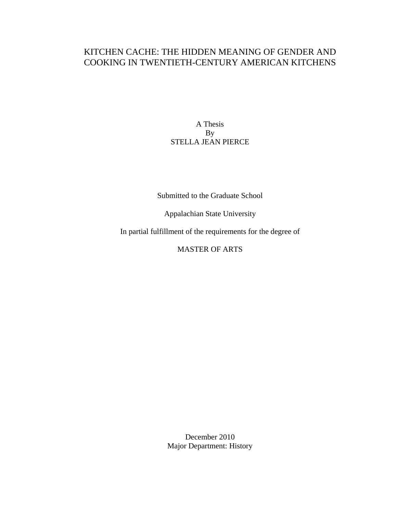## KITCHEN CACHE: THE HIDDEN MEANING OF GENDER AND COOKING IN TWENTIETH-CENTURY AMERICAN KITCHENS

A Thesis By STELLA JEAN PIERCE

Submitted to the Graduate School

Appalachian State University

In partial fulfillment of the requirements for the degree of

MASTER OF ARTS

December 2010 Major Department: History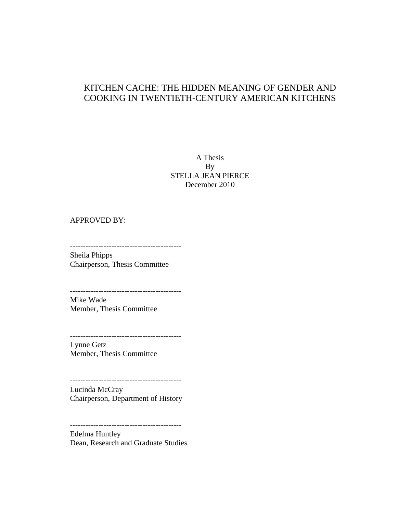## KITCHEN CACHE: THE HIDDEN MEANING OF GENDER AND COOKING IN TWENTIETH-CENTURY AMERICAN KITCHENS

#### A Thesis By STELLA JEAN PIERCE December 2010

#### APPROVED BY:

------------------------------------------- Sheila Phipps

Chairperson, Thesis Committee

------------------------------------------- Mike Wade Member, Thesis Committee

-------------------------------------------

Lynne Getz Member, Thesis Committee

-------------------------------------------

Lucinda McCray Chairperson, Department of History

-------------------------------------------

Edelma Huntley Dean, Research and Graduate Studies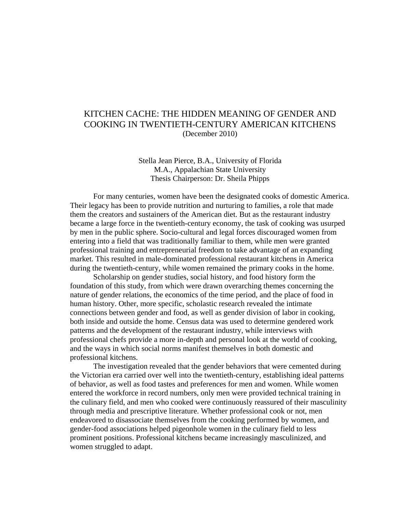## KITCHEN CACHE: THE HIDDEN MEANING OF GENDER AND COOKING IN TWENTIETH-CENTURY AMERICAN KITCHENS (December 2010)

Stella Jean Pierce, B.A., University of Florida M.A., Appalachian State University Thesis Chairperson: Dr. Sheila Phipps

For many centuries, women have been the designated cooks of domestic America. Their legacy has been to provide nutrition and nurturing to families, a role that made them the creators and sustainers of the American diet. But as the restaurant industry became a large force in the twentieth-century economy, the task of cooking was usurped by men in the public sphere. Socio-cultural and legal forces discouraged women from entering into a field that was traditionally familiar to them, while men were granted professional training and entrepreneurial freedom to take advantage of an expanding market. This resulted in male-dominated professional restaurant kitchens in America during the twentieth-century, while women remained the primary cooks in the home.

Scholarship on gender studies, social history, and food history form the foundation of this study, from which were drawn overarching themes concerning the nature of gender relations, the economics of the time period, and the place of food in human history. Other, more specific, scholastic research revealed the intimate connections between gender and food, as well as gender division of labor in cooking, both inside and outside the home. Census data was used to determine gendered work patterns and the development of the restaurant industry, while interviews with professional chefs provide a more in-depth and personal look at the world of cooking, and the ways in which social norms manifest themselves in both domestic and professional kitchens.

The investigation revealed that the gender behaviors that were cemented during the Victorian era carried over well into the twentieth-century, establishing ideal patterns of behavior, as well as food tastes and preferences for men and women. While women entered the workforce in record numbers, only men were provided technical training in the culinary field, and men who cooked were continuously reassured of their masculinity through media and prescriptive literature. Whether professional cook or not, men endeavored to disassociate themselves from the cooking performed by women, and gender-food associations helped pigeonhole women in the culinary field to less prominent positions. Professional kitchens became increasingly masculinized, and women struggled to adapt.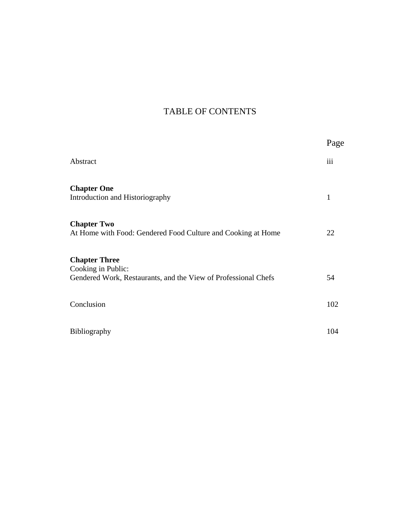# TABLE OF CONTENTS

|                                                                                                              | Page |
|--------------------------------------------------------------------------------------------------------------|------|
| Abstract                                                                                                     | iii  |
| <b>Chapter One</b><br>Introduction and Historiography                                                        | 1    |
| <b>Chapter Two</b><br>At Home with Food: Gendered Food Culture and Cooking at Home                           | 22   |
| <b>Chapter Three</b><br>Cooking in Public:<br>Gendered Work, Restaurants, and the View of Professional Chefs | 54   |
| Conclusion                                                                                                   | 102  |
| Bibliography                                                                                                 | 104  |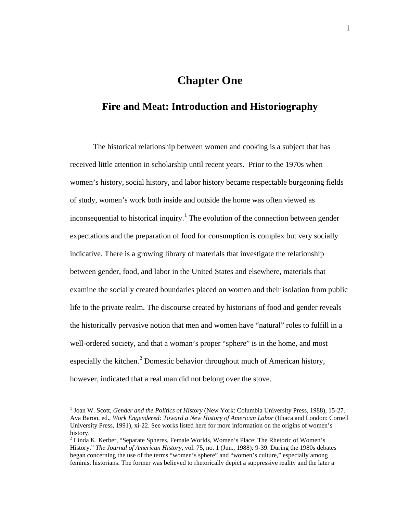# **Chapter One**

## **Fire and Meat: Introduction and Historiography**

The historical relationship between women and cooking is a subject that has received little attention in scholarship until recent years. Prior to the 1970s when women's history, social history, and labor history became respectable burgeoning fields of study, women's work both inside and outside the home was often viewed as inconsequential to historical inquiry.<sup>[1](#page-4-0)</sup> The evolution of the connection between gender expectations and the preparation of food for consumption is complex but very socially indicative. There is a growing library of materials that investigate the relationship between gender, food, and labor in the United States and elsewhere, materials that examine the socially created boundaries placed on women and their isolation from public life to the private realm. The discourse created by historians of food and gender reveals the historically pervasive notion that men and women have "natural" roles to fulfill in a well-ordered society, and that a woman's proper "sphere" is in the home, and most especially the kitchen.<sup>[2](#page-4-1)</sup> Domestic behavior throughout much of American history, however, indicated that a real man did not belong over the stove.

<span id="page-4-0"></span> <sup>1</sup> Joan W. Scott, *Gender and the Politics of History* (New York: Columbia University Press, 1988), 15-27. Ava Baron, ed., *Work Engendered: Toward a New History of American Labor* (Ithaca and London: Cornell University Press, 1991), xi-22. See works listed here for more information on the origins of women's history.

<span id="page-4-1"></span><sup>2</sup> Linda K. Kerber, "Separate Spheres, Female Worlds, Women's Place: The Rhetoric of Women's History," *The Journal of American History*, vol. 75, no. 1 (Jun., 1988): 9-39. During the 1980s debates began concerning the use of the terms "women's sphere" and "women's culture," especially among feminist historians. The former was believed to rhetorically depict a suppressive reality and the later a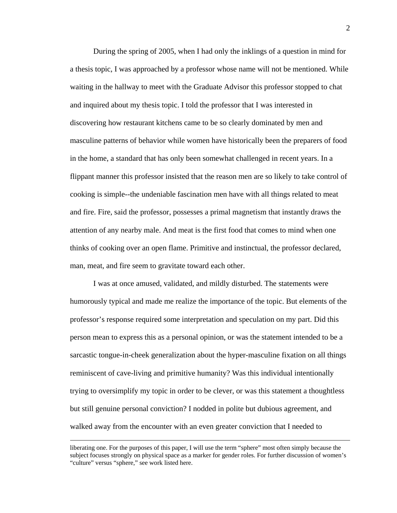During the spring of 2005, when I had only the inklings of a question in mind for a thesis topic, I was approached by a professor whose name will not be mentioned. While waiting in the hallway to meet with the Graduate Advisor this professor stopped to chat and inquired about my thesis topic. I told the professor that I was interested in discovering how restaurant kitchens came to be so clearly dominated by men and masculine patterns of behavior while women have historically been the preparers of food in the home, a standard that has only been somewhat challenged in recent years. In a flippant manner this professor insisted that the reason men are so likely to take control of cooking is simple--the undeniable fascination men have with all things related to meat and fire. Fire, said the professor, possesses a primal magnetism that instantly draws the attention of any nearby male. And meat is the first food that comes to mind when one thinks of cooking over an open flame. Primitive and instinctual, the professor declared, man, meat, and fire seem to gravitate toward each other.

I was at once amused, validated, and mildly disturbed. The statements were humorously typical and made me realize the importance of the topic. But elements of the professor's response required some interpretation and speculation on my part. Did this person mean to express this as a personal opinion, or was the statement intended to be a sarcastic tongue-in-cheek generalization about the hyper-masculine fixation on all things reminiscent of cave-living and primitive humanity? Was this individual intentionally trying to oversimplify my topic in order to be clever, or was this statement a thoughtless but still genuine personal conviction? I nodded in polite but dubious agreement, and walked away from the encounter with an even greater conviction that I needed to

liberating one. For the purposes of this paper, I will use the term "sphere" most often simply because the subject focuses strongly on physical space as a marker for gender roles. For further discussion of women's "culture" versus "sphere," see work listed here.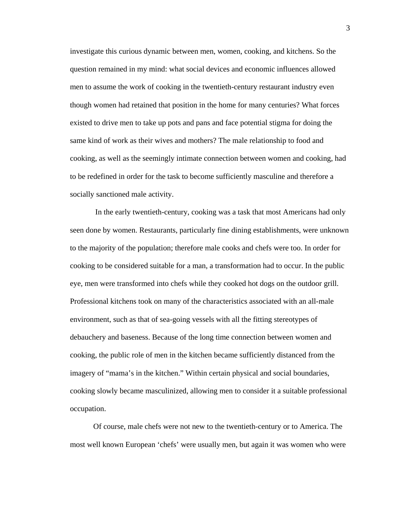investigate this curious dynamic between men, women, cooking, and kitchens. So the question remained in my mind: what social devices and economic influences allowed men to assume the work of cooking in the twentieth-century restaurant industry even though women had retained that position in the home for many centuries? What forces existed to drive men to take up pots and pans and face potential stigma for doing the same kind of work as their wives and mothers? The male relationship to food and cooking, as well as the seemingly intimate connection between women and cooking, had to be redefined in order for the task to become sufficiently masculine and therefore a socially sanctioned male activity.

In the early twentieth-century, cooking was a task that most Americans had only seen done by women. Restaurants, particularly fine dining establishments, were unknown to the majority of the population; therefore male cooks and chefs were too. In order for cooking to be considered suitable for a man, a transformation had to occur. In the public eye, men were transformed into chefs while they cooked hot dogs on the outdoor grill. Professional kitchens took on many of the characteristics associated with an all-male environment, such as that of sea-going vessels with all the fitting stereotypes of debauchery and baseness. Because of the long time connection between women and cooking, the public role of men in the kitchen became sufficiently distanced from the imagery of "mama's in the kitchen." Within certain physical and social boundaries, cooking slowly became masculinized, allowing men to consider it a suitable professional occupation.

Of course, male chefs were not new to the twentieth-century or to America. The most well known European 'chefs' were usually men, but again it was women who were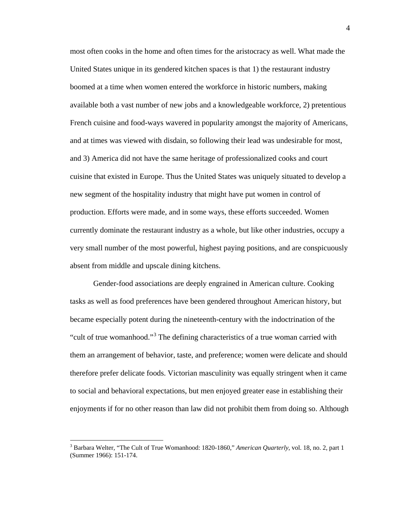most often cooks in the home and often times for the aristocracy as well. What made the United States unique in its gendered kitchen spaces is that 1) the restaurant industry boomed at a time when women entered the workforce in historic numbers, making available both a vast number of new jobs and a knowledgeable workforce, 2) pretentious French cuisine and food-ways wavered in popularity amongst the majority of Americans, and at times was viewed with disdain, so following their lead was undesirable for most, and 3) America did not have the same heritage of professionalized cooks and court cuisine that existed in Europe. Thus the United States was uniquely situated to develop a new segment of the hospitality industry that might have put women in control of production. Efforts were made, and in some ways, these efforts succeeded. Women currently dominate the restaurant industry as a whole, but like other industries, occupy a very small number of the most powerful, highest paying positions, and are conspicuously absent from middle and upscale dining kitchens.

Gender-food associations are deeply engrained in American culture. Cooking tasks as well as food preferences have been gendered throughout American history, but became especially potent during the nineteenth-century with the indoctrination of the "cult of true womanhood."<sup>[3](#page-7-0)</sup> The defining characteristics of a true woman carried with them an arrangement of behavior, taste, and preference; women were delicate and should therefore prefer delicate foods. Victorian masculinity was equally stringent when it came to social and behavioral expectations, but men enjoyed greater ease in establishing their enjoyments if for no other reason than law did not prohibit them from doing so. Although

<span id="page-7-0"></span> <sup>3</sup> Barbara Welter, "The Cult of True Womanhood: 1820-1860," *American Quarterly*, vol. 18, no. 2, part 1 (Summer 1966): 151-174.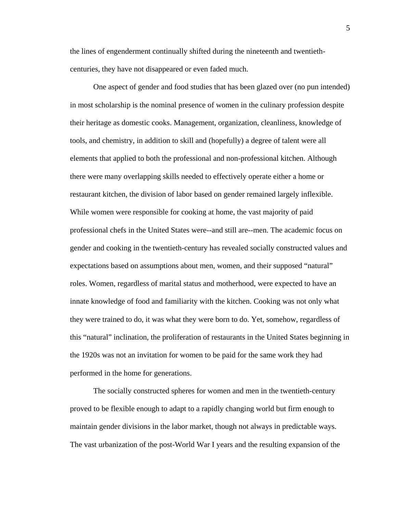the lines of engenderment continually shifted during the nineteenth and twentiethcenturies, they have not disappeared or even faded much.

One aspect of gender and food studies that has been glazed over (no pun intended) in most scholarship is the nominal presence of women in the culinary profession despite their heritage as domestic cooks. Management, organization, cleanliness, knowledge of tools, and chemistry, in addition to skill and (hopefully) a degree of talent were all elements that applied to both the professional and non-professional kitchen. Although there were many overlapping skills needed to effectively operate either a home or restaurant kitchen, the division of labor based on gender remained largely inflexible. While women were responsible for cooking at home, the vast majority of paid professional chefs in the United States were--and still are--men. The academic focus on gender and cooking in the twentieth-century has revealed socially constructed values and expectations based on assumptions about men, women, and their supposed "natural" roles. Women, regardless of marital status and motherhood, were expected to have an innate knowledge of food and familiarity with the kitchen. Cooking was not only what they were trained to do, it was what they were born to do. Yet, somehow, regardless of this "natural" inclination, the proliferation of restaurants in the United States beginning in the 1920s was not an invitation for women to be paid for the same work they had performed in the home for generations.

The socially constructed spheres for women and men in the twentieth-century proved to be flexible enough to adapt to a rapidly changing world but firm enough to maintain gender divisions in the labor market, though not always in predictable ways. The vast urbanization of the post-World War I years and the resulting expansion of the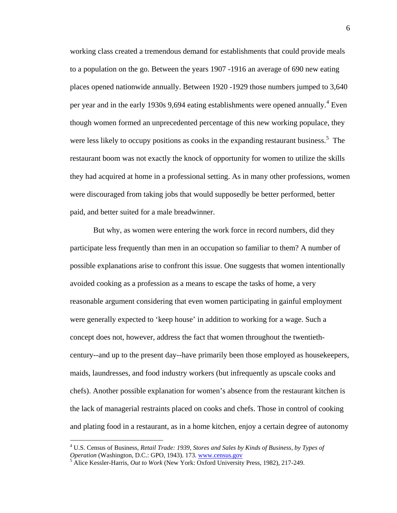working class created a tremendous demand for establishments that could provide meals to a population on the go. Between the years 1907 -1916 an average of 690 new eating places opened nationwide annually. Between 1920 -1929 those numbers jumped to 3,640 per year and in the early 1930s 9,69[4](#page-9-0) eating establishments were opened annually.<sup>4</sup> Even though women formed an unprecedented percentage of this new working populace, they were less likely to occupy positions as cooks in the expanding restaurant business.<sup>[5](#page-9-1)</sup> The restaurant boom was not exactly the knock of opportunity for women to utilize the skills they had acquired at home in a professional setting. As in many other professions, women were discouraged from taking jobs that would supposedly be better performed, better paid, and better suited for a male breadwinner.

But why, as women were entering the work force in record numbers, did they participate less frequently than men in an occupation so familiar to them? A number of possible explanations arise to confront this issue. One suggests that women intentionally avoided cooking as a profession as a means to escape the tasks of home, a very reasonable argument considering that even women participating in gainful employment were generally expected to 'keep house' in addition to working for a wage. Such a concept does not, however, address the fact that women throughout the twentiethcentury--and up to the present day--have primarily been those employed as housekeepers, maids, laundresses, and food industry workers (but infrequently as upscale cooks and chefs). Another possible explanation for women's absence from the restaurant kitchen is the lack of managerial restraints placed on cooks and chefs. Those in control of cooking and plating food in a restaurant, as in a home kitchen, enjoy a certain degree of autonomy

<span id="page-9-0"></span> <sup>4</sup> U.S. Census of Business, *Retail Trade: 1939, Stores and Sales by Kinds of Business, by Types of* 

<span id="page-9-1"></span><sup>&</sup>lt;sup>5</sup> Alice Kessler-Harris, *Out to Work* (New York: Oxford University Press, 1982), 217-249.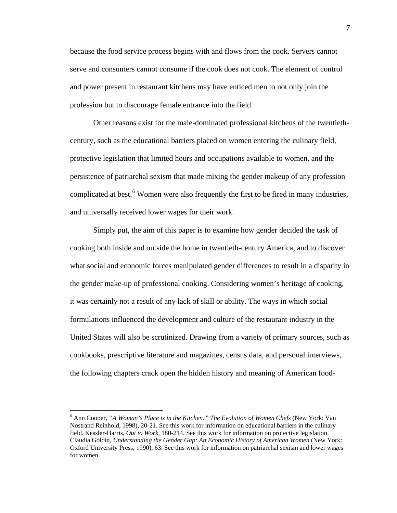because the food service process begins with and flows from the cook. Servers cannot serve and consumers cannot consume if the cook does not cook. The element of control and power present in restaurant kitchens may have enticed men to not only join the profession but to discourage female entrance into the field.

Other reasons exist for the male-dominated professional kitchens of the twentiethcentury, such as the educational barriers placed on women entering the culinary field, protective legislation that limited hours and occupations available to women, and the persistence of patriarchal sexism that made mixing the gender makeup of any profession complicated at best.<sup>[6](#page-10-0)</sup> Women were also frequently the first to be fired in many industries, and universally received lower wages for their work.

Simply put, the aim of this paper is to examine how gender decided the task of cooking both inside and outside the home in twentieth-century America, and to discover what social and economic forces manipulated gender differences to result in a disparity in the gender make-up of professional cooking. Considering women's heritage of cooking, it was certainly not a result of any lack of skill or ability. The ways in which social formulations influenced the development and culture of the restaurant industry in the United States will also be scrutinized. Drawing from a variety of primary sources, such as cookbooks, prescriptive literature and magazines, census data, and personal interviews, the following chapters crack open the hidden history and meaning of American food-

<span id="page-10-0"></span> <sup>6</sup> Ann Cooper, *"A Woman's Place is in the Kitchen:" The Evolution of Women Chefs* (New York: Van Nostrand Reinhold, 1998), 20-21. See this work for information on educational barriers in the culinary field. Kessler-Harris, *Out to Work*, 180-214. See this work for information on protective legislation. Claudia Goldin, *Understanding the Gender Gap: An Economic History of American Women* (New York: Oxford University Press, 1990), 63. See this work for information on patriarchal sexism and lower wages for women.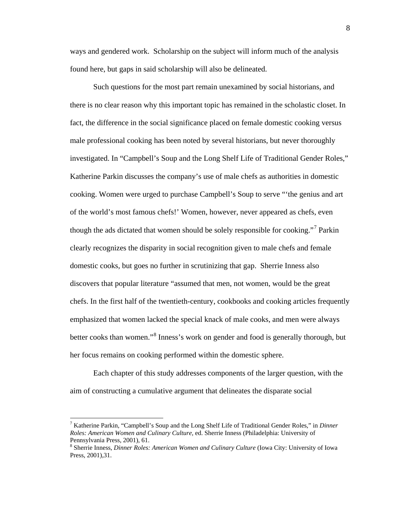ways and gendered work. Scholarship on the subject will inform much of the analysis found here, but gaps in said scholarship will also be delineated.

Such questions for the most part remain unexamined by social historians, and there is no clear reason why this important topic has remained in the scholastic closet. In fact, the difference in the social significance placed on female domestic cooking versus male professional cooking has been noted by several historians, but never thoroughly investigated. In "Campbell's Soup and the Long Shelf Life of Traditional Gender Roles," Katherine Parkin discusses the company's use of male chefs as authorities in domestic cooking. Women were urged to purchase Campbell's Soup to serve "'the genius and art of the world's most famous chefs!' Women, however, never appeared as chefs, even though the ads dictated that women should be solely responsible for cooking."<sup>[7](#page-11-0)</sup> Parkin clearly recognizes the disparity in social recognition given to male chefs and female domestic cooks, but goes no further in scrutinizing that gap. Sherrie Inness also discovers that popular literature "assumed that men, not women, would be the great chefs. In the first half of the twentieth-century, cookbooks and cooking articles frequently emphasized that women lacked the special knack of male cooks, and men were always better cooks than women."<sup>[8](#page-11-1)</sup> Inness's work on gender and food is generally thorough, but her focus remains on cooking performed within the domestic sphere.

Each chapter of this study addresses components of the larger question, with the aim of constructing a cumulative argument that delineates the disparate social

<span id="page-11-0"></span> <sup>7</sup> Katherine Parkin, "Campbell's Soup and the Long Shelf Life of Traditional Gender Roles," in *Dinner Roles: American Women and Culinary Culture,* ed. Sherrie Inness (Philadelphia: University of Pennsylvania Press, 2001), 61.

<span id="page-11-1"></span><sup>8</sup> Sherrie Inness, *Dinner Roles: American Women and Culinary Culture* (Iowa City: University of Iowa Press, 2001),31.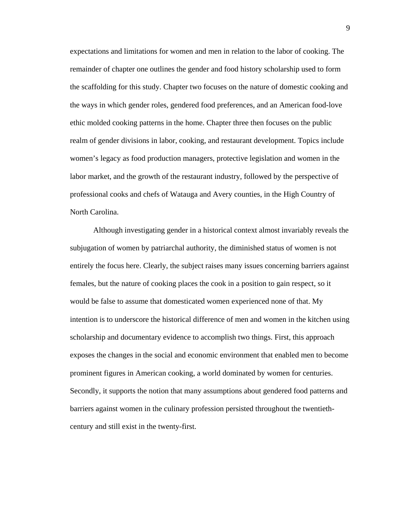expectations and limitations for women and men in relation to the labor of cooking. The remainder of chapter one outlines the gender and food history scholarship used to form the scaffolding for this study. Chapter two focuses on the nature of domestic cooking and the ways in which gender roles, gendered food preferences, and an American food-love ethic molded cooking patterns in the home. Chapter three then focuses on the public realm of gender divisions in labor, cooking, and restaurant development. Topics include women's legacy as food production managers, protective legislation and women in the labor market, and the growth of the restaurant industry, followed by the perspective of professional cooks and chefs of Watauga and Avery counties, in the High Country of North Carolina.

Although investigating gender in a historical context almost invariably reveals the subjugation of women by patriarchal authority, the diminished status of women is not entirely the focus here. Clearly, the subject raises many issues concerning barriers against females, but the nature of cooking places the cook in a position to gain respect, so it would be false to assume that domesticated women experienced none of that. My intention is to underscore the historical difference of men and women in the kitchen using scholarship and documentary evidence to accomplish two things. First, this approach exposes the changes in the social and economic environment that enabled men to become prominent figures in American cooking, a world dominated by women for centuries. Secondly, it supports the notion that many assumptions about gendered food patterns and barriers against women in the culinary profession persisted throughout the twentiethcentury and still exist in the twenty-first.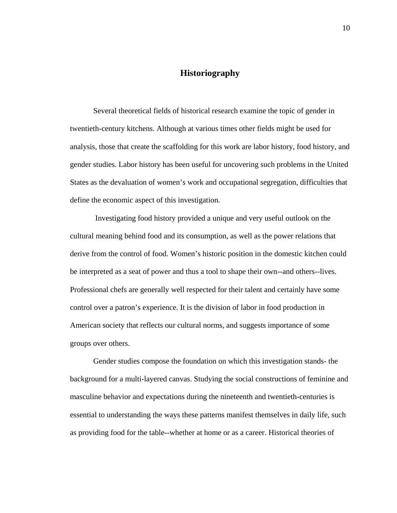## **Historiography**

Several theoretical fields of historical research examine the topic of gender in twentieth-century kitchens. Although at various times other fields might be used for analysis, those that create the scaffolding for this work are labor history, food history, and gender studies. Labor history has been useful for uncovering such problems in the United States as the devaluation of women's work and occupational segregation, difficulties that define the economic aspect of this investigation.

Investigating food history provided a unique and very useful outlook on the cultural meaning behind food and its consumption, as well as the power relations that derive from the control of food. Women's historic position in the domestic kitchen could be interpreted as a seat of power and thus a tool to shape their own--and others--lives. Professional chefs are generally well respected for their talent and certainly have some control over a patron's experience. It is the division of labor in food production in American society that reflects our cultural norms, and suggests importance of some groups over others.

Gender studies compose the foundation on which this investigation stands- the background for a multi-layered canvas. Studying the social constructions of feminine and masculine behavior and expectations during the nineteenth and twentieth-centuries is essential to understanding the ways these patterns manifest themselves in daily life, such as providing food for the table--whether at home or as a career. Historical theories of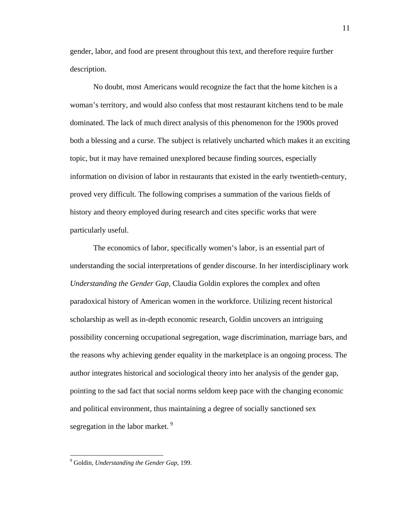gender, labor, and food are present throughout this text, and therefore require further description.

No doubt, most Americans would recognize the fact that the home kitchen is a woman's territory, and would also confess that most restaurant kitchens tend to be male dominated. The lack of much direct analysis of this phenomenon for the 1900s proved both a blessing and a curse. The subject is relatively uncharted which makes it an exciting topic, but it may have remained unexplored because finding sources, especially information on division of labor in restaurants that existed in the early twentieth-century, proved very difficult. The following comprises a summation of the various fields of history and theory employed during research and cites specific works that were particularly useful.

The economics of labor, specifically women's labor, is an essential part of understanding the social interpretations of gender discourse. In her interdisciplinary work *Understanding the Gender Gap*, Claudia Goldin explores the complex and often paradoxical history of American women in the workforce. Utilizing recent historical scholarship as well as in-depth economic research, Goldin uncovers an intriguing possibility concerning occupational segregation, wage discrimination, marriage bars, and the reasons why achieving gender equality in the marketplace is an ongoing process. The author integrates historical and sociological theory into her analysis of the gender gap, pointing to the sad fact that social norms seldom keep pace with the changing economic and political environment, thus maintaining a degree of socially sanctioned sex segregation in the labor market.<sup>[9](#page-14-0)</sup>

<span id="page-14-0"></span> <sup>9</sup> Goldin, *Understanding the Gender Gap,* 199.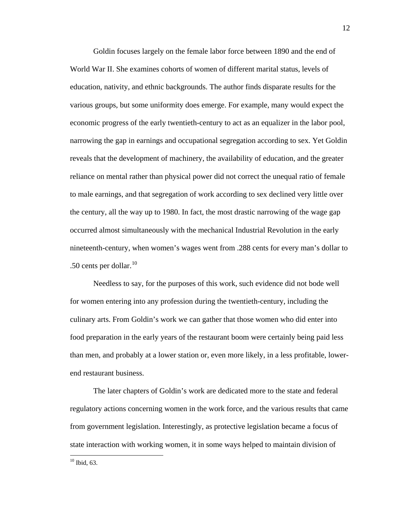Goldin focuses largely on the female labor force between 1890 and the end of World War II. She examines cohorts of women of different marital status, levels of education, nativity, and ethnic backgrounds. The author finds disparate results for the various groups, but some uniformity does emerge. For example, many would expect the economic progress of the early twentieth-century to act as an equalizer in the labor pool, narrowing the gap in earnings and occupational segregation according to sex. Yet Goldin reveals that the development of machinery, the availability of education, and the greater reliance on mental rather than physical power did not correct the unequal ratio of female to male earnings, and that segregation of work according to sex declined very little over the century, all the way up to 1980. In fact, the most drastic narrowing of the wage gap occurred almost simultaneously with the mechanical Industrial Revolution in the early nineteenth-century, when women's wages went from .288 cents for every man's dollar to .50 cents per dollar. $10$ 

Needless to say, for the purposes of this work, such evidence did not bode well for women entering into any profession during the twentieth-century, including the culinary arts. From Goldin's work we can gather that those women who did enter into food preparation in the early years of the restaurant boom were certainly being paid less than men, and probably at a lower station or, even more likely, in a less profitable, lowerend restaurant business.

The later chapters of Goldin's work are dedicated more to the state and federal regulatory actions concerning women in the work force, and the various results that came from government legislation. Interestingly, as protective legislation became a focus of state interaction with working women, it in some ways helped to maintain division of

<span id="page-15-0"></span> $10$  Ibid, 63.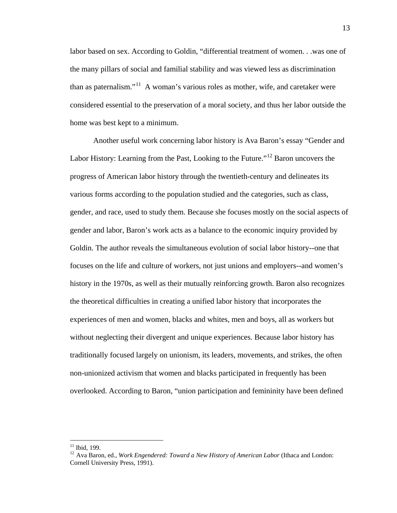labor based on sex. According to Goldin, "differential treatment of women. . .was one of the many pillars of social and familial stability and was viewed less as discrimination than as paternalism."<sup>[11](#page-16-0)</sup> A woman's various roles as mother, wife, and caretaker were considered essential to the preservation of a moral society, and thus her labor outside the home was best kept to a minimum.

Another useful work concerning labor history is Ava Baron's essay "Gender and Labor History: Learning from the Past, Looking to the Future."<sup>[12](#page-16-1)</sup> Baron uncovers the progress of American labor history through the twentieth-century and delineates its various forms according to the population studied and the categories, such as class, gender, and race, used to study them. Because she focuses mostly on the social aspects of gender and labor, Baron's work acts as a balance to the economic inquiry provided by Goldin. The author reveals the simultaneous evolution of social labor history--one that focuses on the life and culture of workers, not just unions and employers--and women's history in the 1970s, as well as their mutually reinforcing growth. Baron also recognizes the theoretical difficulties in creating a unified labor history that incorporates the experiences of men and women, blacks and whites, men and boys, all as workers but without neglecting their divergent and unique experiences. Because labor history has traditionally focused largely on unionism, its leaders, movements, and strikes, the often non-unionized activism that women and blacks participated in frequently has been overlooked. According to Baron, "union participation and femininity have been defined

<span id="page-16-0"></span><sup>&</sup>lt;sup>11</sup> Ibid, 199.

<span id="page-16-1"></span><sup>&</sup>lt;sup>12</sup> Ava Baron, ed., *Work Engendered: Toward a New History of American Labor* (Ithaca and London: Cornell University Press, 1991).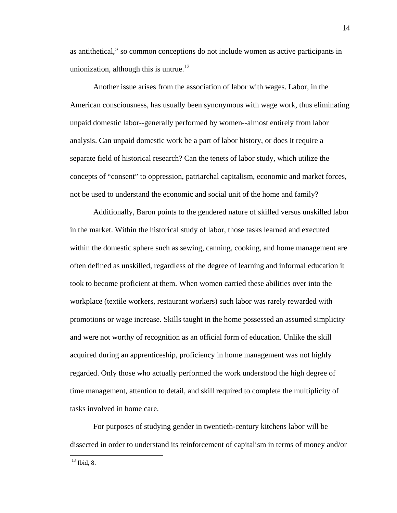as antithetical," so common conceptions do not include women as active participants in unionization, although this is untrue.<sup>[13](#page-17-0)</sup>

Another issue arises from the association of labor with wages. Labor, in the American consciousness, has usually been synonymous with wage work, thus eliminating unpaid domestic labor--generally performed by women--almost entirely from labor analysis. Can unpaid domestic work be a part of labor history, or does it require a separate field of historical research? Can the tenets of labor study, which utilize the concepts of "consent" to oppression, patriarchal capitalism, economic and market forces, not be used to understand the economic and social unit of the home and family?

Additionally, Baron points to the gendered nature of skilled versus unskilled labor in the market. Within the historical study of labor, those tasks learned and executed within the domestic sphere such as sewing, canning, cooking, and home management are often defined as unskilled, regardless of the degree of learning and informal education it took to become proficient at them. When women carried these abilities over into the workplace (textile workers, restaurant workers) such labor was rarely rewarded with promotions or wage increase. Skills taught in the home possessed an assumed simplicity and were not worthy of recognition as an official form of education. Unlike the skill acquired during an apprenticeship, proficiency in home management was not highly regarded. Only those who actually performed the work understood the high degree of time management, attention to detail, and skill required to complete the multiplicity of tasks involved in home care.

For purposes of studying gender in twentieth-century kitchens labor will be dissected in order to understand its reinforcement of capitalism in terms of money and/or

<span id="page-17-0"></span><sup>13</sup> Ibid, 8.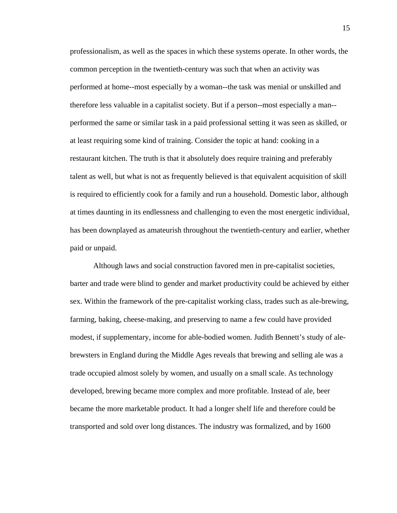professionalism, as well as the spaces in which these systems operate. In other words, the common perception in the twentieth-century was such that when an activity was performed at home--most especially by a woman--the task was menial or unskilled and therefore less valuable in a capitalist society. But if a person--most especially a man- performed the same or similar task in a paid professional setting it was seen as skilled, or at least requiring some kind of training. Consider the topic at hand: cooking in a restaurant kitchen. The truth is that it absolutely does require training and preferably talent as well, but what is not as frequently believed is that equivalent acquisition of skill is required to efficiently cook for a family and run a household. Domestic labor, although at times daunting in its endlessness and challenging to even the most energetic individual, has been downplayed as amateurish throughout the twentieth-century and earlier, whether paid or unpaid.

Although laws and social construction favored men in pre-capitalist societies, barter and trade were blind to gender and market productivity could be achieved by either sex. Within the framework of the pre-capitalist working class, trades such as ale-brewing, farming, baking, cheese-making, and preserving to name a few could have provided modest, if supplementary, income for able-bodied women. Judith Bennett's study of alebrewsters in England during the Middle Ages reveals that brewing and selling ale was a trade occupied almost solely by women, and usually on a small scale. As technology developed, brewing became more complex and more profitable. Instead of ale, beer became the more marketable product. It had a longer shelf life and therefore could be transported and sold over long distances. The industry was formalized, and by 1600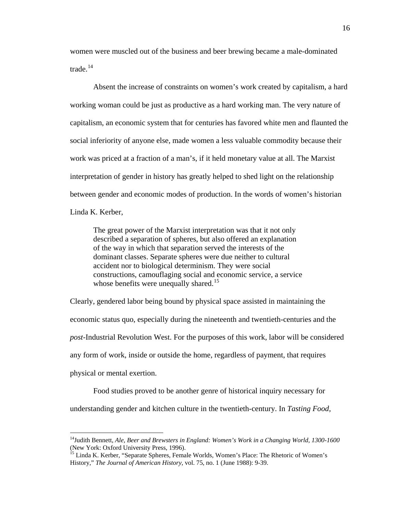women were muscled out of the business and beer brewing became a male-dominated trade.[14](#page-19-0)

Absent the increase of constraints on women's work created by capitalism, a hard working woman could be just as productive as a hard working man. The very nature of capitalism, an economic system that for centuries has favored white men and flaunted the social inferiority of anyone else, made women a less valuable commodity because their work was priced at a fraction of a man's, if it held monetary value at all. The Marxist interpretation of gender in history has greatly helped to shed light on the relationship between gender and economic modes of production. In the words of women's historian Linda K. Kerber,

The great power of the Marxist interpretation was that it not only described a separation of spheres, but also offered an explanation of the way in which that separation served the interests of the dominant classes. Separate spheres were due neither to cultural accident nor to biological determinism. They were social constructions, camouflaging social and economic service, a service whose benefits were unequally shared.<sup>[15](#page-19-1)</sup>

Clearly, gendered labor being bound by physical space assisted in maintaining the economic status quo, especially during the nineteenth and twentieth-centuries and the *post*-Industrial Revolution West. For the purposes of this work, labor will be considered any form of work, inside or outside the home, regardless of payment, that requires physical or mental exertion.

Food studies proved to be another genre of historical inquiry necessary for understanding gender and kitchen culture in the twentieth-century. In *Tasting Food,* 

<span id="page-19-0"></span><sup>&</sup>lt;sup>14</sup>Judith Bennett, *Ale, Beer and Brewsters in England: Women's Work in a Changing World, 1300-1600* (New York: Oxford University Press, 1996).

<span id="page-19-1"></span><sup>&</sup>lt;sup>15</sup> Linda K. Kerber, "Separate Spheres, Female Worlds, Women's Place: The Rhetoric of Women's History," *The Journal of American History*, vol. 75, no. 1 (June 1988): 9-39.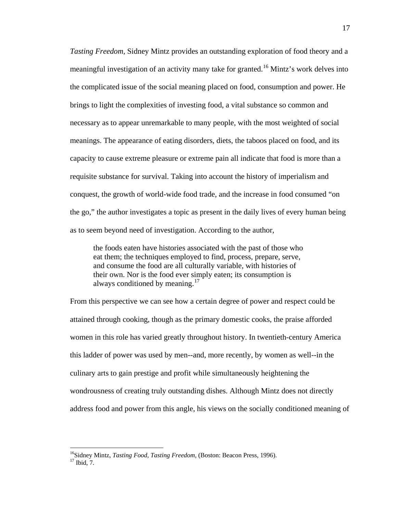*Tasting Freedom,* Sidney Mintz provides an outstanding exploration of food theory and a meaningful investigation of an activity many take for granted.<sup>[16](#page-20-0)</sup> Mintz's work delves into the complicated issue of the social meaning placed on food, consumption and power. He brings to light the complexities of investing food, a vital substance so common and necessary as to appear unremarkable to many people, with the most weighted of social meanings. The appearance of eating disorders, diets, the taboos placed on food, and its capacity to cause extreme pleasure or extreme pain all indicate that food is more than a requisite substance for survival. Taking into account the history of imperialism and conquest, the growth of world-wide food trade, and the increase in food consumed "on the go," the author investigates a topic as present in the daily lives of every human being as to seem beyond need of investigation. According to the author,

the foods eaten have histories associated with the past of those who eat them; the techniques employed to find, process, prepare, serve, and consume the food are all culturally variable, with histories of their own. Nor is the food ever simply eaten; its consumption is always conditioned by meaning.<sup>[17](#page-20-1)</sup>

From this perspective we can see how a certain degree of power and respect could be attained through cooking, though as the primary domestic cooks, the praise afforded women in this role has varied greatly throughout history. In twentieth-century America this ladder of power was used by men--and, more recently, by women as well--in the culinary arts to gain prestige and profit while simultaneously heightening the wondrousness of creating truly outstanding dishes. Although Mintz does not directly address food and power from this angle, his views on the socially conditioned meaning of

<span id="page-20-1"></span><span id="page-20-0"></span><sup>&</sup>lt;sup>16</sup>Sidney Mintz, *Tasting Food, Tasting Freedom*, (Boston: Beacon Press, 1996).<br><sup>17</sup> Ibid, 7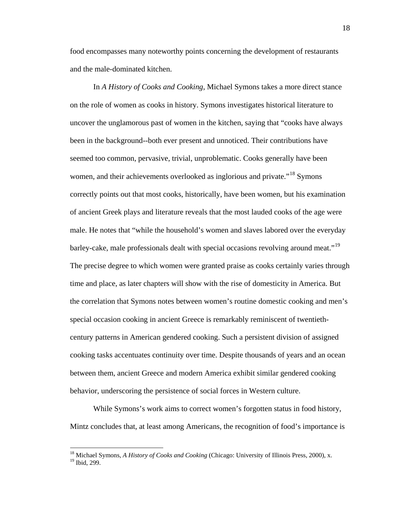food encompasses many noteworthy points concerning the development of restaurants and the male-dominated kitchen.

In *A History of Cooks and Cooking*, Michael Symons takes a more direct stance on the role of women as cooks in history. Symons investigates historical literature to uncover the unglamorous past of women in the kitchen, saying that "cooks have always been in the background--both ever present and unnoticed. Their contributions have seemed too common, pervasive, trivial, unproblematic. Cooks generally have been women, and their achievements overlooked as inglorious and private."<sup>[18](#page-21-0)</sup> Symons correctly points out that most cooks, historically, have been women, but his examination of ancient Greek plays and literature reveals that the most lauded cooks of the age were male. He notes that "while the household's women and slaves labored over the everyday barley-cake, male professionals dealt with special occasions revolving around meat."<sup>[19](#page-21-1)</sup> The precise degree to which women were granted praise as cooks certainly varies through time and place, as later chapters will show with the rise of domesticity in America. But the correlation that Symons notes between women's routine domestic cooking and men's special occasion cooking in ancient Greece is remarkably reminiscent of twentiethcentury patterns in American gendered cooking. Such a persistent division of assigned cooking tasks accentuates continuity over time. Despite thousands of years and an ocean between them, ancient Greece and modern America exhibit similar gendered cooking behavior, underscoring the persistence of social forces in Western culture.

While Symons's work aims to correct women's forgotten status in food history, Mintz concludes that, at least among Americans, the recognition of food's importance is

<span id="page-21-0"></span> <sup>18</sup> Michael Symons, *A History of Cooks and Cooking* (Chicago: University of Illinois Press, 2000), x.

<span id="page-21-1"></span><sup>19</sup> Ibid, 299.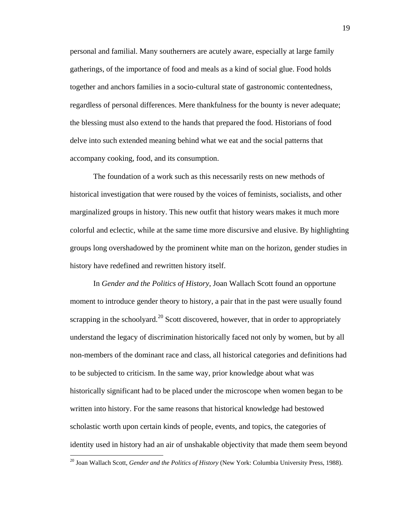personal and familial. Many southerners are acutely aware, especially at large family gatherings, of the importance of food and meals as a kind of social glue. Food holds together and anchors families in a socio-cultural state of gastronomic contentedness, regardless of personal differences. Mere thankfulness for the bounty is never adequate; the blessing must also extend to the hands that prepared the food. Historians of food delve into such extended meaning behind what we eat and the social patterns that accompany cooking, food, and its consumption.

The foundation of a work such as this necessarily rests on new methods of historical investigation that were roused by the voices of feminists, socialists, and other marginalized groups in history. This new outfit that history wears makes it much more colorful and eclectic, while at the same time more discursive and elusive. By highlighting groups long overshadowed by the prominent white man on the horizon, gender studies in history have redefined and rewritten history itself.

In *Gender and the Politics of History*, Joan Wallach Scott found an opportune moment to introduce gender theory to history, a pair that in the past were usually found scrapping in the schoolyard.<sup>[20](#page-22-0)</sup> Scott discovered, however, that in order to appropriately understand the legacy of discrimination historically faced not only by women, but by all non-members of the dominant race and class, all historical categories and definitions had to be subjected to criticism. In the same way, prior knowledge about what was historically significant had to be placed under the microscope when women began to be written into history. For the same reasons that historical knowledge had bestowed scholastic worth upon certain kinds of people, events, and topics, the categories of identity used in history had an air of unshakable objectivity that made them seem beyond

<span id="page-22-0"></span> <sup>20</sup> Joan Wallach Scott, *Gender and the Politics of History* (New York: Columbia University Press, 1988).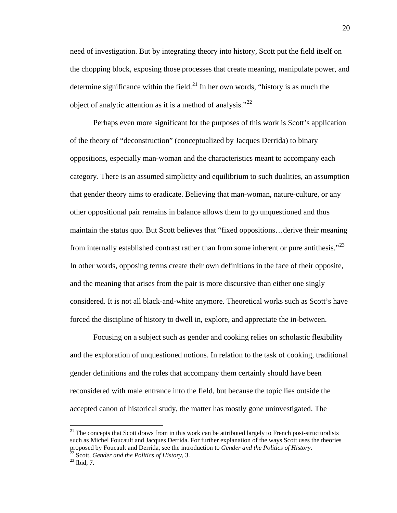need of investigation. But by integrating theory into history, Scott put the field itself on the chopping block, exposing those processes that create meaning, manipulate power, and determine significance within the field.<sup>[21](#page-23-0)</sup> In her own words, "history is as much the object of analytic attention as it is a method of analysis." $^{22}$  $^{22}$  $^{22}$ 

Perhaps even more significant for the purposes of this work is Scott's application of the theory of "deconstruction" (conceptualized by Jacques Derrida) to binary oppositions, especially man-woman and the characteristics meant to accompany each category. There is an assumed simplicity and equilibrium to such dualities, an assumption that gender theory aims to eradicate. Believing that man-woman, nature-culture, or any other oppositional pair remains in balance allows them to go unquestioned and thus maintain the status quo. But Scott believes that "fixed oppositions…derive their meaning from internally established contrast rather than from some inherent or pure antithesis."<sup>[23](#page-23-2)</sup> In other words, opposing terms create their own definitions in the face of their opposite, and the meaning that arises from the pair is more discursive than either one singly considered. It is not all black-and-white anymore. Theoretical works such as Scott's have forced the discipline of history to dwell in, explore, and appreciate the in-between.

Focusing on a subject such as gender and cooking relies on scholastic flexibility and the exploration of unquestioned notions. In relation to the task of cooking, traditional gender definitions and the roles that accompany them certainly should have been reconsidered with male entrance into the field, but because the topic lies outside the accepted canon of historical study, the matter has mostly gone uninvestigated. The

<span id="page-23-0"></span> $21$  The concepts that Scott draws from in this work can be attributed largely to French post-structuralists such as Michel Foucault and Jacques Derrida. For further explanation of the ways Scott uses the theories proposed by Foucault and Derrida, see the introduction to *Gender and the Politics of History*. 22 Scott, *Gender and the Politics of History*, 3. 23 Ibid, 7.

<span id="page-23-2"></span><span id="page-23-1"></span>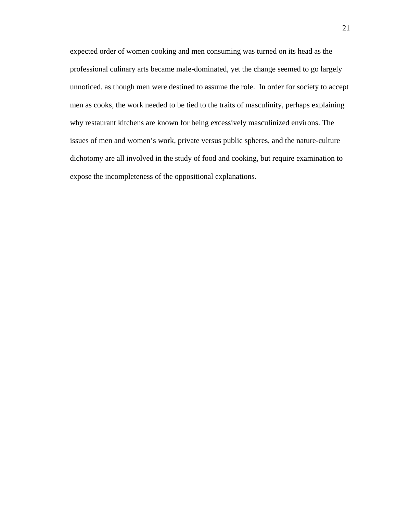expected order of women cooking and men consuming was turned on its head as the professional culinary arts became male-dominated, yet the change seemed to go largely unnoticed, as though men were destined to assume the role. In order for society to accept men as cooks, the work needed to be tied to the traits of masculinity, perhaps explaining why restaurant kitchens are known for being excessively masculinized environs. The issues of men and women's work, private versus public spheres, and the nature-culture dichotomy are all involved in the study of food and cooking, but require examination to expose the incompleteness of the oppositional explanations.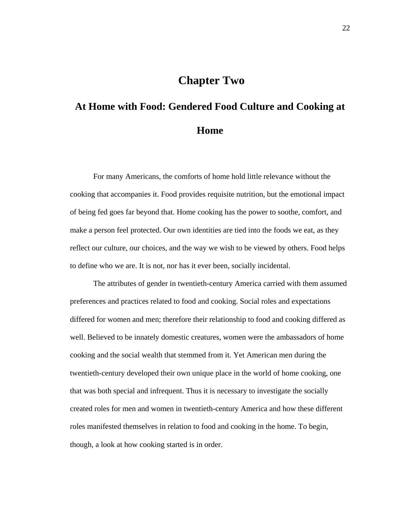# **Chapter Two**

# **At Home with Food: Gendered Food Culture and Cooking at Home**

For many Americans, the comforts of home hold little relevance without the cooking that accompanies it. Food provides requisite nutrition, but the emotional impact of being fed goes far beyond that. Home cooking has the power to soothe, comfort, and make a person feel protected. Our own identities are tied into the foods we eat, as they reflect our culture, our choices, and the way we wish to be viewed by others. Food helps to define who we are. It is not, nor has it ever been, socially incidental.

The attributes of gender in twentieth-century America carried with them assumed preferences and practices related to food and cooking. Social roles and expectations differed for women and men; therefore their relationship to food and cooking differed as well. Believed to be innately domestic creatures, women were the ambassadors of home cooking and the social wealth that stemmed from it. Yet American men during the twentieth-century developed their own unique place in the world of home cooking, one that was both special and infrequent. Thus it is necessary to investigate the socially created roles for men and women in twentieth-century America and how these different roles manifested themselves in relation to food and cooking in the home. To begin, though, a look at how cooking started is in order.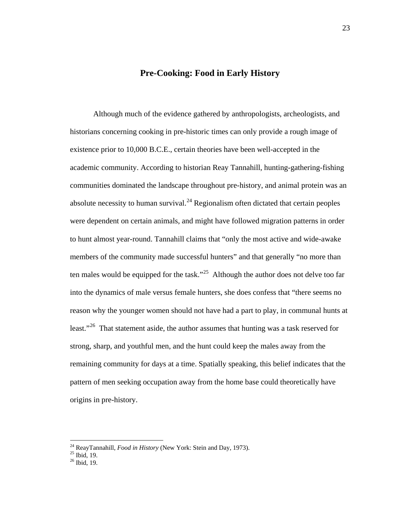#### **Pre-Cooking: Food in Early History**

Although much of the evidence gathered by anthropologists, archeologists, and historians concerning cooking in pre-historic times can only provide a rough image of existence prior to 10,000 B.C.E., certain theories have been well-accepted in the academic community. According to historian Reay Tannahill, hunting-gathering-fishing communities dominated the landscape throughout pre-history, and animal protein was an absolute necessity to human survival.<sup>[24](#page-26-0)</sup> Regionalism often dictated that certain peoples were dependent on certain animals, and might have followed migration patterns in order to hunt almost year-round. Tannahill claims that "only the most active and wide-awake members of the community made successful hunters" and that generally "no more than ten males would be equipped for the task."<sup>25</sup> Although the author does not delve too far into the dynamics of male versus female hunters, she does confess that "there seems no reason why the younger women should not have had a part to play, in communal hunts at least."<sup>[26](#page-26-2)</sup> That statement aside, the author assumes that hunting was a task reserved for strong, sharp, and youthful men, and the hunt could keep the males away from the remaining community for days at a time. Spatially speaking, this belief indicates that the pattern of men seeking occupation away from the home base could theoretically have origins in pre-history.

<span id="page-26-0"></span><sup>&</sup>lt;sup>24</sup> ReayTannahill, *Food in History* (New York: Stein and Day, 1973).<br><sup>25</sup> Ibid, 19.

<span id="page-26-1"></span>

<span id="page-26-2"></span> $26$  Ibid, 19.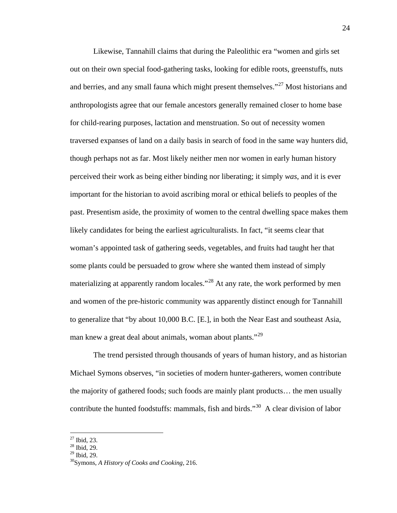Likewise, Tannahill claims that during the Paleolithic era "women and girls set out on their own special food-gathering tasks, looking for edible roots, greenstuffs, nuts and berries, and any small fauna which might present themselves."<sup>[27](#page-27-0)</sup> Most historians and anthropologists agree that our female ancestors generally remained closer to home base for child-rearing purposes, lactation and menstruation. So out of necessity women traversed expanses of land on a daily basis in search of food in the same way hunters did, though perhaps not as far. Most likely neither men nor women in early human history perceived their work as being either binding nor liberating; it simply *was*, and it is ever important for the historian to avoid ascribing moral or ethical beliefs to peoples of the past. Presentism aside, the proximity of women to the central dwelling space makes them likely candidates for being the earliest agriculturalists. In fact, "it seems clear that woman's appointed task of gathering seeds, vegetables, and fruits had taught her that some plants could be persuaded to grow where she wanted them instead of simply materializing at apparently random locales.<sup> $28$ </sup> At any rate, the work performed by men and women of the pre-historic community was apparently distinct enough for Tannahill to generalize that "by about 10,000 B.C. [E.], in both the Near East and southeast Asia, man knew a great deal about animals, woman about plants."<sup>[29](#page-27-2)</sup>

The trend persisted through thousands of years of human history, and as historian Michael Symons observes, "in societies of modern hunter-gatherers, women contribute the majority of gathered foods; such foods are mainly plant products… the men usually contribute the hunted foodstuffs: mammals, fish and birds."<sup>[30](#page-27-3)</sup> A clear division of labor

 $27$  Ibid, 23.

<span id="page-27-1"></span><span id="page-27-0"></span> $^{28}$  Ibid, 29.<br> $^{29}$  Ibid, 29.

<span id="page-27-3"></span><span id="page-27-2"></span>

<sup>&</sup>lt;sup>30</sup> Symons, *A History of Cooks and Cooking*, 216.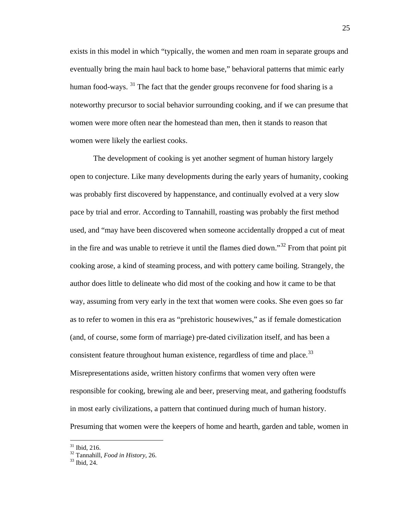exists in this model in which "typically, the women and men roam in separate groups and eventually bring the main haul back to home base," behavioral patterns that mimic early human food-ways. <sup>[31](#page-28-0)</sup> The fact that the gender groups reconvene for food sharing is a noteworthy precursor to social behavior surrounding cooking, and if we can presume that women were more often near the homestead than men, then it stands to reason that women were likely the earliest cooks.

The development of cooking is yet another segment of human history largely open to conjecture. Like many developments during the early years of humanity, cooking was probably first discovered by happenstance, and continually evolved at a very slow pace by trial and error. According to Tannahill, roasting was probably the first method used, and "may have been discovered when someone accidentally dropped a cut of meat in the fire and was unable to retrieve it until the flames died down."<sup>[32](#page-28-1)</sup> From that point pit cooking arose, a kind of steaming process, and with pottery came boiling. Strangely, the author does little to delineate who did most of the cooking and how it came to be that way, assuming from very early in the text that women were cooks. She even goes so far as to refer to women in this era as "prehistoric housewives," as if female domestication (and, of course, some form of marriage) pre-dated civilization itself, and has been a consistent feature throughout human existence, regardless of time and place.<sup>[33](#page-28-2)</sup> Misrepresentations aside, written history confirms that women very often were responsible for cooking, brewing ale and beer, preserving meat, and gathering foodstuffs in most early civilizations, a pattern that continued during much of human history. Presuming that women were the keepers of home and hearth, garden and table, women in

<span id="page-28-0"></span> <sup>31</sup> Ibid, 216.

<span id="page-28-1"></span><sup>32</sup> Tannahill, *Food in History*, 26. <sup>33</sup> Ibid, 24.

<span id="page-28-2"></span>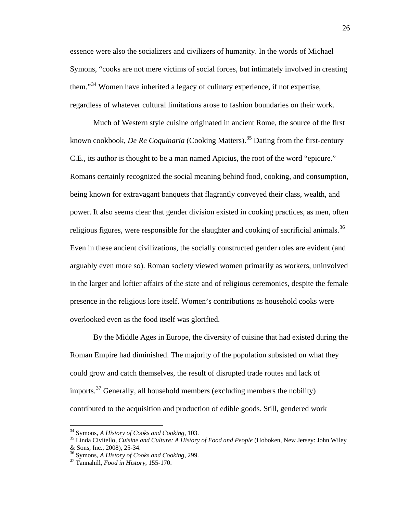essence were also the socializers and civilizers of humanity. In the words of Michael Symons, "cooks are not mere victims of social forces, but intimately involved in creating them."<sup>[34](#page-29-0)</sup> Women have inherited a legacy of culinary experience, if not expertise, regardless of whatever cultural limitations arose to fashion boundaries on their work.

Much of Western style cuisine originated in ancient Rome, the source of the first known cookbook, *De Re Coquinaria* (Cooking Matters). [35](#page-29-1) Dating from the first-century C.E., its author is thought to be a man named Apicius, the root of the word "epicure." Romans certainly recognized the social meaning behind food, cooking, and consumption, being known for extravagant banquets that flagrantly conveyed their class, wealth, and power. It also seems clear that gender division existed in cooking practices, as men, often religious figures, were responsible for the slaughter and cooking of sacrificial animals.<sup>[36](#page-29-2)</sup> Even in these ancient civilizations, the socially constructed gender roles are evident (and arguably even more so). Roman society viewed women primarily as workers, uninvolved in the larger and loftier affairs of the state and of religious ceremonies, despite the female presence in the religious lore itself. Women's contributions as household cooks were overlooked even as the food itself was glorified.

By the Middle Ages in Europe, the diversity of cuisine that had existed during the Roman Empire had diminished. The majority of the population subsisted on what they could grow and catch themselves, the result of disrupted trade routes and lack of imports.<sup>[37](#page-29-3)</sup> Generally, all household members (excluding members the nobility) contributed to the acquisition and production of edible goods. Still, gendered work

<span id="page-29-0"></span> <sup>34</sup> Symons, *A History of Cooks and Cooking*, 103.

<span id="page-29-1"></span><sup>35</sup> Linda Civitello, *Cuisine and Culture: A History of Food and People* (Hoboken, New Jersey: John Wiley

<span id="page-29-3"></span><span id="page-29-2"></span><sup>&</sup>lt;sup>36</sup> Symons, *A History of Cooks and Cooking*, 299. <sup>37</sup> Tannahill, *Food in History*, 155-170.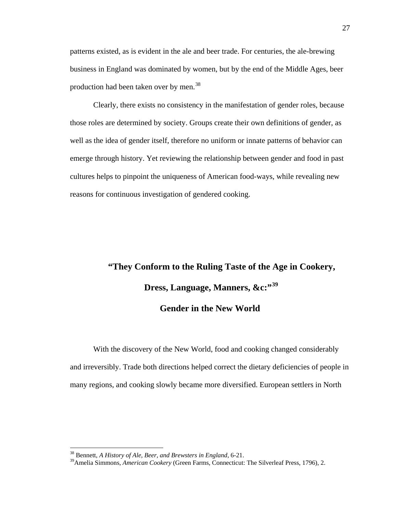patterns existed, as is evident in the ale and beer trade. For centuries, the ale-brewing business in England was dominated by women, but by the end of the Middle Ages, beer production had been taken over by men.<sup>[38](#page-30-0)</sup>

Clearly, there exists no consistency in the manifestation of gender roles, because those roles are determined by society. Groups create their own definitions of gender, as well as the idea of gender itself, therefore no uniform or innate patterns of behavior can emerge through history. Yet reviewing the relationship between gender and food in past cultures helps to pinpoint the uniqueness of American food-ways, while revealing new reasons for continuous investigation of gendered cooking.

# **"They Conform to the Ruling Taste of the Age in Cookery, Dress, Language, Manners, &c:"[39](#page-30-1) Gender in the New World**

With the discovery of the New World, food and cooking changed considerably and irreversibly. Trade both directions helped correct the dietary deficiencies of people in many regions, and cooking slowly became more diversified. European settlers in North

<span id="page-30-0"></span> <sup>38</sup> Bennett, *A History of Ale, Beer, and Brewsters in England*, 6-21.

<span id="page-30-1"></span><sup>39</sup>Amelia Simmons, *American Cookery* (Green Farms, Connecticut: The Silverleaf Press, 1796), 2.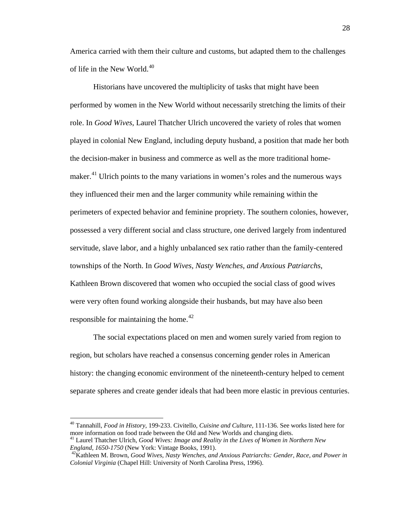America carried with them their culture and customs, but adapted them to the challenges of life in the New World.<sup>[40](#page-31-0)</sup>

Historians have uncovered the multiplicity of tasks that might have been performed by women in the New World without necessarily stretching the limits of their role. In *Good Wives*, Laurel Thatcher Ulrich uncovered the variety of roles that women played in colonial New England, including deputy husband, a position that made her both the decision-maker in business and commerce as well as the more traditional home-maker.<sup>[41](#page-31-1)</sup> Ulrich points to the many variations in women's roles and the numerous ways they influenced their men and the larger community while remaining within the perimeters of expected behavior and feminine propriety. The southern colonies, however, possessed a very different social and class structure, one derived largely from indentured servitude, slave labor, and a highly unbalanced sex ratio rather than the family-centered townships of the North. In *Good Wives, Nasty Wenches, and Anxious Patriarchs*, Kathleen Brown discovered that women who occupied the social class of good wives were very often found working alongside their husbands, but may have also been responsible for maintaining the home.<sup>[42](#page-31-2)</sup>

The social expectations placed on men and women surely varied from region to region, but scholars have reached a consensus concerning gender roles in American history: the changing economic environment of the nineteenth-century helped to cement separate spheres and create gender ideals that had been more elastic in previous centuries.

<span id="page-31-0"></span> <sup>40</sup> Tannahill, *Food in History*, 199-233. Civitello, *Cuisine and Culture*, 111-136. See works listed here for more information on food trade between the Old and New Worlds and changing diets.

<span id="page-31-1"></span><sup>&</sup>lt;sup>41</sup> Laurel Thatcher Ulrich, *Good Wives: Image and Reality in the Lives of Women in Northern New England, 1650-1750 (New York: Vintage Books, 1991).* 

<span id="page-31-2"></span><sup>&</sup>lt;sup>42</sup> Kathleen M. Brown, *Good Wives, Nasty Wenches, and Anxious Patriarchs: Gender, Race, and Power in Colonial Virginia* (Chapel Hill: University of North Carolina Press, 1996).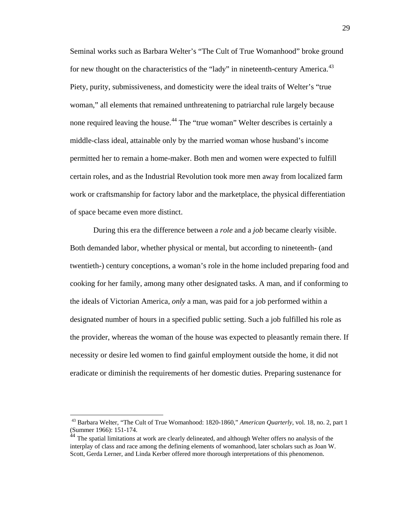Seminal works such as Barbara Welter's "The Cult of True Womanhood" broke ground for new thought on the characteristics of the "lady" in nineteenth-century America.<sup>[43](#page-32-0)</sup> Piety, purity, submissiveness, and domesticity were the ideal traits of Welter's "true woman," all elements that remained unthreatening to patriarchal rule largely because none required leaving the house.<sup>[44](#page-32-1)</sup> The "true woman" Welter describes is certainly a middle-class ideal, attainable only by the married woman whose husband's income permitted her to remain a home-maker. Both men and women were expected to fulfill certain roles, and as the Industrial Revolution took more men away from localized farm work or craftsmanship for factory labor and the marketplace, the physical differentiation of space became even more distinct.

During this era the difference between a *role* and a *job* became clearly visible. Both demanded labor, whether physical or mental, but according to nineteenth- (and twentieth-) century conceptions, a woman's role in the home included preparing food and cooking for her family, among many other designated tasks. A man, and if conforming to the ideals of Victorian America, *only* a man, was paid for a job performed within a designated number of hours in a specified public setting. Such a job fulfilled his role as the provider, whereas the woman of the house was expected to pleasantly remain there. If necessity or desire led women to find gainful employment outside the home, it did not eradicate or diminish the requirements of her domestic duties. Preparing sustenance for

<span id="page-32-0"></span> <sup>43</sup> Barbara Welter, "The Cult of True Womanhood: 1820-1860," *American Quarterly*, vol. 18, no. 2, part 1 (Summer 1966): 151-174.

<span id="page-32-1"></span><sup>&</sup>lt;sup>44</sup> The spatial limitations at work are clearly delineated, and although Welter offers no analysis of the interplay of class and race among the defining elements of womanhood, later scholars such as Joan W. Scott, Gerda Lerner, and Linda Kerber offered more thorough interpretations of this phenomenon.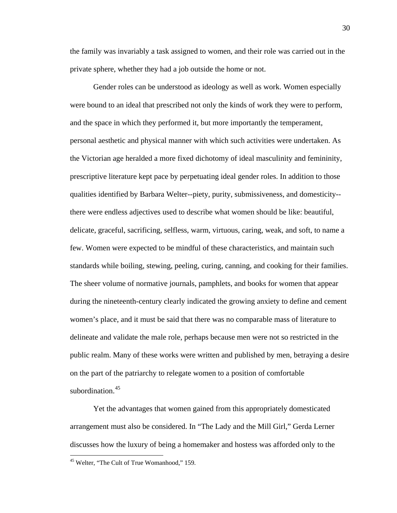the family was invariably a task assigned to women, and their role was carried out in the private sphere, whether they had a job outside the home or not.

Gender roles can be understood as ideology as well as work. Women especially were bound to an ideal that prescribed not only the kinds of work they were to perform, and the space in which they performed it, but more importantly the temperament, personal aesthetic and physical manner with which such activities were undertaken. As the Victorian age heralded a more fixed dichotomy of ideal masculinity and femininity, prescriptive literature kept pace by perpetuating ideal gender roles. In addition to those qualities identified by Barbara Welter--piety, purity, submissiveness, and domesticity- there were endless adjectives used to describe what women should be like: beautiful, delicate, graceful, sacrificing, selfless, warm, virtuous, caring, weak, and soft, to name a few. Women were expected to be mindful of these characteristics, and maintain such standards while boiling, stewing, peeling, curing, canning, and cooking for their families. The sheer volume of normative journals, pamphlets, and books for women that appear during the nineteenth-century clearly indicated the growing anxiety to define and cement women's place, and it must be said that there was no comparable mass of literature to delineate and validate the male role, perhaps because men were not so restricted in the public realm. Many of these works were written and published by men, betraying a desire on the part of the patriarchy to relegate women to a position of comfortable subordination.<sup>[45](#page-33-0)</sup>

Yet the advantages that women gained from this appropriately domesticated arrangement must also be considered. In "The Lady and the Mill Girl," Gerda Lerner discusses how the luxury of being a homemaker and hostess was afforded only to the

<span id="page-33-0"></span> <sup>45</sup> Welter, "The Cult of True Womanhood," 159.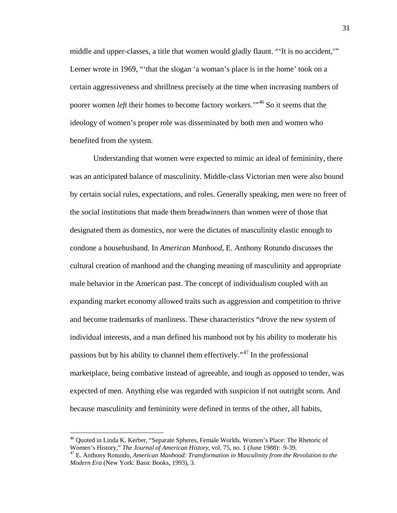middle and upper-classes, a title that women would gladly flaunt. "'It is no accident,'" Lerner wrote in 1969, "'that the slogan 'a woman's place is in the home' took on a certain aggressiveness and shrillness precisely at the time when increasing numbers of poorer women *left* their homes to become factory workers.'"[46](#page-34-0) So it seems that the ideology of women's proper role was disseminated by both men and women who benefited from the system.

Understanding that women were expected to mimic an ideal of femininity, there was an anticipated balance of masculinity. Middle-class Victorian men were also bound by certain social rules, expectations, and roles. Generally speaking, men were no freer of the social institutions that made them breadwinners than women were of those that designated them as domestics, nor were the dictates of masculinity elastic enough to condone a househusband. In *American Manhood*, E. Anthony Rotundo discusses the cultural creation of manhood and the changing meaning of masculinity and appropriate male behavior in the American past. The concept of individualism coupled with an expanding market economy allowed traits such as aggression and competition to thrive and become trademarks of manliness. These characteristics "drove the new system of individual interests, and a man defined his manhood not by his ability to moderate his passions but by his ability to channel them effectively."<sup>[47](#page-34-1)</sup> In the professional marketplace, being combative instead of agreeable, and tough as opposed to tender, was expected of men. Anything else was regarded with suspicion if not outright scorn. And because masculinity and femininity were defined in terms of the other, all habits,

<span id="page-34-0"></span> <sup>46</sup> Quoted in Linda K. Kerber, "Separate Spheres, Female Worlds, Women's Place: The Rhetoric of Women's History," *The Journal of American History*, vol. 75, no. 1 (June 1988): 9-39.

<span id="page-34-1"></span><sup>47</sup> E. Anthony Rotundo, *American Manhood: Transformation in Masculinity from the Revolution to the Modern Era* (New York: Basic Books, 1993), 3.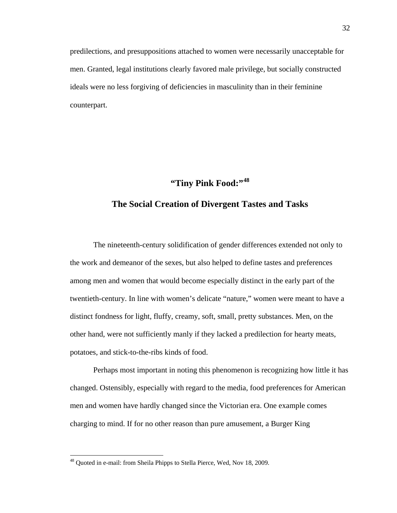predilections, and presuppositions attached to women were necessarily unacceptable for men. Granted, legal institutions clearly favored male privilege, but socially constructed ideals were no less forgiving of deficiencies in masculinity than in their feminine counterpart.

## **"Tiny Pink Food:"[48](#page-35-0)**

#### **The Social Creation of Divergent Tastes and Tasks**

The nineteenth-century solidification of gender differences extended not only to the work and demeanor of the sexes, but also helped to define tastes and preferences among men and women that would become especially distinct in the early part of the twentieth-century. In line with women's delicate "nature," women were meant to have a distinct fondness for light, fluffy, creamy, soft, small, pretty substances. Men, on the other hand, were not sufficiently manly if they lacked a predilection for hearty meats, potatoes, and stick-to-the-ribs kinds of food.

Perhaps most important in noting this phenomenon is recognizing how little it has changed. Ostensibly, especially with regard to the media, food preferences for American men and women have hardly changed since the Victorian era. One example comes charging to mind. If for no other reason than pure amusement, a Burger King

<span id="page-35-0"></span><sup>&</sup>lt;sup>48</sup> Quoted in e-mail: from Sheila Phipps to Stella Pierce, Wed, Nov 18, 2009.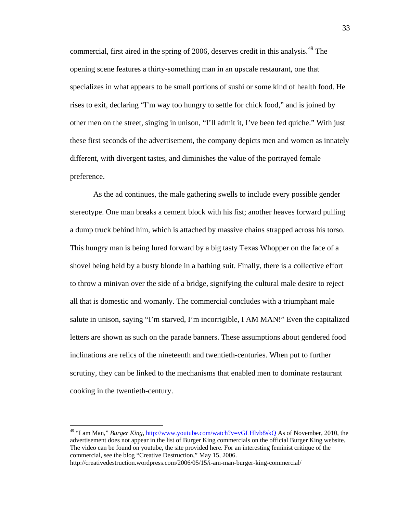commercial, first aired in the spring of 2006, deserves credit in this analysis.<sup>[49](#page-36-0)</sup> The opening scene features a thirty-something man in an upscale restaurant, one that specializes in what appears to be small portions of sushi or some kind of health food. He rises to exit, declaring "I'm way too hungry to settle for chick food," and is joined by other men on the street, singing in unison, "I'll admit it, I've been fed quiche." With just these first seconds of the advertisement, the company depicts men and women as innately different, with divergent tastes, and diminishes the value of the portrayed female preference.

As the ad continues, the male gathering swells to include every possible gender stereotype. One man breaks a cement block with his fist; another heaves forward pulling a dump truck behind him, which is attached by massive chains strapped across his torso. This hungry man is being lured forward by a big tasty Texas Whopper on the face of a shovel being held by a busty blonde in a bathing suit. Finally, there is a collective effort to throw a minivan over the side of a bridge, signifying the cultural male desire to reject all that is domestic and womanly. The commercial concludes with a triumphant male salute in unison, saying "I'm starved, I'm incorrigible, I AM MAN!" Even the capitalized letters are shown as such on the parade banners. These assumptions about gendered food inclinations are relics of the nineteenth and twentieth-centuries. When put to further scrutiny, they can be linked to the mechanisms that enabled men to dominate restaurant cooking in the twentieth-century.

<span id="page-36-0"></span><sup>&</sup>lt;sup>49</sup> "I am Man," *Burger King*,<http://www.youtube.com/watch?v=vGLHlvb8skQ> As of November, 2010, the advertisement does not appear in the list of Burger King commercials on the official Burger King website. The video can be found on youtube, the site provided here. For an interesting feminist critique of the commercial, see the blog "Creative Destruction," May 15, 2006.

http://creativedestruction.wordpress.com/2006/05/15/i-am-man-burger-king-commercial/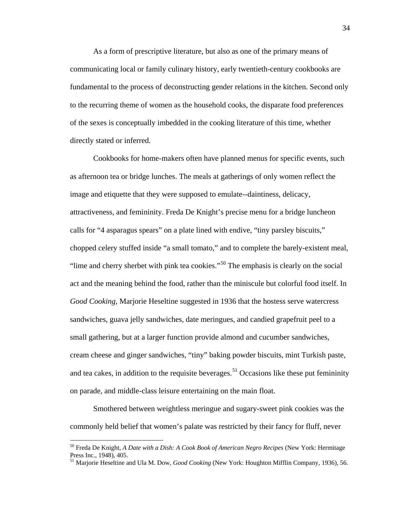As a form of prescriptive literature, but also as one of the primary means of communicating local or family culinary history, early twentieth-century cookbooks are fundamental to the process of deconstructing gender relations in the kitchen. Second only to the recurring theme of women as the household cooks, the disparate food preferences of the sexes is conceptually imbedded in the cooking literature of this time, whether directly stated or inferred.

Cookbooks for home-makers often have planned menus for specific events, such as afternoon tea or bridge lunches. The meals at gatherings of only women reflect the image and etiquette that they were supposed to emulate--daintiness, delicacy, attractiveness, and femininity. Freda De Knight's precise menu for a bridge luncheon calls for "4 asparagus spears" on a plate lined with endive, "tiny parsley biscuits," chopped celery stuffed inside "a small tomato," and to complete the barely-existent meal, "lime and cherry sherbet with pink tea cookies."[50](#page-37-0) The emphasis is clearly on the social act and the meaning behind the food, rather than the miniscule but colorful food itself. In *Good Cooking*, Marjorie Heseltine suggested in 1936 that the hostess serve watercress sandwiches, guava jelly sandwiches, date meringues, and candied grapefruit peel to a small gathering, but at a larger function provide almond and cucumber sandwiches, cream cheese and ginger sandwiches, "tiny" baking powder biscuits, mint Turkish paste, and tea cakes, in addition to the requisite beverages.<sup>[51](#page-37-1)</sup> Occasions like these put femininity on parade, and middle-class leisure entertaining on the main float.

Smothered between weightless meringue and sugary-sweet pink cookies was the commonly held belief that women's palate was restricted by their fancy for fluff, never

<span id="page-37-0"></span> <sup>50</sup> Freda De Knight, *A Date with a Dish: A Cook Book of American Negro Recipes* (New York: Hermitage Press Inc., 1948), 405.

<span id="page-37-1"></span><sup>51</sup> Marjorie Heseltine and Ula M. Dow, *Good Cooking* (New York: Houghton Mifflin Company, 1936), 56.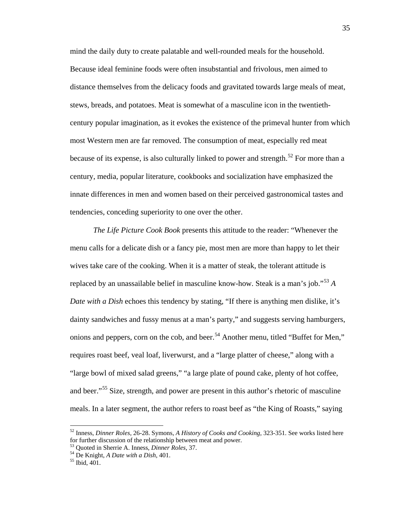mind the daily duty to create palatable and well-rounded meals for the household. Because ideal feminine foods were often insubstantial and frivolous, men aimed to distance themselves from the delicacy foods and gravitated towards large meals of meat, stews, breads, and potatoes. Meat is somewhat of a masculine icon in the twentiethcentury popular imagination, as it evokes the existence of the primeval hunter from which most Western men are far removed. The consumption of meat, especially red meat because of its expense, is also culturally linked to power and strength.<sup>[52](#page-38-0)</sup> For more than a century, media, popular literature, cookbooks and socialization have emphasized the innate differences in men and women based on their perceived gastronomical tastes and tendencies, conceding superiority to one over the other.

*The Life Picture Cook Book* presents this attitude to the reader: "Whenever the menu calls for a delicate dish or a fancy pie, most men are more than happy to let their wives take care of the cooking. When it is a matter of steak, the tolerant attitude is replaced by an unassailable belief in masculine know-how. Steak is a man's job." [53](#page-38-1) *A Date with a Dish* echoes this tendency by stating, "If there is anything men dislike, it's dainty sandwiches and fussy menus at a man's party," and suggests serving hamburgers, onions and peppers, corn on the cob, and beer.<sup>[54](#page-38-2)</sup> Another menu, titled "Buffet for Men," requires roast beef, veal loaf, liverwurst, and a "large platter of cheese," along with a "large bowl of mixed salad greens," "a large plate of pound cake, plenty of hot coffee, and beer."<sup>[55](#page-38-3)</sup> Size, strength, and power are present in this author's rhetoric of masculine meals. In a later segment, the author refers to roast beef as "the King of Roasts," saying

<span id="page-38-0"></span> <sup>52</sup> Inness, *Dinner Roles,* 26-28. Symons, *A History of Cooks and Cooking,* 323-351. See works listed here for further discussion of the relationship between meat and power.

<span id="page-38-2"></span><span id="page-38-1"></span><sup>53</sup> Quoted in Sherrie A. Inness, *Dinner Roles,* 37. <sup>54</sup> De Knight, *A Date with a Dish*, 401. <sup>55</sup> Ibid, 401.

<span id="page-38-3"></span>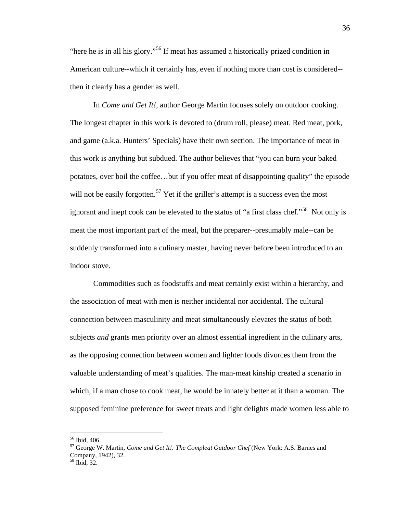"here he is in all his glory."<sup>[56](#page-39-0)</sup> If meat has assumed a historically prized condition in American culture--which it certainly has, even if nothing more than cost is considered- then it clearly has a gender as well.

In *Come and Get It!,* author George Martin focuses solely on outdoor cooking. The longest chapter in this work is devoted to (drum roll, please) meat. Red meat, pork, and game (a.k.a. Hunters' Specials) have their own section. The importance of meat in this work is anything but subdued. The author believes that "you can burn your baked potatoes, over boil the coffee…but if you offer meat of disappointing quality" the episode will not be easily forgotten.<sup>[57](#page-39-1)</sup> Yet if the griller's attempt is a success even the most ignorant and inept cook can be elevated to the status of "a first class chef."<sup>[58](#page-39-2)</sup> Not only is meat the most important part of the meal, but the preparer--presumably male--can be suddenly transformed into a culinary master, having never before been introduced to an indoor stove.

Commodities such as foodstuffs and meat certainly exist within a hierarchy, and the association of meat with men is neither incidental nor accidental. The cultural connection between masculinity and meat simultaneously elevates the status of both subjects *and* grants men priority over an almost essential ingredient in the culinary arts, as the opposing connection between women and lighter foods divorces them from the valuable understanding of meat's qualities. The man-meat kinship created a scenario in which, if a man chose to cook meat, he would be innately better at it than a woman. The supposed feminine preference for sweet treats and light delights made women less able to

<span id="page-39-1"></span><span id="page-39-0"></span><sup>&</sup>lt;sup>56</sup> Ibid, 406.<br><sup>57</sup> George W. Martin, *Come and Get It!: The Compleat Outdoor Chef* (New York: A.S. Barnes and Company, 1942), 32.

<span id="page-39-2"></span><sup>58</sup> Ibid, 32.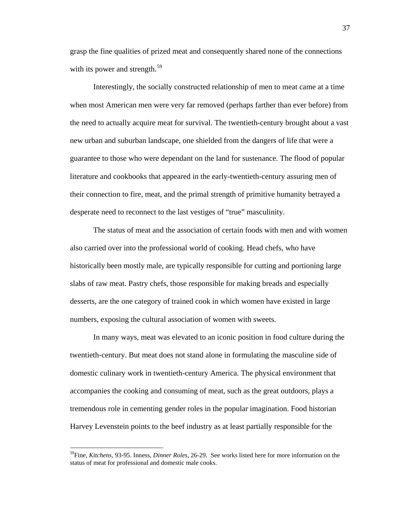grasp the fine qualities of prized meat and consequently shared none of the connections with its power and strength.<sup>[59](#page-40-0)</sup>

Interestingly, the socially constructed relationship of men to meat came at a time when most American men were very far removed (perhaps farther than ever before) from the need to actually acquire meat for survival. The twentieth-century brought about a vast new urban and suburban landscape, one shielded from the dangers of life that were a guarantee to those who were dependant on the land for sustenance. The flood of popular literature and cookbooks that appeared in the early-twentieth-century assuring men of their connection to fire, meat, and the primal strength of primitive humanity betrayed a desperate need to reconnect to the last vestiges of "true" masculinity.

The status of meat and the association of certain foods with men and with women also carried over into the professional world of cooking. Head chefs, who have historically been mostly male, are typically responsible for cutting and portioning large slabs of raw meat. Pastry chefs, those responsible for making breads and especially desserts, are the one category of trained cook in which women have existed in large numbers, exposing the cultural association of women with sweets.

In many ways, meat was elevated to an iconic position in food culture during the twentieth-century. But meat does not stand alone in formulating the masculine side of domestic culinary work in twentieth-century America. The physical environment that accompanies the cooking and consuming of meat, such as the great outdoors, plays a tremendous role in cementing gender roles in the popular imagination. Food historian Harvey Levenstein points to the beef industry as at least partially responsible for the

<span id="page-40-0"></span> <sup>59</sup>Fine, *Kitchens,* 93-95. Inness, *Dinner Roles,* 26-29. See works listed here for more information on the status of meat for professional and domestic male cooks.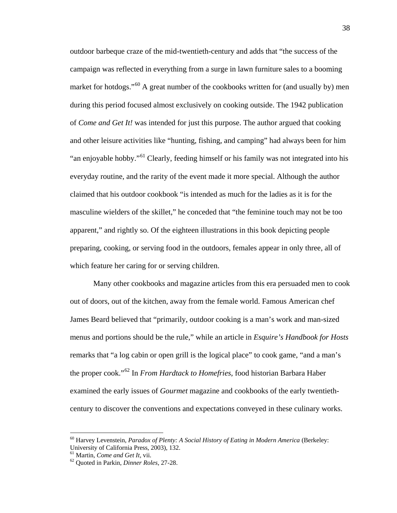outdoor barbeque craze of the mid-twentieth-century and adds that "the success of the campaign was reflected in everything from a surge in lawn furniture sales to a booming market for hotdogs."<sup>[60](#page-41-0)</sup> A great number of the cookbooks written for (and usually by) men during this period focused almost exclusively on cooking outside. The 1942 publication of *Come and Get It!* was intended for just this purpose. The author argued that cooking and other leisure activities like "hunting, fishing, and camping" had always been for him "an enjoyable hobby."<sup>[61](#page-41-1)</sup> Clearly, feeding himself or his family was not integrated into his everyday routine, and the rarity of the event made it more special. Although the author claimed that his outdoor cookbook "is intended as much for the ladies as it is for the masculine wielders of the skillet," he conceded that "the feminine touch may not be too apparent," and rightly so. Of the eighteen illustrations in this book depicting people preparing, cooking, or serving food in the outdoors, females appear in only three, all of which feature her caring for or serving children.

Many other cookbooks and magazine articles from this era persuaded men to cook out of doors, out of the kitchen, away from the female world. Famous American chef James Beard believed that "primarily, outdoor cooking is a man's work and man-sized menus and portions should be the rule," while an article in *Esquire's Handbook for Hosts* remarks that "a log cabin or open grill is the logical place" to cook game, "and a man's the proper cook." [62](#page-41-2) In *From Hardtack to Homefries*, food historian Barbara Haber examined the early issues of *Gourmet* magazine and cookbooks of the early twentiethcentury to discover the conventions and expectations conveyed in these culinary works.

<span id="page-41-0"></span> <sup>60</sup> Harvey Levenstein, *Paradox of Plenty: A Social History of Eating in Modern America* (Berkeley: University of California Press, 2003), 132.<br><sup>61</sup> Martin, *Come and Get It*, vii.

<span id="page-41-2"></span><span id="page-41-1"></span><sup>&</sup>lt;sup>62</sup> Quoted in Parkin, *Dinner Roles*, 27-28.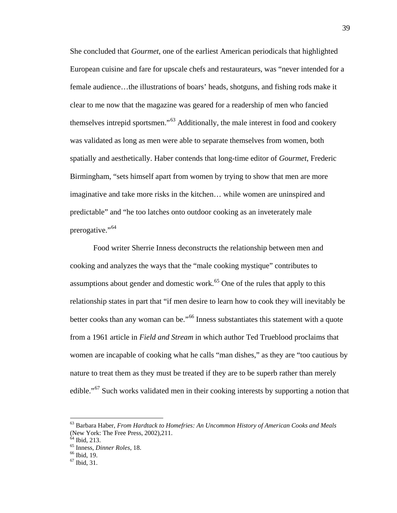She concluded that *Gourmet*, one of the earliest American periodicals that highlighted European cuisine and fare for upscale chefs and restaurateurs, was "never intended for a female audience…the illustrations of boars' heads, shotguns, and fishing rods make it clear to me now that the magazine was geared for a readership of men who fancied themselves intrepid sportsmen."<sup>[63](#page-42-0)</sup> Additionally, the male interest in food and cookery was validated as long as men were able to separate themselves from women, both spatially and aesthetically. Haber contends that long-time editor of *Gourmet*, Frederic Birmingham, "sets himself apart from women by trying to show that men are more imaginative and take more risks in the kitchen… while women are uninspired and predictable" and "he too latches onto outdoor cooking as an inveterately male prerogative."<sup>[64](#page-42-1)</sup>

Food writer Sherrie Inness deconstructs the relationship between men and cooking and analyzes the ways that the "male cooking mystique" contributes to assumptions about gender and domestic work.<sup>[65](#page-42-2)</sup> One of the rules that apply to this relationship states in part that "if men desire to learn how to cook they will inevitably be better cooks than any woman can be."<sup>[66](#page-42-3)</sup> Inness substantiates this statement with a quote from a 1961 article in *Field and Stream* in which author Ted Trueblood proclaims that women are incapable of cooking what he calls "man dishes," as they are "too cautious by nature to treat them as they must be treated if they are to be superb rather than merely edible."<sup>[67](#page-42-4)</sup> Such works validated men in their cooking interests by supporting a notion that

<span id="page-42-0"></span> <sup>63</sup> Barbara Haber, *From Hardtack to Homefries: An Uncommon History of American Cooks and Meals* (New York: The Free Press, 2002), 211.<br><sup>64</sup> Ibid, 213.

<span id="page-42-2"></span><span id="page-42-1"></span><sup>65</sup> Inness, *Dinner Roles*, 18.<br><sup>66</sup> Ibid, 19.<br><sup>67</sup> Ibid. 31.

<span id="page-42-4"></span><span id="page-42-3"></span>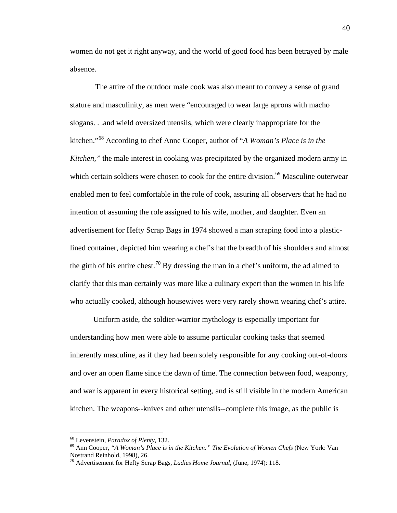women do not get it right anyway, and the world of good food has been betrayed by male absence.

The attire of the outdoor male cook was also meant to convey a sense of grand stature and masculinity, as men were "encouraged to wear large aprons with macho slogans. . .and wield oversized utensils, which were clearly inappropriate for the kitchen."[68](#page-43-0) According to chef Anne Cooper, author of "*A Woman's Place is in the Kitchen,*" the male interest in cooking was precipitated by the organized modern army in which certain soldiers were chosen to cook for the entire division.<sup>[69](#page-43-1)</sup> Masculine outerwear enabled men to feel comfortable in the role of cook, assuring all observers that he had no intention of assuming the role assigned to his wife, mother, and daughter. Even an advertisement for Hefty Scrap Bags in 1974 showed a man scraping food into a plasticlined container, depicted him wearing a chef's hat the breadth of his shoulders and almost the girth of his entire chest.<sup>[70](#page-43-2)</sup> By dressing the man in a chef's uniform, the ad aimed to clarify that this man certainly was more like a culinary expert than the women in his life who actually cooked, although housewives were very rarely shown wearing chef's attire.

Uniform aside, the soldier-warrior mythology is especially important for understanding how men were able to assume particular cooking tasks that seemed inherently masculine, as if they had been solely responsible for any cooking out-of-doors and over an open flame since the dawn of time. The connection between food, weaponry, and war is apparent in every historical setting, and is still visible in the modern American kitchen. The weapons--knives and other utensils--complete this image, as the public is

<span id="page-43-1"></span><span id="page-43-0"></span><sup>&</sup>lt;sup>68</sup> Levenstein, *Paradox of Plenty*, 132.<br><sup>69</sup> Ann Cooper, *"A Woman's Place is in the Kitchen:" The Evolution of Women Chefs* (New York: Van Nostrand Reinhold, 1998), 26.

<span id="page-43-2"></span><sup>70</sup> Advertisement for Hefty Scrap Bags, *Ladies Home Journal,* (June, 1974): 118.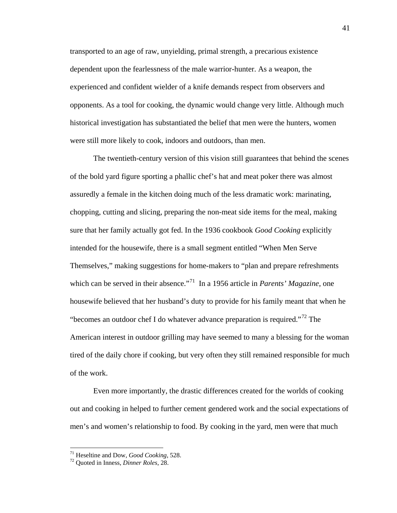transported to an age of raw, unyielding, primal strength, a precarious existence dependent upon the fearlessness of the male warrior-hunter. As a weapon, the experienced and confident wielder of a knife demands respect from observers and opponents. As a tool for cooking, the dynamic would change very little. Although much historical investigation has substantiated the belief that men were the hunters, women were still more likely to cook, indoors and outdoors, than men.

The twentieth-century version of this vision still guarantees that behind the scenes of the bold yard figure sporting a phallic chef's hat and meat poker there was almost assuredly a female in the kitchen doing much of the less dramatic work: marinating, chopping, cutting and slicing, preparing the non-meat side items for the meal, making sure that her family actually got fed. In the 1936 cookbook *Good Cooking* explicitly intended for the housewife, there is a small segment entitled "When Men Serve Themselves," making suggestions for home-makers to "plan and prepare refreshments which can be served in their absence.<sup>"71</sup> In a 1956 article in *Parents' Magazine*, one housewife believed that her husband's duty to provide for his family meant that when he "becomes an outdoor chef I do whatever advance preparation is required."<sup>[72](#page-44-1)</sup> The American interest in outdoor grilling may have seemed to many a blessing for the woman tired of the daily chore if cooking, but very often they still remained responsible for much of the work.

Even more importantly, the drastic differences created for the worlds of cooking out and cooking in helped to further cement gendered work and the social expectations of men's and women's relationship to food. By cooking in the yard, men were that much

<span id="page-44-0"></span><sup>71</sup> Heseltine and Dow, *Good Cooking*, 528. <sup>72</sup> Quoted in Inness, *Dinner Roles*, 28.

<span id="page-44-1"></span>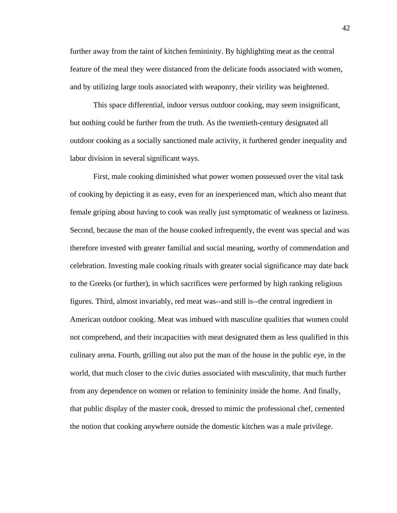further away from the taint of kitchen femininity. By highlighting meat as the central feature of the meal they were distanced from the delicate foods associated with women, and by utilizing large tools associated with weaponry, their virility was heightened.

This space differential, indoor versus outdoor cooking, may seem insignificant, but nothing could be further from the truth. As the twentieth-century designated all outdoor cooking as a socially sanctioned male activity, it furthered gender inequality and labor division in several significant ways.

First, male cooking diminished what power women possessed over the vital task of cooking by depicting it as easy, even for an inexperienced man, which also meant that female griping about having to cook was really just symptomatic of weakness or laziness. Second, because the man of the house cooked infrequently, the event was special and was therefore invested with greater familial and social meaning, worthy of commendation and celebration. Investing male cooking rituals with greater social significance may date back to the Greeks (or further), in which sacrifices were performed by high ranking religious figures. Third, almost invariably, red meat was--and still is--the central ingredient in American outdoor cooking. Meat was imbued with masculine qualities that women could not comprehend, and their incapacities with meat designated them as less qualified in this culinary arena. Fourth, grilling out also put the man of the house in the public eye, in the world, that much closer to the civic duties associated with masculinity, that much further from any dependence on women or relation to femininity inside the home. And finally, that public display of the master cook, dressed to mimic the professional chef, cemented the notion that cooking anywhere outside the domestic kitchen was a male privilege.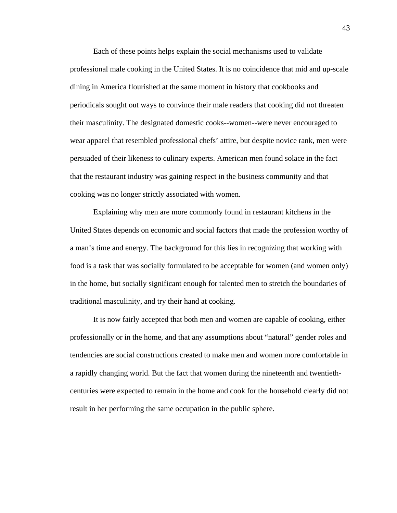Each of these points helps explain the social mechanisms used to validate professional male cooking in the United States. It is no coincidence that mid and up-scale dining in America flourished at the same moment in history that cookbooks and periodicals sought out ways to convince their male readers that cooking did not threaten their masculinity. The designated domestic cooks--women--were never encouraged to wear apparel that resembled professional chefs' attire, but despite novice rank, men were persuaded of their likeness to culinary experts. American men found solace in the fact that the restaurant industry was gaining respect in the business community and that cooking was no longer strictly associated with women.

Explaining why men are more commonly found in restaurant kitchens in the United States depends on economic and social factors that made the profession worthy of a man's time and energy. The background for this lies in recognizing that working with food is a task that was socially formulated to be acceptable for women (and women only) in the home, but socially significant enough for talented men to stretch the boundaries of traditional masculinity, and try their hand at cooking.

It is now fairly accepted that both men and women are capable of cooking, either professionally or in the home, and that any assumptions about "natural" gender roles and tendencies are social constructions created to make men and women more comfortable in a rapidly changing world. But the fact that women during the nineteenth and twentiethcenturies were expected to remain in the home and cook for the household clearly did not result in her performing the same occupation in the public sphere.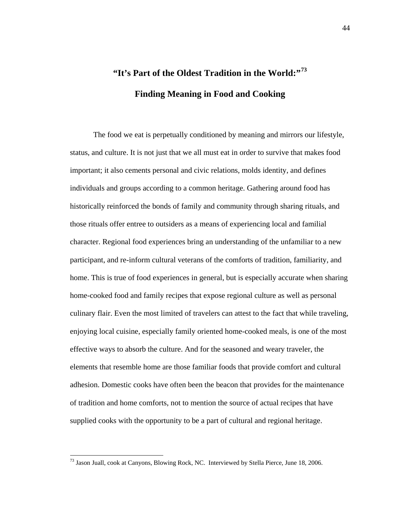## **"It's Part of the Oldest Tradition in the World:"[73](#page-47-0) Finding Meaning in Food and Cooking**

The food we eat is perpetually conditioned by meaning and mirrors our lifestyle, status, and culture. It is not just that we all must eat in order to survive that makes food important; it also cements personal and civic relations, molds identity, and defines individuals and groups according to a common heritage. Gathering around food has historically reinforced the bonds of family and community through sharing rituals, and those rituals offer entree to outsiders as a means of experiencing local and familial character. Regional food experiences bring an understanding of the unfamiliar to a new participant, and re-inform cultural veterans of the comforts of tradition, familiarity, and home. This is true of food experiences in general, but is especially accurate when sharing home-cooked food and family recipes that expose regional culture as well as personal culinary flair. Even the most limited of travelers can attest to the fact that while traveling, enjoying local cuisine, especially family oriented home-cooked meals, is one of the most effective ways to absorb the culture. And for the seasoned and weary traveler, the elements that resemble home are those familiar foods that provide comfort and cultural adhesion. Domestic cooks have often been the beacon that provides for the maintenance of tradition and home comforts, not to mention the source of actual recipes that have supplied cooks with the opportunity to be a part of cultural and regional heritage.

<span id="page-47-0"></span> $^{73}$  Jason Juall, cook at Canyons, Blowing Rock, NC. Interviewed by Stella Pierce, June 18, 2006.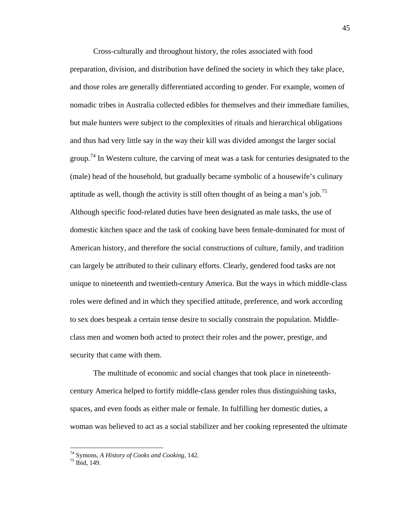Cross-culturally and throughout history, the roles associated with food preparation, division, and distribution have defined the society in which they take place, and those roles are generally differentiated according to gender. For example, women of nomadic tribes in Australia collected edibles for themselves and their immediate families, but male hunters were subject to the complexities of rituals and hierarchical obligations and thus had very little say in the way their kill was divided amongst the larger social group.<sup>[74](#page-48-0)</sup> In Western culture, the carving of meat was a task for centuries designated to the (male) head of the household, but gradually became symbolic of a housewife's culinary aptitude as well, though the activity is still often thought of as being a man's job.<sup>[75](#page-48-1)</sup> Although specific food-related duties have been designated as male tasks, the use of domestic kitchen space and the task of cooking have been female-dominated for most of American history, and therefore the social constructions of culture, family, and tradition can largely be attributed to their culinary efforts. Clearly, gendered food tasks are not unique to nineteenth and twentieth-century America. But the ways in which middle-class roles were defined and in which they specified attitude, preference, and work according to sex does bespeak a certain tense desire to socially constrain the population. Middleclass men and women both acted to protect their roles and the power, prestige, and security that came with them.

The multitude of economic and social changes that took place in nineteenthcentury America helped to fortify middle-class gender roles thus distinguishing tasks, spaces, and even foods as either male or female. In fulfilling her domestic duties, a woman was believed to act as a social stabilizer and her cooking represented the ultimate

<span id="page-48-1"></span><span id="page-48-0"></span><sup>74</sup> Symons, *A History of Cooks and Cooking*, 142. <sup>75</sup> Ibid*,* 149.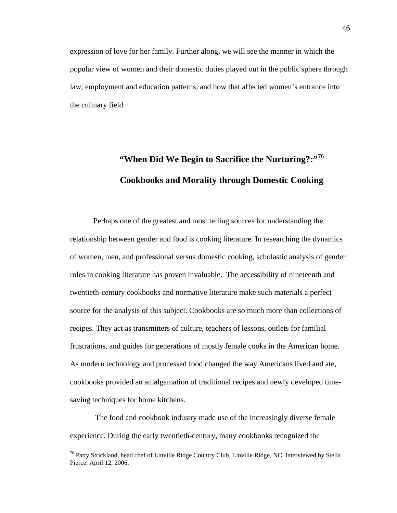expression of love for her family. Further along, we will see the manner in which the popular view of women and their domestic duties played out in the public sphere through law, employment and education patterns, and how that affected women's entrance into the culinary field.

## **"When Did We Begin to Sacrifice the Nurturing?:"[76](#page-49-0) Cookbooks and Morality through Domestic Cooking**

Perhaps one of the greatest and most telling sources for understanding the relationship between gender and food is cooking literature. In researching the dynamics of women, men, and professional versus domestic cooking, scholastic analysis of gender roles in cooking literature has proven invaluable. The accessibility of nineteenth and twentieth-century cookbooks and normative literature make such materials a perfect source for the analysis of this subject. Cookbooks are so much more than collections of recipes. They act as transmitters of culture, teachers of lessons, outlets for familial frustrations, and guides for generations of mostly female cooks in the American home. As modern technology and processed food changed the way Americans lived and ate, cookbooks provided an amalgamation of traditional recipes and newly developed timesaving techniques for home kitchens.

The food and cookbook industry made use of the increasingly diverse female experience. During the early twentieth-century, many cookbooks recognized the

<span id="page-49-0"></span><sup>&</sup>lt;sup>76</sup> Patty Strickland, head chef of Linville Ridge Country Club, Linville Ridge, NC. Interviewed by Stella Pierce, April 12, 2006.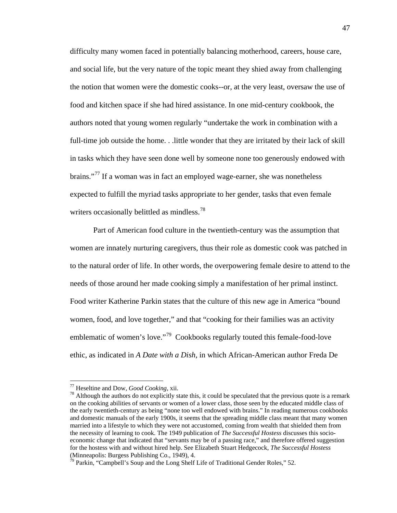difficulty many women faced in potentially balancing motherhood, careers, house care, and social life, but the very nature of the topic meant they shied away from challenging the notion that women were the domestic cooks--or, at the very least, oversaw the use of food and kitchen space if she had hired assistance. In one mid-century cookbook, the authors noted that young women regularly "undertake the work in combination with a full-time job outside the home. . .little wonder that they are irritated by their lack of skill in tasks which they have seen done well by someone none too generously endowed with brains."<sup>[77](#page-50-0)</sup> If a woman was in fact an employed wage-earner, she was nonetheless expected to fulfill the myriad tasks appropriate to her gender, tasks that even female writers occasionally belittled as mindless.<sup>[78](#page-50-1)</sup>

Part of American food culture in the twentieth-century was the assumption that women are innately nurturing caregivers, thus their role as domestic cook was patched in to the natural order of life. In other words, the overpowering female desire to attend to the needs of those around her made cooking simply a manifestation of her primal instinct. Food writer Katherine Parkin states that the culture of this new age in America "bound women, food, and love together," and that "cooking for their families was an activity emblematic of women's love."<sup>[79](#page-50-2)</sup> Cookbooks regularly touted this female-food-love ethic, as indicated in *A Date with a Dish*, in which African-American author Freda De

<span id="page-50-0"></span> <sup>77</sup> Heseltine and Dow, *Good Cooking*, xii.

<span id="page-50-1"></span> $78$  Although the authors do not explicitly state this, it could be speculated that the previous quote is a remark on the cooking abilities of servants or women of a lower class, those seen by the educated middle class of the early twentieth-century as being "none too well endowed with brains." In reading numerous cookbooks and domestic manuals of the early 1900s, it seems that the spreading middle class meant that many women married into a lifestyle to which they were not accustomed, coming from wealth that shielded them from the necessity of learning to cook. The 1949 publication of *The Successful Hostess* discusses this socioeconomic change that indicated that "servants may be of a passing race," and therefore offered suggestion for the hostess with and without hired help. See Elizabeth Stuart Hedgecock, *The Successful Hostess* (Minneapolis: Burgess Publishing Co., 1949), 4.

<span id="page-50-2"></span><sup>&</sup>lt;sup>79</sup> Parkin, "Campbell's Soup and the Long Shelf Life of Traditional Gender Roles," 52.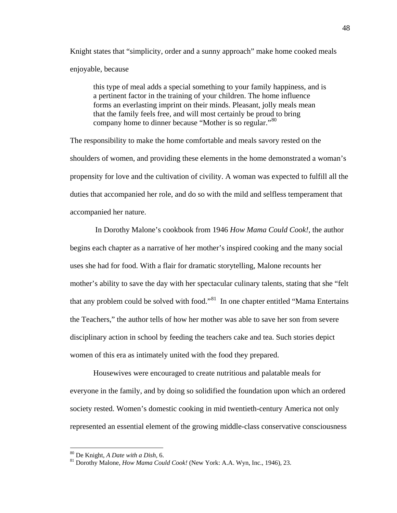Knight states that "simplicity, order and a sunny approach" make home cooked meals enjoyable, because

this type of meal adds a special something to your family happiness, and is a pertinent factor in the training of your children. The home influence forms an everlasting imprint on their minds. Pleasant, jolly meals mean that the family feels free, and will most certainly be proud to bring company home to dinner because "Mother is so regular."<sup>[80](#page-51-0)</sup>

The responsibility to make the home comfortable and meals savory rested on the shoulders of women, and providing these elements in the home demonstrated a woman's propensity for love and the cultivation of civility. A woman was expected to fulfill all the duties that accompanied her role, and do so with the mild and selfless temperament that accompanied her nature.

In Dorothy Malone's cookbook from 1946 *How Mama Could Cook!,* the author begins each chapter as a narrative of her mother's inspired cooking and the many social uses she had for food. With a flair for dramatic storytelling, Malone recounts her mother's ability to save the day with her spectacular culinary talents, stating that she "felt that any problem could be solved with food."<sup>[81](#page-51-1)</sup> In one chapter entitled "Mama Entertains" the Teachers," the author tells of how her mother was able to save her son from severe disciplinary action in school by feeding the teachers cake and tea. Such stories depict women of this era as intimately united with the food they prepared.

Housewives were encouraged to create nutritious and palatable meals for everyone in the family, and by doing so solidified the foundation upon which an ordered society rested. Women's domestic cooking in mid twentieth-century America not only represented an essential element of the growing middle-class conservative consciousness

<span id="page-51-1"></span><span id="page-51-0"></span><sup>80</sup> De Knight, *A Date with a Dish*, 6. <sup>81</sup> Dorothy Malone, *How Mama Could Cook!* (New York: A.A. Wyn, Inc., 1946), 23.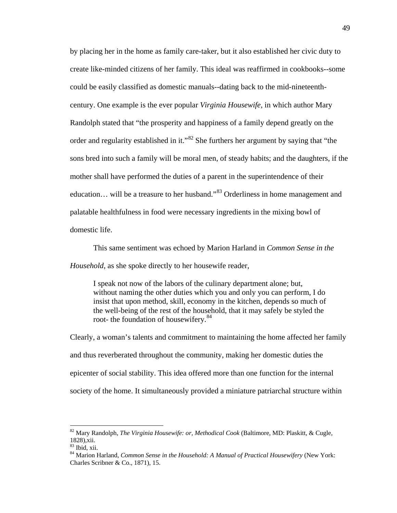by placing her in the home as family care-taker, but it also established her civic duty to create like-minded citizens of her family. This ideal was reaffirmed in cookbooks--some could be easily classified as domestic manuals--dating back to the mid-nineteenthcentury. One example is the ever popular *Virginia Housewife,* in which author Mary Randolph stated that "the prosperity and happiness of a family depend greatly on the order and regularity established in it."[82](#page-52-0) She furthers her argument by saying that "the sons bred into such a family will be moral men, of steady habits; and the daughters, if the mother shall have performed the duties of a parent in the superintendence of their education... will be a treasure to her husband."<sup>[83](#page-52-1)</sup> Orderliness in home management and palatable healthfulness in food were necessary ingredients in the mixing bowl of domestic life.

This same sentiment was echoed by Marion Harland in *Common Sense in the Household*, as she spoke directly to her housewife reader,

I speak not now of the labors of the culinary department alone; but, without naming the other duties which you and only you can perform, I do insist that upon method, skill, economy in the kitchen, depends so much of the well-being of the rest of the household, that it may safely be styled the root- the foundation of housewifery.<sup>[84](#page-52-2)</sup>

Clearly, a woman's talents and commitment to maintaining the home affected her family and thus reverberated throughout the community, making her domestic duties the epicenter of social stability. This idea offered more than one function for the internal society of the home. It simultaneously provided a miniature patriarchal structure within

<span id="page-52-0"></span> <sup>82</sup> Mary Randolph, *The Virginia Housewife: or, Methodical Cook* (Baltimore, MD: Plaskitt, & Cugle, 1828),xii.<br><sup>83</sup> Ibid. xii.

<span id="page-52-1"></span>

<span id="page-52-2"></span><sup>&</sup>lt;sup>84</sup> Marion Harland, *Common Sense in the Household: A Manual of Practical Housewifery* (New York: Charles Scribner & Co., 1871), 15.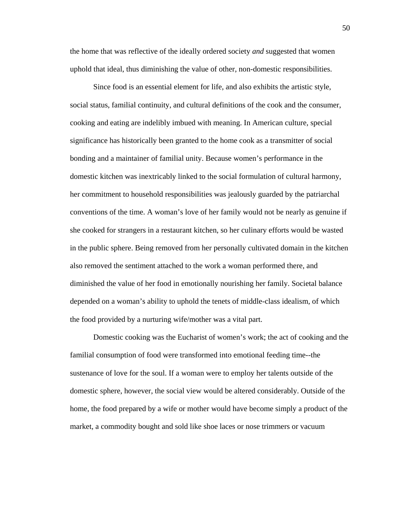the home that was reflective of the ideally ordered society *and* suggested that women uphold that ideal, thus diminishing the value of other, non-domestic responsibilities.

Since food is an essential element for life, and also exhibits the artistic style, social status, familial continuity, and cultural definitions of the cook and the consumer, cooking and eating are indelibly imbued with meaning. In American culture, special significance has historically been granted to the home cook as a transmitter of social bonding and a maintainer of familial unity. Because women's performance in the domestic kitchen was inextricably linked to the social formulation of cultural harmony, her commitment to household responsibilities was jealously guarded by the patriarchal conventions of the time. A woman's love of her family would not be nearly as genuine if she cooked for strangers in a restaurant kitchen, so her culinary efforts would be wasted in the public sphere. Being removed from her personally cultivated domain in the kitchen also removed the sentiment attached to the work a woman performed there, and diminished the value of her food in emotionally nourishing her family. Societal balance depended on a woman's ability to uphold the tenets of middle-class idealism, of which the food provided by a nurturing wife/mother was a vital part.

Domestic cooking was the Eucharist of women's work; the act of cooking and the familial consumption of food were transformed into emotional feeding time--the sustenance of love for the soul. If a woman were to employ her talents outside of the domestic sphere, however, the social view would be altered considerably. Outside of the home, the food prepared by a wife or mother would have become simply a product of the market, a commodity bought and sold like shoe laces or nose trimmers or vacuum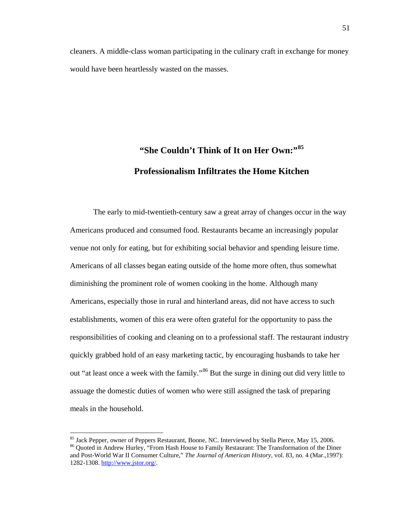cleaners. A middle-class woman participating in the culinary craft in exchange for money would have been heartlessly wasted on the masses.

## **"She Couldn't Think of It on Her Own:"[85](#page-54-0) Professionalism Infiltrates the Home Kitchen**

The early to mid-twentieth-century saw a great array of changes occur in the way Americans produced and consumed food. Restaurants became an increasingly popular venue not only for eating, but for exhibiting social behavior and spending leisure time. Americans of all classes began eating outside of the home more often, thus somewhat diminishing the prominent role of women cooking in the home. Although many Americans, especially those in rural and hinterland areas, did not have access to such establishments, women of this era were often grateful for the opportunity to pass the responsibilities of cooking and cleaning on to a professional staff. The restaurant industry quickly grabbed hold of an easy marketing tactic, by encouraging husbands to take her out "at least once a week with the family."<sup>[86](#page-54-1)</sup> But the surge in dining out did very little to assuage the domestic duties of women who were still assigned the task of preparing meals in the household.

<span id="page-54-0"></span><sup>&</sup>lt;sup>85</sup> Jack Pepper, owner of Peppers Restaurant, Boone, NC. Interviewed by Stella Pierce, May 15, 2006.

<span id="page-54-1"></span><sup>86</sup> Quoted in Andrew Hurley, "From Hash House to Family Restaurant: The Transformation of the Diner and Post-World War II Consumer Culture," *The Journal of American History,* vol. 83, no. 4 (Mar.,1997): 1282-1308. [http://www.jstor.org/.](http://www.jstor.org/)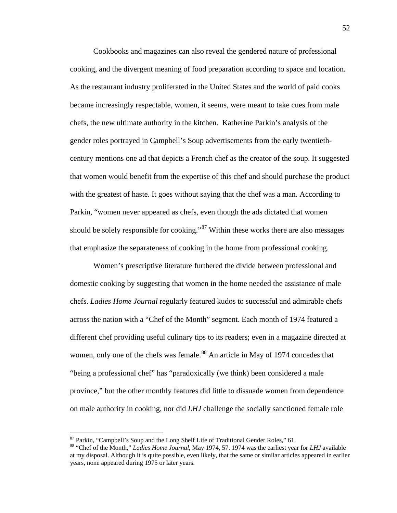Cookbooks and magazines can also reveal the gendered nature of professional cooking, and the divergent meaning of food preparation according to space and location. As the restaurant industry proliferated in the United States and the world of paid cooks became increasingly respectable, women, it seems, were meant to take cues from male chefs, the new ultimate authority in the kitchen. Katherine Parkin's analysis of the gender roles portrayed in Campbell's Soup advertisements from the early twentiethcentury mentions one ad that depicts a French chef as the creator of the soup. It suggested that women would benefit from the expertise of this chef and should purchase the product with the greatest of haste. It goes without saying that the chef was a man. According to Parkin, "women never appeared as chefs, even though the ads dictated that women should be solely responsible for cooking."<sup>[87](#page-55-0)</sup> Within these works there are also messages that emphasize the separateness of cooking in the home from professional cooking.

Women's prescriptive literature furthered the divide between professional and domestic cooking by suggesting that women in the home needed the assistance of male chefs. *Ladies Home Journal* regularly featured kudos to successful and admirable chefs across the nation with a "Chef of the Month" segment. Each month of 1974 featured a different chef providing useful culinary tips to its readers; even in a magazine directed at women, only one of the chefs was female.<sup>[88](#page-55-1)</sup> An article in May of 1974 concedes that "being a professional chef" has "paradoxically (we think) been considered a male province," but the other monthly features did little to dissuade women from dependence on male authority in cooking, nor did *LHJ* challenge the socially sanctioned female role

<span id="page-55-0"></span><sup>&</sup>lt;sup>87</sup> Parkin, "Campbell's Soup and the Long Shelf Life of Traditional Gender Roles," 61.

<span id="page-55-1"></span><sup>88</sup> "Chef of the Month," *Ladies Home Journal*, May 1974, 57. 1974 was the earliest year for *LHJ* available at my disposal. Although it is quite possible, even likely, that the same or similar articles appeared in earlier years, none appeared during 1975 or later years.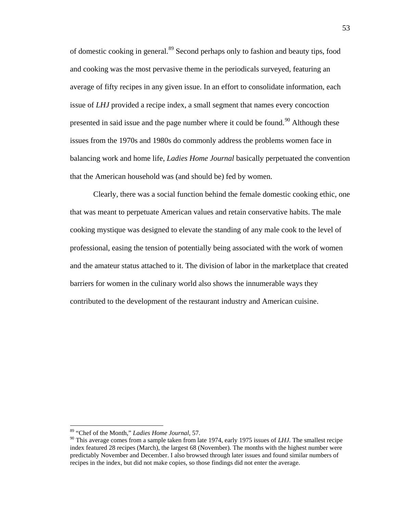of domestic cooking in general.[89](#page-56-0) Second perhaps only to fashion and beauty tips, food and cooking was the most pervasive theme in the periodicals surveyed, featuring an average of fifty recipes in any given issue. In an effort to consolidate information, each issue of *LHJ* provided a recipe index, a small segment that names every concoction presented in said issue and the page number where it could be found.<sup>[90](#page-56-1)</sup> Although these issues from the 1970s and 1980s do commonly address the problems women face in balancing work and home life, *Ladies Home Journal* basically perpetuated the convention that the American household was (and should be) fed by women.

Clearly, there was a social function behind the female domestic cooking ethic, one that was meant to perpetuate American values and retain conservative habits. The male cooking mystique was designed to elevate the standing of any male cook to the level of professional, easing the tension of potentially being associated with the work of women and the amateur status attached to it. The division of labor in the marketplace that created barriers for women in the culinary world also shows the innumerable ways they contributed to the development of the restaurant industry and American cuisine.

 <sup>89</sup> "Chef of the Month," *Ladies Home Journal*, 57.

<span id="page-56-1"></span><span id="page-56-0"></span><sup>90</sup> This average comes from a sample taken from late 1974, early 1975 issues of *LHJ*. The smallest recipe index featured 28 recipes (March), the largest 68 (November). The months with the highest number were predictably November and December. I also browsed through later issues and found similar numbers of recipes in the index, but did not make copies, so those findings did not enter the average.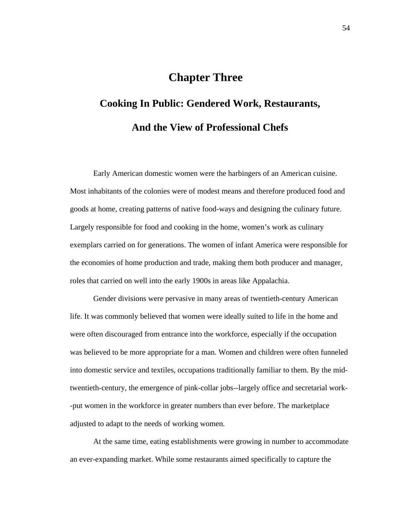### **Chapter Three**

# **Cooking In Public: Gendered Work, Restaurants, And the View of Professional Chefs**

Early American domestic women were the harbingers of an American cuisine. Most inhabitants of the colonies were of modest means and therefore produced food and goods at home, creating patterns of native food-ways and designing the culinary future. Largely responsible for food and cooking in the home, women's work as culinary exemplars carried on for generations. The women of infant America were responsible for the economies of home production and trade, making them both producer and manager, roles that carried on well into the early 1900s in areas like Appalachia.

Gender divisions were pervasive in many areas of twentieth-century American life. It was commonly believed that women were ideally suited to life in the home and were often discouraged from entrance into the workforce, especially if the occupation was believed to be more appropriate for a man. Women and children were often funneled into domestic service and textiles, occupations traditionally familiar to them. By the midtwentieth-century, the emergence of pink-collar jobs--largely office and secretarial work- -put women in the workforce in greater numbers than ever before. The marketplace adjusted to adapt to the needs of working women.

At the same time, eating establishments were growing in number to accommodate an ever-expanding market. While some restaurants aimed specifically to capture the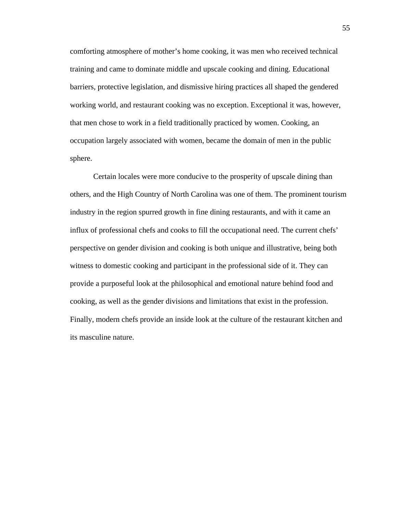comforting atmosphere of mother's home cooking, it was men who received technical training and came to dominate middle and upscale cooking and dining. Educational barriers, protective legislation, and dismissive hiring practices all shaped the gendered working world, and restaurant cooking was no exception. Exceptional it was, however, that men chose to work in a field traditionally practiced by women. Cooking, an occupation largely associated with women, became the domain of men in the public sphere.

Certain locales were more conducive to the prosperity of upscale dining than others, and the High Country of North Carolina was one of them. The prominent tourism industry in the region spurred growth in fine dining restaurants, and with it came an influx of professional chefs and cooks to fill the occupational need. The current chefs' perspective on gender division and cooking is both unique and illustrative, being both witness to domestic cooking and participant in the professional side of it. They can provide a purposeful look at the philosophical and emotional nature behind food and cooking, as well as the gender divisions and limitations that exist in the profession. Finally, modern chefs provide an inside look at the culture of the restaurant kitchen and its masculine nature.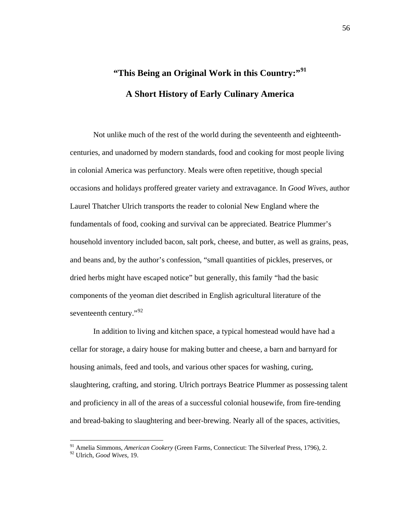## **"This Being an Original Work in this Country:"[91](#page-59-0) A Short History of Early Culinary America**

Not unlike much of the rest of the world during the seventeenth and eighteenthcenturies, and unadorned by modern standards, food and cooking for most people living in colonial America was perfunctory. Meals were often repetitive, though special occasions and holidays proffered greater variety and extravagance. In *Good Wives*, author Laurel Thatcher Ulrich transports the reader to colonial New England where the fundamentals of food, cooking and survival can be appreciated. Beatrice Plummer's household inventory included bacon, salt pork, cheese, and butter, as well as grains, peas, and beans and, by the author's confession, "small quantities of pickles, preserves, or dried herbs might have escaped notice" but generally, this family "had the basic components of the yeoman diet described in English agricultural literature of the seventeenth century."<sup>[92](#page-59-1)</sup>

In addition to living and kitchen space, a typical homestead would have had a cellar for storage, a dairy house for making butter and cheese, a barn and barnyard for housing animals, feed and tools, and various other spaces for washing, curing, slaughtering, crafting, and storing. Ulrich portrays Beatrice Plummer as possessing talent and proficiency in all of the areas of a successful colonial housewife, from fire-tending and bread-baking to slaughtering and beer-brewing. Nearly all of the spaces, activities,

 <sup>91</sup> Amelia Simmons, *American Cookery* (Green Farms, Connecticut: The Silverleaf Press, 1796), 2.

<span id="page-59-1"></span><span id="page-59-0"></span><sup>92</sup> Ulrich, *Good Wives,* 19.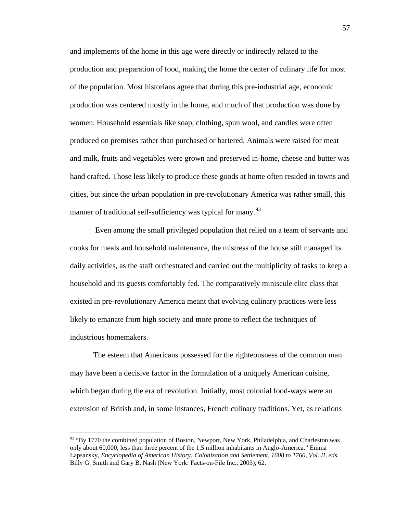and implements of the home in this age were directly or indirectly related to the production and preparation of food, making the home the center of culinary life for most of the population. Most historians agree that during this pre-industrial age, economic production was centered mostly in the home, and much of that production was done by women. Household essentials like soap, clothing, spun wool, and candles were often produced on premises rather than purchased or bartered. Animals were raised for meat and milk, fruits and vegetables were grown and preserved in-home, cheese and butter was hand crafted. Those less likely to produce these goods at home often resided in towns and cities, but since the urban population in pre-revolutionary America was rather small, this manner of traditional self-sufficiency was typical for many.<sup>[93](#page-60-0)</sup>

Even among the small privileged population that relied on a team of servants and cooks for meals and household maintenance, the mistress of the house still managed its daily activities, as the staff orchestrated and carried out the multiplicity of tasks to keep a household and its guests comfortably fed. The comparatively miniscule elite class that existed in pre-revolutionary America meant that evolving culinary practices were less likely to emanate from high society and more prone to reflect the techniques of industrious homemakers.

The esteem that Americans possessed for the righteousness of the common man may have been a decisive factor in the formulation of a uniquely American cuisine, which began during the era of revolution. Initially, most colonial food-ways were an extension of British and, in some instances, French culinary traditions. Yet, as relations

<span id="page-60-0"></span> $93$  "By 1770 the combined population of Boston, Newport, New York, Philadelphia, and Charleston was only about 60,000, less than three percent of the 1.5 million inhabitants in Anglo-America." Emma Lapsansky, *Encyclopedia of American History: Colonization and Settlement, 1608 to 1760, Vol. II, eds.* Billy G. Smith and Gary B. Nash (New York: Facts-on-File Inc., 2003), 62.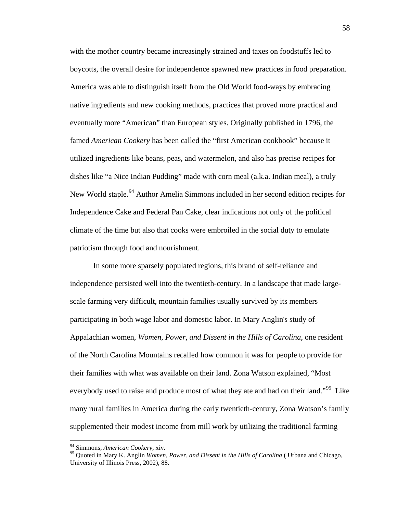with the mother country became increasingly strained and taxes on foodstuffs led to boycotts, the overall desire for independence spawned new practices in food preparation. America was able to distinguish itself from the Old World food-ways by embracing native ingredients and new cooking methods, practices that proved more practical and eventually more "American" than European styles. Originally published in 1796, the famed *American Cookery* has been called the "first American cookbook" because it utilized ingredients like beans, peas, and watermelon, and also has precise recipes for dishes like "a Nice Indian Pudding" made with corn meal (a.k.a. Indian meal), a truly New World staple.<sup>[94](#page-61-0)</sup> Author Amelia Simmons included in her second edition recipes for Independence Cake and Federal Pan Cake, clear indications not only of the political climate of the time but also that cooks were embroiled in the social duty to emulate patriotism through food and nourishment.

In some more sparsely populated regions, this brand of self-reliance and independence persisted well into the twentieth-century. In a landscape that made largescale farming very difficult, mountain families usually survived by its members participating in both wage labor and domestic labor. In Mary Anglin's study of Appalachian women, *Women, Power, and Dissent in the Hills of Carolina*, one resident of the North Carolina Mountains recalled how common it was for people to provide for their families with what was available on their land. Zona Watson explained, "Most everybody used to raise and produce most of what they ate and had on their land."<sup>[95](#page-61-1)</sup> Like many rural families in America during the early twentieth-century, Zona Watson's family supplemented their modest income from mill work by utilizing the traditional farming

<span id="page-61-0"></span> <sup>94</sup> Simmons, *American Cookery,* xiv.

<span id="page-61-1"></span><sup>95</sup> Quoted in Mary K. Anglin *Women, Power, and Dissent in the Hills of Carolina* ( Urbana and Chicago, University of Illinois Press, 2002), 88.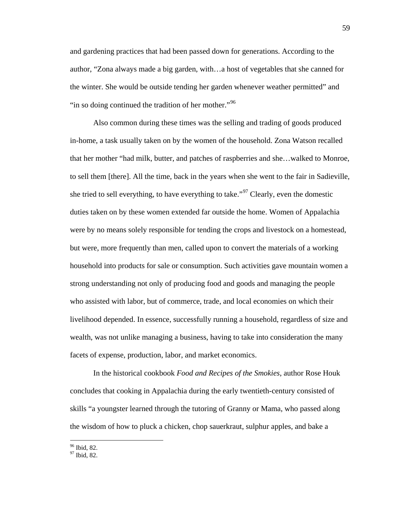and gardening practices that had been passed down for generations. According to the author, "Zona always made a big garden, with…a host of vegetables that she canned for the winter. She would be outside tending her garden whenever weather permitted" and "in so doing continued the tradition of her mother."<sup>[96](#page-62-0)</sup>

Also common during these times was the selling and trading of goods produced in-home, a task usually taken on by the women of the household. Zona Watson recalled that her mother "had milk, butter, and patches of raspberries and she…walked to Monroe, to sell them [there]. All the time, back in the years when she went to the fair in Sadieville, she tried to sell everything, to have everything to take."<sup>[97](#page-62-1)</sup> Clearly, even the domestic duties taken on by these women extended far outside the home. Women of Appalachia were by no means solely responsible for tending the crops and livestock on a homestead, but were, more frequently than men, called upon to convert the materials of a working household into products for sale or consumption. Such activities gave mountain women a strong understanding not only of producing food and goods and managing the people who assisted with labor, but of commerce, trade, and local economies on which their livelihood depended. In essence, successfully running a household, regardless of size and wealth, was not unlike managing a business, having to take into consideration the many facets of expense, production, labor, and market economics.

In the historical cookbook *Food and Recipes of the Smokies*, author Rose Houk concludes that cooking in Appalachia during the early twentieth-century consisted of skills "a youngster learned through the tutoring of Granny or Mama, who passed along the wisdom of how to pluck a chicken, chop sauerkraut, sulphur apples, and bake a

<span id="page-62-0"></span> $\frac{96}{97}$  Ibid, 82.

<span id="page-62-1"></span>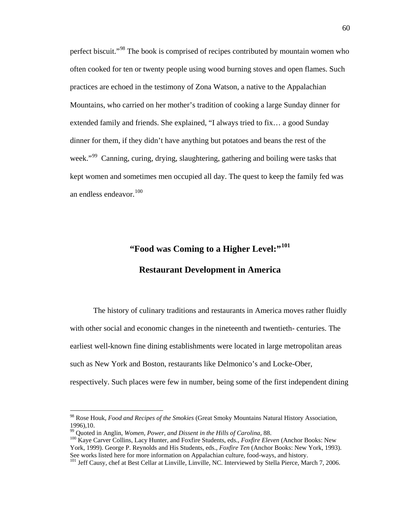perfect biscuit."[98](#page-63-0) The book is comprised of recipes contributed by mountain women who often cooked for ten or twenty people using wood burning stoves and open flames. Such practices are echoed in the testimony of Zona Watson, a native to the Appalachian Mountains, who carried on her mother's tradition of cooking a large Sunday dinner for extended family and friends. She explained, "I always tried to fix… a good Sunday dinner for them, if they didn't have anything but potatoes and beans the rest of the week."<sup>[99](#page-63-1)</sup> Canning, curing, drying, slaughtering, gathering and boiling were tasks that kept women and sometimes men occupied all day. The quest to keep the family fed was an endless endeavor.<sup>[100](#page-63-2)</sup>

### **"Food was Coming to a Higher Level:"[101](#page-63-3)**

#### **Restaurant Development in America**

The history of culinary traditions and restaurants in America moves rather fluidly with other social and economic changes in the nineteenth and twentieth- centuries. The earliest well-known fine dining establishments were located in large metropolitan areas such as New York and Boston, restaurants like Delmonico's and Locke-Ober, respectively. Such places were few in number, being some of the first independent dining

<span id="page-63-0"></span> <sup>98</sup> Rose Houk, *Food and Recipes of the Smokies* (Great Smoky Mountains Natural History Association, 1996), 10.<br><sup>99</sup> Quoted in Anglin, *Women, Power, and Dissent in the Hills of Carolina*, 88.

<span id="page-63-1"></span>

<span id="page-63-2"></span><sup>&</sup>lt;sup>100</sup> Kaye Carver Collins, Lacy Hunter, and Foxfire Students, eds., *Foxfire Eleven* (Anchor Books: New York, 1999). George P. Reynolds and His Students, eds., *Foxfire Ten* (Anchor Books: New York, 1993). See works listed here for more information on Appalachian culture, food-ways, and history.

<span id="page-63-3"></span><sup>&</sup>lt;sup>101</sup> Jeff Causy, chef at Best Cellar at Linville, Linville, NC. Interviewed by Stella Pierce, March 7, 2006.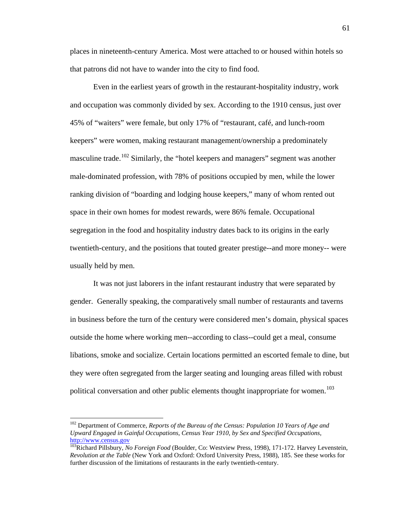places in nineteenth-century America. Most were attached to or housed within hotels so that patrons did not have to wander into the city to find food.

Even in the earliest years of growth in the restaurant-hospitality industry, work and occupation was commonly divided by sex. According to the 1910 census, just over 45% of "waiters" were female, but only 17% of "restaurant, café, and lunch-room keepers" were women, making restaurant management/ownership a predominately masculine trade.<sup>[102](#page-64-0)</sup> Similarly, the "hotel keepers and managers" segment was another male-dominated profession, with 78% of positions occupied by men, while the lower ranking division of "boarding and lodging house keepers," many of whom rented out space in their own homes for modest rewards, were 86% female. Occupational segregation in the food and hospitality industry dates back to its origins in the early twentieth-century, and the positions that touted greater prestige--and more money-- were usually held by men.

It was not just laborers in the infant restaurant industry that were separated by gender. Generally speaking, the comparatively small number of restaurants and taverns in business before the turn of the century were considered men's domain, physical spaces outside the home where working men--according to class--could get a meal, consume libations, smoke and socialize. Certain locations permitted an escorted female to dine, but they were often segregated from the larger seating and lounging areas filled with robust political conversation and other public elements thought inappropriate for women.<sup>[103](#page-64-1)</sup>

<span id="page-64-0"></span><sup>&</sup>lt;sup>102</sup> Department of Commerce, *Reports of the Bureau of the Census: Population 10 Years of Age and Upward Engaged in Gainful Occupations, Census Year 1910, by Sex and Specified Occupations,*  http://www.census.gov<br><sup>103</sup>Richard Pillsbury, *No Foreign Food* (Boulder, Co: Westview Press, 1998), 171-172. Harvey Levenstein,

<span id="page-64-1"></span>*Revolution at the Table* (New York and Oxford: Oxford University Press, 1988), 185. See these works for further discussion of the limitations of restaurants in the early twentieth-century.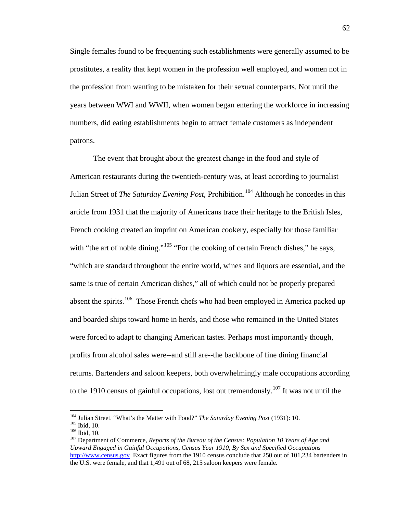Single females found to be frequenting such establishments were generally assumed to be prostitutes, a reality that kept women in the profession well employed, and women not in the profession from wanting to be mistaken for their sexual counterparts. Not until the years between WWI and WWII, when women began entering the workforce in increasing numbers, did eating establishments begin to attract female customers as independent patrons.

The event that brought about the greatest change in the food and style of American restaurants during the twentieth-century was, at least according to journalist Julian Street of *The Saturday Evening Post*, Prohibition.<sup>[104](#page-65-0)</sup> Although he concedes in this article from 1931 that the majority of Americans trace their heritage to the British Isles, French cooking created an imprint on American cookery, especially for those familiar with "the art of noble dining."<sup>[105](#page-65-1)</sup> "For the cooking of certain French dishes," he says, "which are standard throughout the entire world, wines and liquors are essential, and the same is true of certain American dishes," all of which could not be properly prepared absent the spirits.<sup>[106](#page-65-2)</sup> Those French chefs who had been employed in America packed up and boarded ships toward home in herds, and those who remained in the United States were forced to adapt to changing American tastes. Perhaps most importantly though, profits from alcohol sales were--and still are--the backbone of fine dining financial returns. Bartenders and saloon keepers, both overwhelmingly male occupations according to the 1910 census of gainful occupations, lost out tremendously.<sup>[107](#page-65-3)</sup> It was not until the

<span id="page-65-0"></span><sup>&</sup>lt;sup>104</sup> Julian Street. "What's the Matter with Food?" *The Saturday Evening Post* (1931): 10.<br><sup>105</sup> Ibid. 10.

<span id="page-65-3"></span><span id="page-65-2"></span><span id="page-65-1"></span><sup>&</sup>lt;sup>106</sup> Ibid, 10.<br><sup>107</sup> Department of Commerce, *Reports of the Bureau of the Census: Population 10 Years of Age and Upward Engaged in Gainful Occupations, Census Year 1910, By Sex and Specified Occupations* [http://www.census.gov](http://www.census.gov/) Exact figures from the 1910 census conclude that 250 out of 101,234 bartenders in the U.S. were female, and that 1,491 out of 68, 215 saloon keepers were female.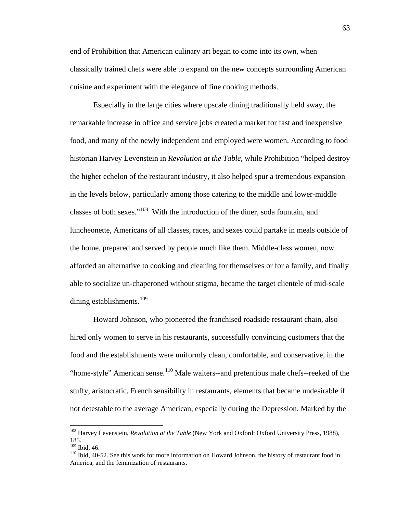end of Prohibition that American culinary art began to come into its own, when classically trained chefs were able to expand on the new concepts surrounding American cuisine and experiment with the elegance of fine cooking methods.

Especially in the large cities where upscale dining traditionally held sway, the remarkable increase in office and service jobs created a market for fast and inexpensive food, and many of the newly independent and employed were women. According to food historian Harvey Levenstein in *Revolution at the Table*, while Prohibition "helped destroy the higher echelon of the restaurant industry, it also helped spur a tremendous expansion in the levels below, particularly among those catering to the middle and lower-middle classes of both sexes."[108](#page-66-0) With the introduction of the diner, soda fountain, and luncheonette, Americans of all classes, races, and sexes could partake in meals outside of the home, prepared and served by people much like them. Middle-class women, now afforded an alternative to cooking and cleaning for themselves or for a family, and finally able to socialize un-chaperoned without stigma, became the target clientele of mid-scale dining establishments.<sup>[109](#page-66-1)</sup>

Howard Johnson, who pioneered the franchised roadside restaurant chain, also hired only women to serve in his restaurants, successfully convincing customers that the food and the establishments were uniformly clean, comfortable, and conservative, in the "home-style" American sense.<sup>[110](#page-66-2)</sup> Male waiters--and pretentious male chefs--reeked of the stuffy, aristocratic, French sensibility in restaurants, elements that became undesirable if not detestable to the average American, especially during the Depression. Marked by the

<span id="page-66-0"></span> <sup>108</sup> Harvey Levenstein, *Revolution at the Table* (New York and Oxford: Oxford University Press, 1988),  $185.$ <sup>109</sup> Ibid. 46.

<span id="page-66-2"></span><span id="page-66-1"></span><sup>&</sup>lt;sup>110</sup> Ibid, 40-52. See this work for more information on Howard Johnson, the history of restaurant food in America, and the feminization of restaurants.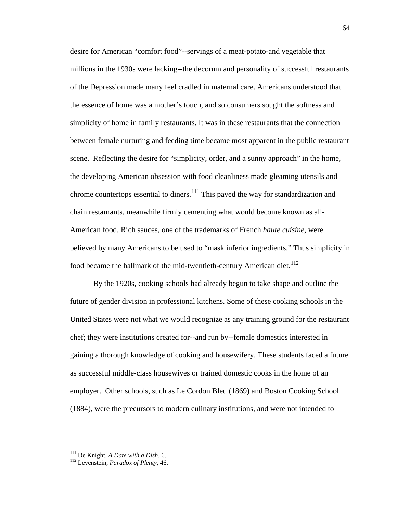desire for American "comfort food"--servings of a meat-potato-and vegetable that millions in the 1930s were lacking--the decorum and personality of successful restaurants of the Depression made many feel cradled in maternal care. Americans understood that the essence of home was a mother's touch, and so consumers sought the softness and simplicity of home in family restaurants. It was in these restaurants that the connection between female nurturing and feeding time became most apparent in the public restaurant scene. Reflecting the desire for "simplicity, order, and a sunny approach" in the home, the developing American obsession with food cleanliness made gleaming utensils and chrome countertops essential to diners.<sup>[111](#page-67-0)</sup> This paved the way for standardization and chain restaurants, meanwhile firmly cementing what would become known as all-American food. Rich sauces, one of the trademarks of French *haute cuisine*, were believed by many Americans to be used to "mask inferior ingredients." Thus simplicity in food became the hallmark of the mid-twentieth-century American diet.<sup>[112](#page-67-1)</sup>

By the 1920s, cooking schools had already begun to take shape and outline the future of gender division in professional kitchens. Some of these cooking schools in the United States were not what we would recognize as any training ground for the restaurant chef; they were institutions created for--and run by--female domestics interested in gaining a thorough knowledge of cooking and housewifery. These students faced a future as successful middle-class housewives or trained domestic cooks in the home of an employer. Other schools, such as Le Cordon Bleu (1869) and Boston Cooking School (1884), were the precursors to modern culinary institutions, and were not intended to

<span id="page-67-1"></span><span id="page-67-0"></span><sup>111</sup> De Knight, *A Date with a Dish*, 6. <sup>112</sup> Levenstein, *Paradox of Plenty*, 46.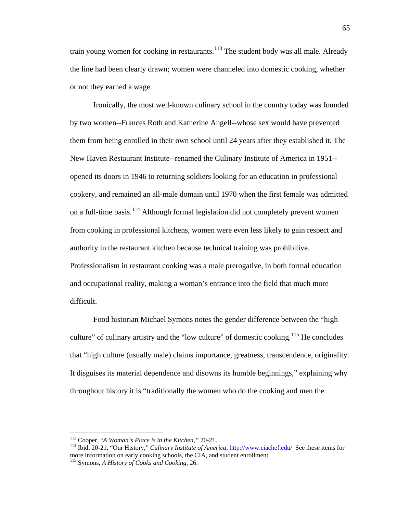train young women for cooking in restaurants.<sup>[113](#page-68-0)</sup> The student body was all male. Already the line had been clearly drawn; women were channeled into domestic cooking, whether or not they earned a wage.

Ironically, the most well-known culinary school in the country today was founded by two women--Frances Roth and Katherine Angell--whose sex would have prevented them from being enrolled in their own school until 24 years after they established it. The New Haven Restaurant Institute--renamed the Culinary Institute of America in 1951- opened its doors in 1946 to returning soldiers looking for an education in professional cookery, and remained an all-male domain until 1970 when the first female was admitted on a full-time basis.<sup>[114](#page-68-1)</sup> Although formal legislation did not completely prevent women from cooking in professional kitchens, women were even less likely to gain respect and authority in the restaurant kitchen because technical training was prohibitive. Professionalism in restaurant cooking was a male prerogative, in both formal education and occupational reality, making a woman's entrance into the field that much more difficult.

Food historian Michael Symons notes the gender difference between the "high culture" of culinary artistry and the "low culture" of domestic cooking.<sup>[115](#page-68-2)</sup> He concludes that "high culture (usually male) claims importance, greatness, transcendence, originality. It disguises its material dependence and disowns its humble beginnings," explaining why throughout history it is "traditionally the women who do the cooking and men the

<span id="page-68-0"></span> <sup>113</sup> Cooper, "*A Woman's Place is in the Kitchen,"* 20-21.

<span id="page-68-1"></span><sup>114</sup> Ibid, 20-21. "Our History," *Culinary Institute of America*,<http://www.ciachef.edu/>See these items for more information on early cooking schools, the CIA, and student enrollment.

<span id="page-68-2"></span><sup>115</sup> Symons, *A History of Cooks and Cooking,* 26.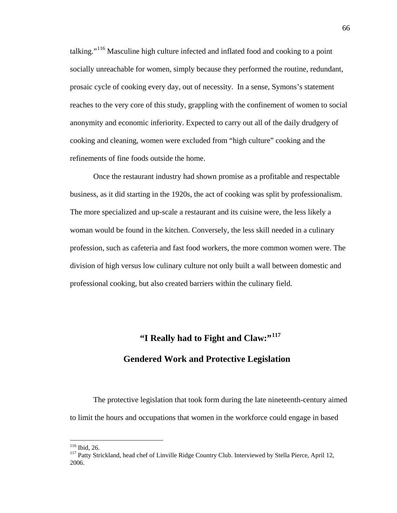talking."<sup>[116](#page-69-0)</sup> Masculine high culture infected and inflated food and cooking to a point socially unreachable for women, simply because they performed the routine, redundant, prosaic cycle of cooking every day, out of necessity. In a sense, Symons's statement reaches to the very core of this study, grappling with the confinement of women to social anonymity and economic inferiority. Expected to carry out all of the daily drudgery of cooking and cleaning, women were excluded from "high culture" cooking and the refinements of fine foods outside the home.

Once the restaurant industry had shown promise as a profitable and respectable business, as it did starting in the 1920s, the act of cooking was split by professionalism. The more specialized and up-scale a restaurant and its cuisine were, the less likely a woman would be found in the kitchen. Conversely, the less skill needed in a culinary profession, such as cafeteria and fast food workers, the more common women were. The division of high versus low culinary culture not only built a wall between domestic and professional cooking, but also created barriers within the culinary field.

## **"I Really had to Fight and Claw:"[117](#page-69-1) Gendered Work and Protective Legislation**

The protective legislation that took form during the late nineteenth-century aimed to limit the hours and occupations that women in the workforce could engage in based

<span id="page-69-1"></span><span id="page-69-0"></span><sup>&</sup>lt;sup>116</sup> Ibid, 26.<br><sup>117</sup> Patty Strickland, head chef of Linville Ridge Country Club. Interviewed by Stella Pierce, April 12, 2006.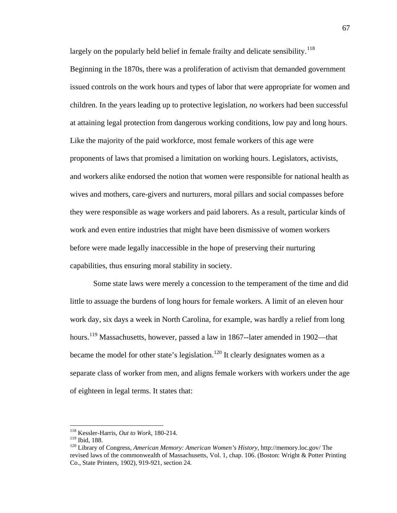largely on the popularly held belief in female frailty and delicate sensibility.<sup>[118](#page-70-0)</sup>

Beginning in the 1870s, there was a proliferation of activism that demanded government issued controls on the work hours and types of labor that were appropriate for women and children. In the years leading up to protective legislation, *no* workers had been successful at attaining legal protection from dangerous working conditions, low pay and long hours. Like the majority of the paid workforce, most female workers of this age were proponents of laws that promised a limitation on working hours. Legislators, activists, and workers alike endorsed the notion that women were responsible for national health as wives and mothers, care-givers and nurturers, moral pillars and social compasses before they were responsible as wage workers and paid laborers. As a result, particular kinds of work and even entire industries that might have been dismissive of women workers before were made legally inaccessible in the hope of preserving their nurturing capabilities, thus ensuring moral stability in society.

Some state laws were merely a concession to the temperament of the time and did little to assuage the burdens of long hours for female workers. A limit of an eleven hour work day, six days a week in North Carolina, for example, was hardly a relief from long hours.<sup>[119](#page-70-1)</sup> Massachusetts, however, passed a law in 1867--later amended in 1902—that became the model for other state's legislation.<sup>[120](#page-70-2)</sup> It clearly designates women as a separate class of worker from men, and aligns female workers with workers under the age of eighteen in legal terms. It states that:

<span id="page-70-0"></span> <sup>118</sup> Kessler-Harris, *Out to Work*, 180-214.

<span id="page-70-2"></span><span id="page-70-1"></span><sup>&</sup>lt;sup>120</sup> Library of Congress, *American Memory: American Women's History*, http://memory.loc.gov/ The revised laws of the commonwealth of Massachusetts, Vol. 1, chap. 106. (Boston: Wright & Potter Printing Co., State Printers, 1902), 919-921, section 24.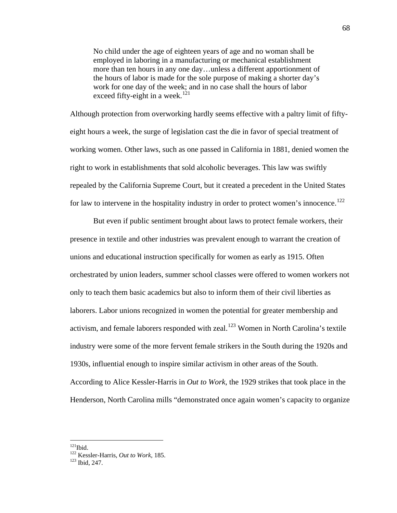No child under the age of eighteen years of age and no woman shall be employed in laboring in a manufacturing or mechanical establishment more than ten hours in any one day…unless a different apportionment of the hours of labor is made for the sole purpose of making a shorter day's work for one day of the week; and in no case shall the hours of labor exceed fifty-eight in a week.<sup>[121](#page-71-0)</sup>

Although protection from overworking hardly seems effective with a paltry limit of fiftyeight hours a week, the surge of legislation cast the die in favor of special treatment of working women. Other laws, such as one passed in California in 1881, denied women the right to work in establishments that sold alcoholic beverages. This law was swiftly repealed by the California Supreme Court, but it created a precedent in the United States for law to intervene in the hospitality industry in order to protect women's innocence.<sup>[122](#page-71-1)</sup>

But even if public sentiment brought about laws to protect female workers, their presence in textile and other industries was prevalent enough to warrant the creation of unions and educational instruction specifically for women as early as 1915. Often orchestrated by union leaders, summer school classes were offered to women workers not only to teach them basic academics but also to inform them of their civil liberties as laborers. Labor unions recognized in women the potential for greater membership and activism, and female laborers responded with zeal.<sup>[123](#page-71-2)</sup> Women in North Carolina's textile industry were some of the more fervent female strikers in the South during the 1920s and 1930s, influential enough to inspire similar activism in other areas of the South. According to Alice Kessler-Harris in *Out to Work*, the 1929 strikes that took place in the Henderson, North Carolina mills "demonstrated once again women's capacity to organize

<span id="page-71-0"></span> $121$ Ibid.

<span id="page-71-2"></span><span id="page-71-1"></span><sup>122</sup> Kessler-Harris, *Out to Work,* 185. <sup>123</sup> Ibid*,* 247.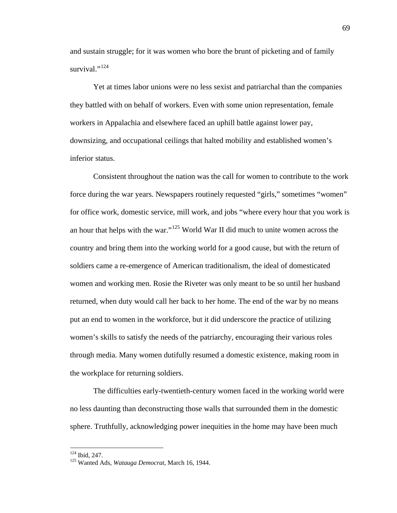and sustain struggle; for it was women who bore the brunt of picketing and of family survival."<sup>[124](#page-72-0)</sup>

Yet at times labor unions were no less sexist and patriarchal than the companies they battled with on behalf of workers. Even with some union representation, female workers in Appalachia and elsewhere faced an uphill battle against lower pay, downsizing, and occupational ceilings that halted mobility and established women's inferior status.

Consistent throughout the nation was the call for women to contribute to the work force during the war years. Newspapers routinely requested "girls," sometimes "women" for office work, domestic service, mill work, and jobs "where every hour that you work is an hour that helps with the war."<sup>[125](#page-72-1)</sup> World War II did much to unite women across the country and bring them into the working world for a good cause, but with the return of soldiers came a re-emergence of American traditionalism, the ideal of domesticated women and working men. Rosie the Riveter was only meant to be so until her husband returned, when duty would call her back to her home. The end of the war by no means put an end to women in the workforce, but it did underscore the practice of utilizing women's skills to satisfy the needs of the patriarchy, encouraging their various roles through media. Many women dutifully resumed a domestic existence, making room in the workplace for returning soldiers.

The difficulties early-twentieth-century women faced in the working world were no less daunting than deconstructing those walls that surrounded them in the domestic sphere. Truthfully, acknowledging power inequities in the home may have been much

<span id="page-72-1"></span>

<span id="page-72-0"></span><sup>&</sup>lt;sup>124</sup> Ibid, 247.<br><sup>125</sup> Wanted Ads, *Watauga Democrat*, March 16, 1944.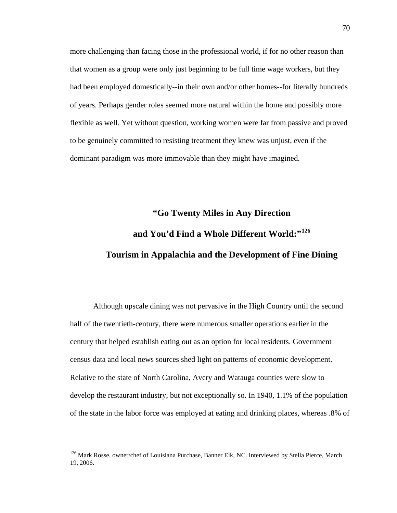more challenging than facing those in the professional world, if for no other reason than that women as a group were only just beginning to be full time wage workers, but they had been employed domestically--in their own and/or other homes--for literally hundreds of years. Perhaps gender roles seemed more natural within the home and possibly more flexible as well. Yet without question, working women were far from passive and proved to be genuinely committed to resisting treatment they knew was unjust, even if the dominant paradigm was more immovable than they might have imagined.

# **"Go Twenty Miles in Any Direction and You'd Find a Whole Different World:"[126](#page-73-0) Tourism in Appalachia and the Development of Fine Dining**

Although upscale dining was not pervasive in the High Country until the second half of the twentieth-century, there were numerous smaller operations earlier in the century that helped establish eating out as an option for local residents. Government census data and local news sources shed light on patterns of economic development. Relative to the state of North Carolina, Avery and Watauga counties were slow to develop the restaurant industry, but not exceptionally so. In 1940, 1.1% of the population of the state in the labor force was employed at eating and drinking places, whereas .8% of

<span id="page-73-0"></span><sup>&</sup>lt;sup>126</sup> Mark Rosse, owner/chef of Louisiana Purchase, Banner Elk, NC. Interviewed by Stella Pierce, March 19, 2006.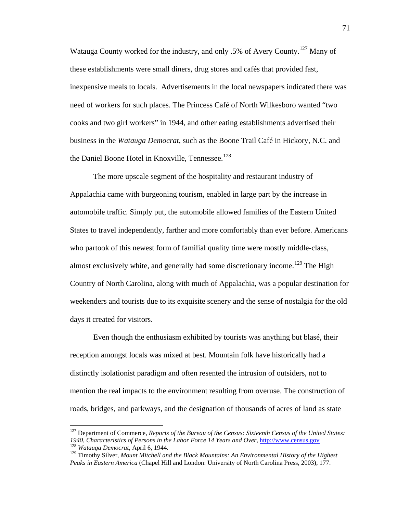Watauga County worked for the industry, and only .5% of Avery County.<sup>[127](#page-74-0)</sup> Many of these establishments were small diners, drug stores and cafés that provided fast, inexpensive meals to locals. Advertisements in the local newspapers indicated there was need of workers for such places. The Princess Café of North Wilkesboro wanted "two cooks and two girl workers" in 1944, and other eating establishments advertised their business in the *Watauga Democrat*, such as the Boone Trail Café in Hickory, N.C. and the Daniel Boone Hotel in Knoxville, Tennessee.<sup>[128](#page-74-1)</sup>

The more upscale segment of the hospitality and restaurant industry of Appalachia came with burgeoning tourism, enabled in large part by the increase in automobile traffic. Simply put, the automobile allowed families of the Eastern United States to travel independently, farther and more comfortably than ever before. Americans who partook of this newest form of familial quality time were mostly middle-class, almost exclusively white, and generally had some discretionary income.<sup>[129](#page-74-2)</sup> The High Country of North Carolina, along with much of Appalachia, was a popular destination for weekenders and tourists due to its exquisite scenery and the sense of nostalgia for the old days it created for visitors.

Even though the enthusiasm exhibited by tourists was anything but blasé, their reception amongst locals was mixed at best. Mountain folk have historically had a distinctly isolationist paradigm and often resented the intrusion of outsiders, not to mention the real impacts to the environment resulting from overuse. The construction of roads, bridges, and parkways, and the designation of thousands of acres of land as state

<span id="page-74-0"></span> <sup>127</sup> Department of Commerce, *Reports of the Bureau of the Census: Sixteenth Census of the United States: 1940, Characteristics of Persons in the Labor Force 14 Years and Over,* [http://www.census.gov](http://www.census.gov/) <sup>128</sup> *Watauga Democrat*, April 6, 1944.

<span id="page-74-2"></span><span id="page-74-1"></span><sup>129</sup> Timothy Silver, *Mount Mitchell and the Black Mountains: An Environmental History of the Highest Peaks in Eastern America* (Chapel Hill and London: University of North Carolina Press, 2003), 177.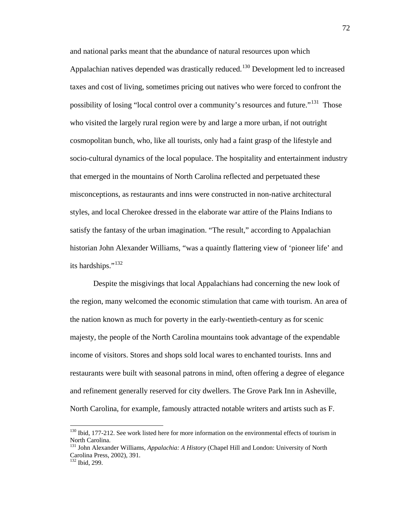and national parks meant that the abundance of natural resources upon which Appalachian natives depended was drastically reduced.<sup>[130](#page-75-0)</sup> Development led to increased taxes and cost of living, sometimes pricing out natives who were forced to confront the possibility of losing "local control over a community's resources and future."<sup>[131](#page-75-1)</sup> Those who visited the largely rural region were by and large a more urban, if not outright cosmopolitan bunch, who, like all tourists, only had a faint grasp of the lifestyle and socio-cultural dynamics of the local populace. The hospitality and entertainment industry that emerged in the mountains of North Carolina reflected and perpetuated these misconceptions, as restaurants and inns were constructed in non-native architectural styles, and local Cherokee dressed in the elaborate war attire of the Plains Indians to satisfy the fantasy of the urban imagination. "The result," according to Appalachian historian John Alexander Williams, "was a quaintly flattering view of 'pioneer life' and its hardships."<sup>[132](#page-75-2)</sup>

Despite the misgivings that local Appalachians had concerning the new look of the region, many welcomed the economic stimulation that came with tourism. An area of the nation known as much for poverty in the early-twentieth-century as for scenic majesty, the people of the North Carolina mountains took advantage of the expendable income of visitors. Stores and shops sold local wares to enchanted tourists. Inns and restaurants were built with seasonal patrons in mind, often offering a degree of elegance and refinement generally reserved for city dwellers. The Grove Park Inn in Asheville, North Carolina, for example, famously attracted notable writers and artists such as F.

<span id="page-75-0"></span><sup>&</sup>lt;sup>130</sup> Ibid, 177-212. See work listed here for more information on the environmental effects of tourism in North Carolina.

<span id="page-75-1"></span><sup>131</sup> John Alexander Williams, *Appalachia: A History* (Chapel Hill and London: University of North Carolina Press, 2002), 391.

<span id="page-75-2"></span><sup>132</sup> Ibid, 299.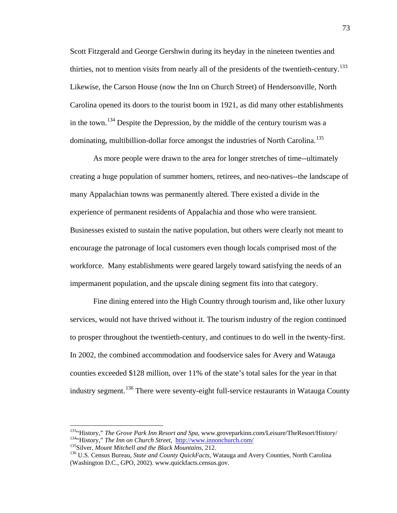Scott Fitzgerald and George Gershwin during its heyday in the nineteen twenties and thirties, not to mention visits from nearly all of the presidents of the twentieth-century.<sup>[133](#page-76-0)</sup> Likewise, the Carson House (now the Inn on Church Street) of Hendersonville, North Carolina opened its doors to the tourist boom in 1921, as did many other establishments in the town.<sup>[134](#page-76-1)</sup> Despite the Depression, by the middle of the century tourism was a dominating, multibillion-dollar force amongst the industries of North Carolina.<sup>[135](#page-76-2)</sup>

As more people were drawn to the area for longer stretches of time--ultimately creating a huge population of summer homers, retirees, and neo-natives--the landscape of many Appalachian towns was permanently altered. There existed a divide in the experience of permanent residents of Appalachia and those who were transient. Businesses existed to sustain the native population, but others were clearly not meant to encourage the patronage of local customers even though locals comprised most of the workforce. Many establishments were geared largely toward satisfying the needs of an impermanent population, and the upscale dining segment fits into that category.

Fine dining entered into the High Country through tourism and, like other luxury services, would not have thrived without it. The tourism industry of the region continued to prosper throughout the twentieth-century, and continues to do well in the twenty-first. In 2002, the combined accommodation and foodservice sales for Avery and Watauga counties exceeded \$128 million, over 11% of the state's total sales for the year in that industry segment.<sup>[136](#page-76-3)</sup> There were seventy-eight full-service restaurants in Watauga County

<span id="page-76-0"></span><sup>&</sup>lt;sup>133</sup>"History," *The Grove Park Inn Resort and Spa*, www.groveparkinn.com/Leisure/TheResort/History/<br><sup>134</sup>"History," *The Inn on Church Street*, http://www.innonchurch.com/

<span id="page-76-3"></span><span id="page-76-2"></span><span id="page-76-1"></span> $^{135}$ Silver, *Mount Mitchell and the Black Mountains*, 212.<br> $^{136}$  U.S. Census Bureau, *State and County QuickFacts*, Watauga and Avery Counties, North Carolina (Washington D.C., GPO, 2002). www.quickfacts.census.gov.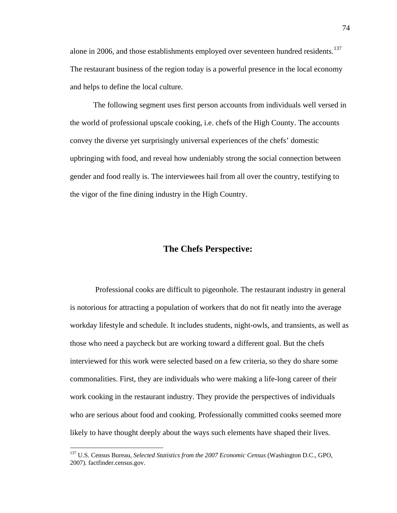alone in 2006, and those establishments employed over seventeen hundred residents.<sup>[137](#page-77-0)</sup> The restaurant business of the region today is a powerful presence in the local economy and helps to define the local culture.

The following segment uses first person accounts from individuals well versed in the world of professional upscale cooking, i.e. chefs of the High County. The accounts convey the diverse yet surprisingly universal experiences of the chefs' domestic upbringing with food, and reveal how undeniably strong the social connection between gender and food really is. The interviewees hail from all over the country, testifying to the vigor of the fine dining industry in the High Country.

#### **The Chefs Perspective:**

Professional cooks are difficult to pigeonhole. The restaurant industry in general is notorious for attracting a population of workers that do not fit neatly into the average workday lifestyle and schedule. It includes students, night-owls, and transients, as well as those who need a paycheck but are working toward a different goal. But the chefs interviewed for this work were selected based on a few criteria, so they do share some commonalities. First, they are individuals who were making a life-long career of their work cooking in the restaurant industry. They provide the perspectives of individuals who are serious about food and cooking. Professionally committed cooks seemed more likely to have thought deeply about the ways such elements have shaped their lives.

<span id="page-77-0"></span> <sup>137</sup> U.S. Census Bureau, *Selected Statistics from the 2007 Economic Census* (Washington D.C., GPO, 2007). factfinder.census.gov.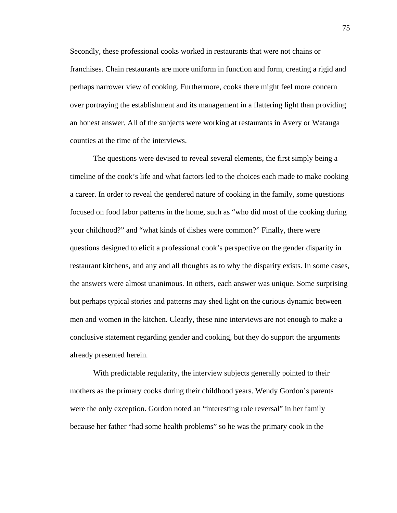Secondly, these professional cooks worked in restaurants that were not chains or franchises. Chain restaurants are more uniform in function and form, creating a rigid and perhaps narrower view of cooking. Furthermore, cooks there might feel more concern over portraying the establishment and its management in a flattering light than providing an honest answer. All of the subjects were working at restaurants in Avery or Watauga counties at the time of the interviews.

The questions were devised to reveal several elements, the first simply being a timeline of the cook's life and what factors led to the choices each made to make cooking a career. In order to reveal the gendered nature of cooking in the family, some questions focused on food labor patterns in the home, such as "who did most of the cooking during your childhood?" and "what kinds of dishes were common?" Finally, there were questions designed to elicit a professional cook's perspective on the gender disparity in restaurant kitchens, and any and all thoughts as to why the disparity exists. In some cases, the answers were almost unanimous. In others, each answer was unique. Some surprising but perhaps typical stories and patterns may shed light on the curious dynamic between men and women in the kitchen. Clearly, these nine interviews are not enough to make a conclusive statement regarding gender and cooking, but they do support the arguments already presented herein.

With predictable regularity, the interview subjects generally pointed to their mothers as the primary cooks during their childhood years. Wendy Gordon's parents were the only exception. Gordon noted an "interesting role reversal" in her family because her father "had some health problems" so he was the primary cook in the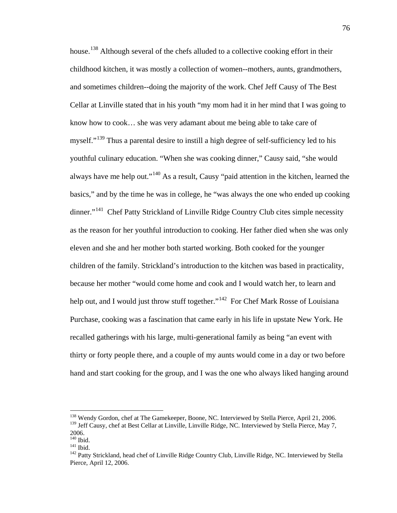house.<sup>[138](#page-79-0)</sup> Although several of the chefs alluded to a collective cooking effort in their childhood kitchen, it was mostly a collection of women--mothers, aunts, grandmothers, and sometimes children--doing the majority of the work. Chef Jeff Causy of The Best Cellar at Linville stated that in his youth "my mom had it in her mind that I was going to know how to cook… she was very adamant about me being able to take care of myself."[139](#page-79-1) Thus a parental desire to instill a high degree of self-sufficiency led to his youthful culinary education. "When she was cooking dinner," Causy said, "she would always have me help out."<sup>[140](#page-79-2)</sup> As a result, Causy "paid attention in the kitchen, learned the basics," and by the time he was in college, he "was always the one who ended up cooking dinner."<sup>141</sup> Chef Patty Strickland of Linville Ridge Country Club cites simple necessity as the reason for her youthful introduction to cooking. Her father died when she was only eleven and she and her mother both started working. Both cooked for the younger children of the family. Strickland's introduction to the kitchen was based in practicality, because her mother "would come home and cook and I would watch her, to learn and help out, and I would just throw stuff together."<sup>[142](#page-79-4)</sup> For Chef Mark Rosse of Louisiana Purchase, cooking was a fascination that came early in his life in upstate New York. He recalled gatherings with his large, multi-generational family as being "an event with thirty or forty people there, and a couple of my aunts would come in a day or two before hand and start cooking for the group, and I was the one who always liked hanging around

<span id="page-79-1"></span><span id="page-79-0"></span><sup>&</sup>lt;sup>138</sup> Wendy Gordon, chef at The Gamekeeper, Boone, NC. Interviewed by Stella Pierce, April 21, 2006. <sup>139</sup> Jeff Causy, chef at Best Cellar at Linville, Linville Ridge, NC. Interviewed by Stella Pierce, May 7,  $2006.$ <sup>140</sup> Ibid.

<span id="page-79-4"></span><span id="page-79-3"></span><span id="page-79-2"></span><sup>141</sup> Ibid.<br><sup>142</sup> Patty Strickland, head chef of Linville Ridge Country Club, Linville Ridge, NC. Interviewed by Stella Pierce, April 12, 2006.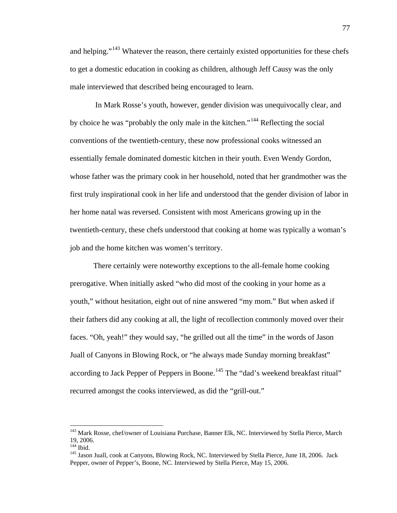and helping."<sup>[143](#page-80-0)</sup> Whatever the reason, there certainly existed opportunities for these chefs to get a domestic education in cooking as children, although Jeff Causy was the only male interviewed that described being encouraged to learn.

In Mark Rosse's youth, however, gender division was unequivocally clear, and by choice he was "probably the only male in the kitchen."<sup>[144](#page-80-1)</sup> Reflecting the social conventions of the twentieth-century, these now professional cooks witnessed an essentially female dominated domestic kitchen in their youth. Even Wendy Gordon, whose father was the primary cook in her household, noted that her grandmother was the first truly inspirational cook in her life and understood that the gender division of labor in her home natal was reversed. Consistent with most Americans growing up in the twentieth-century, these chefs understood that cooking at home was typically a woman's job and the home kitchen was women's territory.

There certainly were noteworthy exceptions to the all-female home cooking prerogative. When initially asked "who did most of the cooking in your home as a youth," without hesitation, eight out of nine answered "my mom." But when asked if their fathers did any cooking at all, the light of recollection commonly moved over their faces. "Oh, yeah!" they would say, "he grilled out all the time" in the words of Jason Juall of Canyons in Blowing Rock, or "he always made Sunday morning breakfast" according to Jack Pepper of Peppers in Boone.<sup>[145](#page-80-2)</sup> The "dad's weekend breakfast ritual" recurred amongst the cooks interviewed, as did the "grill-out."

<span id="page-80-0"></span><sup>&</sup>lt;sup>143</sup> Mark Rosse, chef/owner of Louisiana Purchase, Banner Elk, NC. Interviewed by Stella Pierce, March 19, 2006.<br><sup>144</sup> Ibid.

<span id="page-80-1"></span>

<span id="page-80-2"></span><sup>&</sup>lt;sup>145</sup> Jason Juall, cook at Canyons, Blowing Rock, NC. Interviewed by Stella Pierce, June 18, 2006. Jack Pepper, owner of Pepper's, Boone, NC. Interviewed by Stella Pierce, May 15, 2006.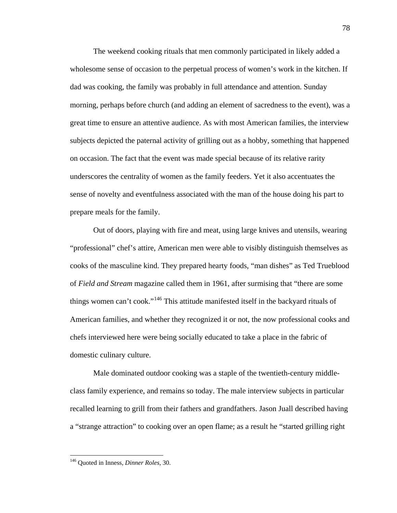The weekend cooking rituals that men commonly participated in likely added a wholesome sense of occasion to the perpetual process of women's work in the kitchen. If dad was cooking, the family was probably in full attendance and attention. Sunday morning, perhaps before church (and adding an element of sacredness to the event), was a great time to ensure an attentive audience. As with most American families, the interview subjects depicted the paternal activity of grilling out as a hobby, something that happened on occasion. The fact that the event was made special because of its relative rarity underscores the centrality of women as the family feeders. Yet it also accentuates the sense of novelty and eventfulness associated with the man of the house doing his part to prepare meals for the family.

Out of doors, playing with fire and meat, using large knives and utensils, wearing "professional" chef's attire, American men were able to visibly distinguish themselves as cooks of the masculine kind. They prepared hearty foods, "man dishes" as Ted Trueblood of *Field and Stream* magazine called them in 1961, after surmising that "there are some things women can't cook."<sup>[146](#page-81-0)</sup> This attitude manifested itself in the backyard rituals of American families, and whether they recognized it or not, the now professional cooks and chefs interviewed here were being socially educated to take a place in the fabric of domestic culinary culture.

Male dominated outdoor cooking was a staple of the twentieth-century middleclass family experience, and remains so today. The male interview subjects in particular recalled learning to grill from their fathers and grandfathers. Jason Juall described having a "strange attraction" to cooking over an open flame; as a result he "started grilling right

<span id="page-81-0"></span> <sup>146</sup> Quoted in Inness, *Dinner Roles,* 30.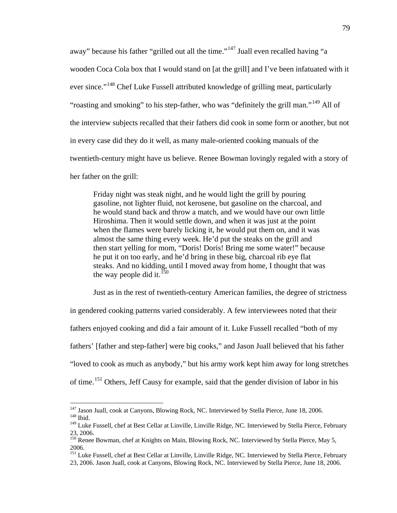away" because his father "grilled out all the time."<sup>[147](#page-82-0)</sup> Juall even recalled having "a wooden Coca Cola box that I would stand on [at the grill] and I've been infatuated with it ever since."<sup>[148](#page-82-1)</sup> Chef Luke Fussell attributed knowledge of grilling meat, particularly "roasting and smoking" to his step-father, who was "definitely the grill man."<sup>[149](#page-82-2)</sup> All of the interview subjects recalled that their fathers did cook in some form or another, but not in every case did they do it well, as many male-oriented cooking manuals of the twentieth-century might have us believe. Renee Bowman lovingly regaled with a story of her father on the grill:

Friday night was steak night, and he would light the grill by pouring gasoline, not lighter fluid, not kerosene, but gasoline on the charcoal, and he would stand back and throw a match, and we would have our own little Hiroshima. Then it would settle down, and when it was just at the point when the flames were barely licking it, he would put them on, and it was almost the same thing every week. He'd put the steaks on the grill and then start yelling for mom, "Doris! Doris! Bring me some water!" because he put it on too early, and he'd bring in these big, charcoal rib eye flat steaks. And no kidding, until I moved away from home, I thought that was the way people did it.<sup>[150](#page-82-3)</sup>

Just as in the rest of twentieth-century American families, the degree of strictness

in gendered cooking patterns varied considerably. A few interviewees noted that their

fathers enjoyed cooking and did a fair amount of it. Luke Fussell recalled "both of my

fathers' [father and step-father] were big cooks," and Jason Juall believed that his father

"loved to cook as much as anybody," but his army work kept him away for long stretches

of time.<sup>[151](#page-82-4)</sup> Others, Jeff Causy for example, said that the gender division of labor in his

<span id="page-82-1"></span><span id="page-82-0"></span><sup>&</sup>lt;sup>147</sup> Jason Juall, cook at Canyons, Blowing Rock, NC. Interviewed by Stella Pierce, June 18, 2006. <sup>148</sup> Ibid.

<span id="page-82-2"></span><sup>&</sup>lt;sup>149</sup> Luke Fussell, chef at Best Cellar at Linville, Linville Ridge, NC. Interviewed by Stella Pierce, February 23, 2006.

<span id="page-82-3"></span><sup>150</sup> Renee Bowman, chef at Knights on Main, Blowing Rock, NC. Interviewed by Stella Pierce, May 5, 2006.

<span id="page-82-4"></span><sup>&</sup>lt;sup>151</sup> Luke Fussell, chef at Best Cellar at Linville, Linville Ridge, NC. Interviewed by Stella Pierce, February 23, 2006. Jason Juall, cook at Canyons, Blowing Rock, NC. Interviewed by Stella Pierce, June 18, 2006.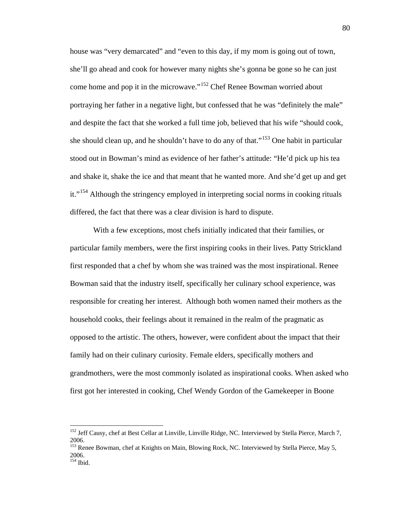house was "very demarcated" and "even to this day, if my mom is going out of town, she'll go ahead and cook for however many nights she's gonna be gone so he can just come home and pop it in the microwave."<sup>[152](#page-83-0)</sup> Chef Renee Bowman worried about portraying her father in a negative light, but confessed that he was "definitely the male" and despite the fact that she worked a full time job, believed that his wife "should cook, she should clean up, and he shouldn't have to do any of that."[153](#page-83-1) One habit in particular stood out in Bowman's mind as evidence of her father's attitude: "He'd pick up his tea and shake it, shake the ice and that meant that he wanted more. And she'd get up and get it."<sup>[154](#page-83-2)</sup> Although the stringency employed in interpreting social norms in cooking rituals differed, the fact that there was a clear division is hard to dispute.

With a few exceptions, most chefs initially indicated that their families, or particular family members, were the first inspiring cooks in their lives. Patty Strickland first responded that a chef by whom she was trained was the most inspirational. Renee Bowman said that the industry itself, specifically her culinary school experience, was responsible for creating her interest. Although both women named their mothers as the household cooks, their feelings about it remained in the realm of the pragmatic as opposed to the artistic. The others, however, were confident about the impact that their family had on their culinary curiosity. Female elders, specifically mothers and grandmothers, were the most commonly isolated as inspirational cooks. When asked who first got her interested in cooking, Chef Wendy Gordon of the Gamekeeper in Boone

<span id="page-83-0"></span><sup>&</sup>lt;sup>152</sup> Jeff Causy, chef at Best Cellar at Linville, Linville Ridge, NC. Interviewed by Stella Pierce, March 7, 2006.

<span id="page-83-1"></span><sup>&</sup>lt;sup>153</sup> Renee Bowman, chef at Knights on Main, Blowing Rock, NC. Interviewed by Stella Pierce, May 5, 2006.

<span id="page-83-2"></span><sup>&</sup>lt;sup>154</sup> Ibid.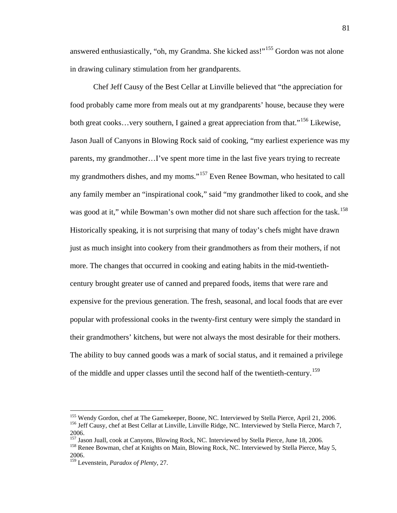answered enthusiastically, "oh, my Grandma. She kicked ass!"<sup>[155](#page-84-0)</sup> Gordon was not alone in drawing culinary stimulation from her grandparents.

Chef Jeff Causy of the Best Cellar at Linville believed that "the appreciation for food probably came more from meals out at my grandparents' house, because they were both great cooks...very southern, I gained a great appreciation from that."<sup>[156](#page-84-1)</sup> Likewise, Jason Juall of Canyons in Blowing Rock said of cooking, "my earliest experience was my parents, my grandmother…I've spent more time in the last five years trying to recreate my grandmothers dishes, and my moms."[157](#page-84-2) Even Renee Bowman, who hesitated to call any family member an "inspirational cook," said "my grandmother liked to cook, and she was good at it," while Bowman's own mother did not share such affection for the task.<sup>[158](#page-84-3)</sup> Historically speaking, it is not surprising that many of today's chefs might have drawn just as much insight into cookery from their grandmothers as from their mothers, if not more. The changes that occurred in cooking and eating habits in the mid-twentiethcentury brought greater use of canned and prepared foods, items that were rare and expensive for the previous generation. The fresh, seasonal, and local foods that are ever popular with professional cooks in the twenty-first century were simply the standard in their grandmothers' kitchens, but were not always the most desirable for their mothers. The ability to buy canned goods was a mark of social status, and it remained a privilege of the middle and upper classes until the second half of the twentieth-century.[159](#page-84-4)

<span id="page-84-1"></span><span id="page-84-0"></span><sup>&</sup>lt;sup>155</sup> Wendy Gordon, chef at The Gamekeeper, Boone, NC. Interviewed by Stella Pierce, April 21, 2006.<br><sup>156</sup> Jeff Causy, chef at Best Cellar at Linville, Linville Ridge, NC. Interviewed by Stella Pierce, March 7,

<span id="page-84-2"></span><sup>&</sup>lt;sup>157</sup> Jason Juall, cook at Canyons, Blowing Rock, NC. Interviewed by Stella Pierce, June 18, 2006.

<span id="page-84-3"></span><sup>&</sup>lt;sup>158</sup> Renee Bowman, chef at Knights on Main, Blowing Rock, NC. Interviewed by Stella Pierce, May 5, 2006.

<span id="page-84-4"></span><sup>159</sup> Levenstein, *Paradox of Plenty*, 27.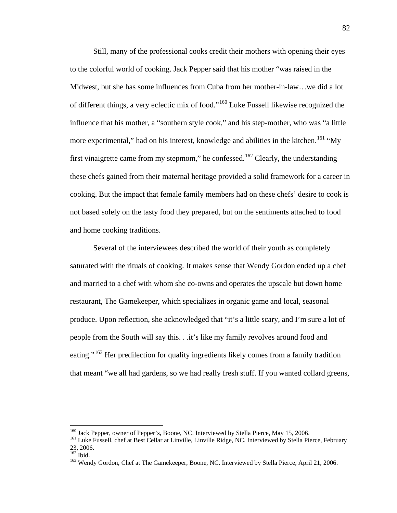Still, many of the professional cooks credit their mothers with opening their eyes to the colorful world of cooking. Jack Pepper said that his mother "was raised in the Midwest, but she has some influences from Cuba from her mother-in-law…we did a lot of different things, a very eclectic mix of food."[160](#page-85-0) Luke Fussell likewise recognized the influence that his mother, a "southern style cook," and his step-mother, who was "a little more experimental," had on his interest, knowledge and abilities in the kitchen.<sup>[161](#page-85-1)</sup> "My first vinaigrette came from my stepmom," he confessed.<sup>[162](#page-85-2)</sup> Clearly, the understanding these chefs gained from their maternal heritage provided a solid framework for a career in cooking. But the impact that female family members had on these chefs' desire to cook is not based solely on the tasty food they prepared, but on the sentiments attached to food and home cooking traditions.

Several of the interviewees described the world of their youth as completely saturated with the rituals of cooking. It makes sense that Wendy Gordon ended up a chef and married to a chef with whom she co-owns and operates the upscale but down home restaurant, The Gamekeeper, which specializes in organic game and local, seasonal produce. Upon reflection, she acknowledged that "it's a little scary, and I'm sure a lot of people from the South will say this. . .it's like my family revolves around food and eating."<sup>[163](#page-85-3)</sup> Her predilection for quality ingredients likely comes from a family tradition that meant "we all had gardens, so we had really fresh stuff. If you wanted collard greens,

<sup>&</sup>lt;sup>160</sup> Jack Pepper, owner of Pepper's, Boone, NC. Interviewed by Stella Pierce, May 15, 2006.

<span id="page-85-1"></span><span id="page-85-0"></span><sup>&</sup>lt;sup>161</sup> Luke Fussell, chef at Best Cellar at Linville, Linville Ridge, NC. Interviewed by Stella Pierce, February 23, 2006.<br> $162$  Ibid.

<span id="page-85-2"></span>

<span id="page-85-3"></span><sup>&</sup>lt;sup>163</sup> Wendy Gordon, Chef at The Gamekeeper, Boone, NC. Interviewed by Stella Pierce, April 21, 2006.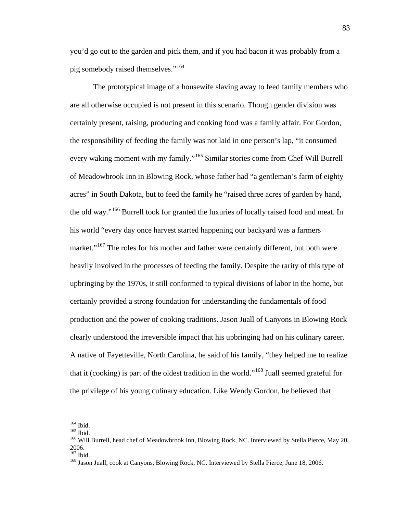you'd go out to the garden and pick them, and if you had bacon it was probably from a pig somebody raised themselves."<sup>[164](#page-86-0)</sup>

The prototypical image of a housewife slaving away to feed family members who are all otherwise occupied is not present in this scenario. Though gender division was certainly present, raising, producing and cooking food was a family affair. For Gordon, the responsibility of feeding the family was not laid in one person's lap, "it consumed every waking moment with my family."[165](#page-86-1) Similar stories come from Chef Will Burrell of Meadowbrook Inn in Blowing Rock, whose father had "a gentleman's farm of eighty acres" in South Dakota, but to feed the family he "raised three acres of garden by hand, the old way."[166](#page-86-2) Burrell took for granted the luxuries of locally raised food and meat. In his world "every day once harvest started happening our backyard was a farmers market."<sup>[167](#page-86-3)</sup> The roles for his mother and father were certainly different, but both were heavily involved in the processes of feeding the family. Despite the rarity of this type of upbringing by the 1970s, it still conformed to typical divisions of labor in the home, but certainly provided a strong foundation for understanding the fundamentals of food production and the power of cooking traditions. Jason Juall of Canyons in Blowing Rock clearly understood the irreversible impact that his upbringing had on his culinary career. A native of Fayetteville, North Carolina, he said of his family, "they helped me to realize that it (cooking) is part of the oldest tradition in the world."<sup>[168](#page-86-4)</sup> Juall seemed grateful for the privilege of his young culinary education. Like Wendy Gordon, he believed that

<span id="page-86-0"></span> $^{164}$  Ibid.<br> $^{165}$  Ibid.

<span id="page-86-2"></span><span id="page-86-1"></span><sup>&</sup>lt;sup>166</sup> Will Burrell, head chef of Meadowbrook Inn, Blowing Rock, NC. Interviewed by Stella Pierce, May 20,  $2006.$ <sup>167</sup> Ibid.

<span id="page-86-4"></span><span id="page-86-3"></span>

<sup>&</sup>lt;sup>168</sup> Jason Juall, cook at Canyons, Blowing Rock, NC. Interviewed by Stella Pierce, June 18, 2006.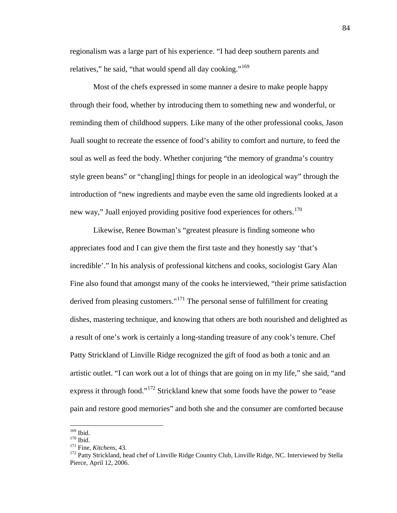regionalism was a large part of his experience. "I had deep southern parents and relatives," he said, "that would spend all day cooking."<sup>[169](#page-87-0)</sup>

Most of the chefs expressed in some manner a desire to make people happy through their food, whether by introducing them to something new and wonderful, or reminding them of childhood suppers. Like many of the other professional cooks, Jason Juall sought to recreate the essence of food's ability to comfort and nurture, to feed the soul as well as feed the body. Whether conjuring "the memory of grandma's country style green beans" or "chang[ing] things for people in an ideological way" through the introduction of "new ingredients and maybe even the same old ingredients looked at a new way," Juall enjoyed providing positive food experiences for others.<sup>[170](#page-87-1)</sup>

Likewise, Renee Bowman's "greatest pleasure is finding someone who appreciates food and I can give them the first taste and they honestly say 'that's incredible'." In his analysis of professional kitchens and cooks, sociologist Gary Alan Fine also found that amongst many of the cooks he interviewed, "their prime satisfaction derived from pleasing customers."<sup>[171](#page-87-2)</sup> The personal sense of fulfillment for creating dishes, mastering technique, and knowing that others are both nourished and delighted as a result of one's work is certainly a long-standing treasure of any cook's tenure. Chef Patty Strickland of Linville Ridge recognized the gift of food as both a tonic and an artistic outlet. "I can work out a lot of things that are going on in my life," she said, "and express it through food."<sup>[172](#page-87-3)</sup> Strickland knew that some foods have the power to "ease pain and restore good memories" and both she and the consumer are comforted because

<span id="page-87-0"></span> $\frac{169}{170}$  Ibid.

<span id="page-87-3"></span><span id="page-87-2"></span><span id="page-87-1"></span><sup>&</sup>lt;sup>171</sup> Fine, *Kitchens*, 43.<br><sup>172</sup> Patty Strickland, head chef of Linville Ridge Country Club, Linville Ridge, NC. Interviewed by Stella Pierce, April 12, 2006.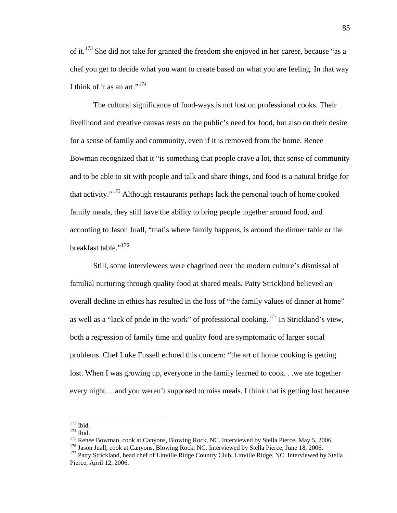of it.<sup>[173](#page-88-0)</sup> She did not take for granted the freedom she enjoyed in her career, because "as a chef you get to decide what you want to create based on what you are feeling. In that way I think of it as an art." $174$ 

The cultural significance of food-ways is not lost on professional cooks. Their livelihood and creative canvas rests on the public's need for food, but also on their desire for a sense of family and community, even if it is removed from the home. Renee Bowman recognized that it "is something that people crave a lot, that sense of community and to be able to sit with people and talk and share things, and food is a natural bridge for that activity."[175](#page-88-2) Although restaurants perhaps lack the personal touch of home cooked family meals, they still have the ability to bring people together around food, and according to Jason Juall, "that's where family happens, is around the dinner table or the breakfast table."<sup>[176](#page-88-3)</sup>

Still, some interviewees were chagrined over the modern culture's dismissal of familial nurturing through quality food at shared meals. Patty Strickland believed an overall decline in ethics has resulted in the loss of "the family values of dinner at home" as well as a "lack of pride in the work" of professional cooking.<sup>[177](#page-88-4)</sup> In Strickland's view, both a regression of family time and quality food are symptomatic of larger social problems. Chef Luke Fussell echoed this concern: "the art of home cooking is getting lost. When I was growing up, everyone in the family learned to cook. . .we ate together every night. . .and you weren't supposed to miss meals. I think that is getting lost because

<span id="page-88-0"></span> $^{173}$  Ibid.<br> $^{174}$  Ibid.

<span id="page-88-2"></span><span id="page-88-1"></span><sup>&</sup>lt;sup>175</sup> Renee Bowman, cook at Canyons, Blowing Rock, NC. Interviewed by Stella Pierce, May 5, 2006.<br><sup>176</sup> Jason Juall, cook at Canyons, Blowing Rock, NC. Interviewed by Stella Pierce, June 18, 2006.<br><sup>177</sup> Patty Strickland, h

<span id="page-88-4"></span><span id="page-88-3"></span>Pierce, April 12, 2006.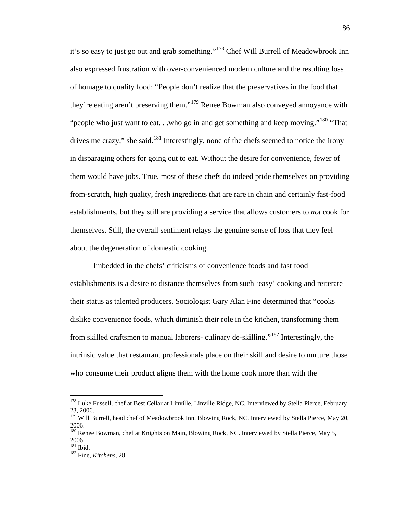it's so easy to just go out and grab something."[178](#page-89-0) Chef Will Burrell of Meadowbrook Inn also expressed frustration with over-convenienced modern culture and the resulting loss of homage to quality food: "People don't realize that the preservatives in the food that they're eating aren't preserving them."[179](#page-89-1) Renee Bowman also conveyed annoyance with "people who just want to eat. . .who go in and get something and keep moving."<sup>[180](#page-89-2)</sup> "That" drives me crazy," she said.<sup>[181](#page-89-3)</sup> Interestingly, none of the chefs seemed to notice the irony in disparaging others for going out to eat. Without the desire for convenience, fewer of them would have jobs. True, most of these chefs do indeed pride themselves on providing from-scratch, high quality, fresh ingredients that are rare in chain and certainly fast-food establishments, but they still are providing a service that allows customers to *not* cook for themselves. Still, the overall sentiment relays the genuine sense of loss that they feel about the degeneration of domestic cooking.

Imbedded in the chefs' criticisms of convenience foods and fast food establishments is a desire to distance themselves from such 'easy' cooking and reiterate their status as talented producers. Sociologist Gary Alan Fine determined that "cooks dislike convenience foods, which diminish their role in the kitchen, transforming them from skilled craftsmen to manual laborers- culinary de-skilling."<sup>[182](#page-89-4)</sup> Interestingly, the intrinsic value that restaurant professionals place on their skill and desire to nurture those who consume their product aligns them with the home cook more than with the

<span id="page-89-0"></span><sup>&</sup>lt;sup>178</sup> Luke Fussell, chef at Best Cellar at Linville, Linville Ridge, NC. Interviewed by Stella Pierce, February 23, 2006.

<span id="page-89-1"></span><sup>&</sup>lt;sup>179</sup> Will Burrell, head chef of Meadowbrook Inn, Blowing Rock, NC. Interviewed by Stella Pierce, May 20, 2006.

<span id="page-89-2"></span><sup>&</sup>lt;sup>180</sup> Renee Bowman, chef at Knights on Main, Blowing Rock, NC. Interviewed by Stella Pierce, May 5,  $2006.$ <sup>181</sup> Ibid.

<span id="page-89-4"></span><span id="page-89-3"></span><sup>&</sup>lt;sup>182</sup> Fine, *Kitchens*, 28.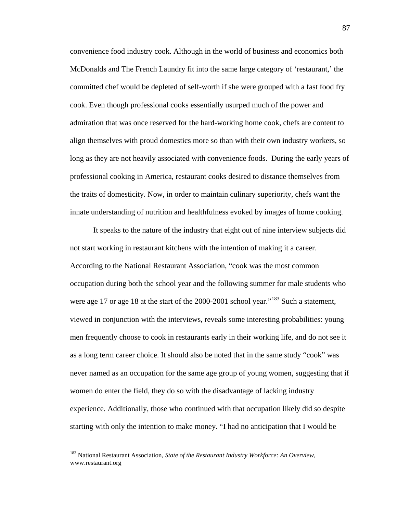convenience food industry cook. Although in the world of business and economics both McDonalds and The French Laundry fit into the same large category of 'restaurant,' the committed chef would be depleted of self-worth if she were grouped with a fast food fry cook. Even though professional cooks essentially usurped much of the power and admiration that was once reserved for the hard-working home cook, chefs are content to align themselves with proud domestics more so than with their own industry workers, so long as they are not heavily associated with convenience foods. During the early years of professional cooking in America, restaurant cooks desired to distance themselves from the traits of domesticity. Now, in order to maintain culinary superiority, chefs want the innate understanding of nutrition and healthfulness evoked by images of home cooking.

It speaks to the nature of the industry that eight out of nine interview subjects did not start working in restaurant kitchens with the intention of making it a career. According to the National Restaurant Association, "cook was the most common occupation during both the school year and the following summer for male students who were age 17 or age 18 at the start of the 2000-2001 school year."<sup>[183](#page-90-0)</sup> Such a statement, viewed in conjunction with the interviews, reveals some interesting probabilities: young men frequently choose to cook in restaurants early in their working life, and do not see it as a long term career choice. It should also be noted that in the same study "cook" was never named as an occupation for the same age group of young women, suggesting that if women do enter the field, they do so with the disadvantage of lacking industry experience. Additionally, those who continued with that occupation likely did so despite starting with only the intention to make money. "I had no anticipation that I would be

<span id="page-90-0"></span> <sup>183</sup> National Restaurant Association, *State of the Restaurant Industry Workforce: An Overview,* www.restaurant.org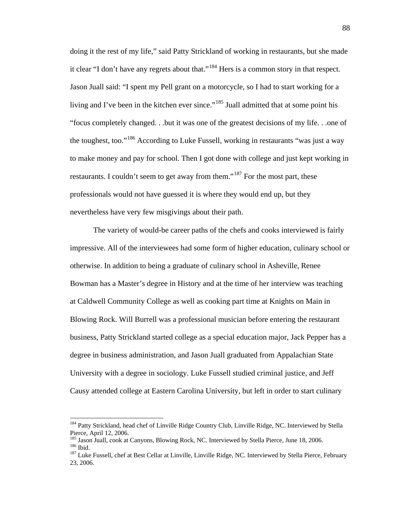doing it the rest of my life," said Patty Strickland of working in restaurants, but she made it clear "I don't have any regrets about that."<sup>[184](#page-91-0)</sup> Hers is a common story in that respect. Jason Juall said: "I spent my Pell grant on a motorcycle, so I had to start working for a living and I've been in the kitchen ever since."<sup>[185](#page-91-1)</sup> Juall admitted that at some point his "focus completely changed. . .but it was one of the greatest decisions of my life. . .one of the toughest, too."[186](#page-91-2) According to Luke Fussell, working in restaurants "was just a way to make money and pay for school. Then I got done with college and just kept working in restaurants. I couldn't seem to get away from them."<sup>[187](#page-91-3)</sup> For the most part, these professionals would not have guessed it is where they would end up, but they nevertheless have very few misgivings about their path.

The variety of would-be career paths of the chefs and cooks interviewed is fairly impressive. All of the interviewees had some form of higher education, culinary school or otherwise. In addition to being a graduate of culinary school in Asheville, Renee Bowman has a Master's degree in History and at the time of her interview was teaching at Caldwell Community College as well as cooking part time at Knights on Main in Blowing Rock. Will Burrell was a professional musician before entering the restaurant business, Patty Strickland started college as a special education major, Jack Pepper has a degree in business administration, and Jason Juall graduated from Appalachian State University with a degree in sociology. Luke Fussell studied criminal justice, and Jeff Causy attended college at Eastern Carolina University, but left in order to start culinary

<span id="page-91-0"></span><sup>&</sup>lt;sup>184</sup> Patty Strickland, head chef of Linville Ridge Country Club, Linville Ridge, NC. Interviewed by Stella Pierce, April 12, 2006.<br><sup>185</sup> Jason Juall, cook at Canyons, Blowing Rock, NC. Interviewed by Stella Pierce, June 18, 2006.

<span id="page-91-2"></span><span id="page-91-1"></span><sup>186</sup> Tason Juan, 1976.<br><sup>187</sup> Ibid. 187 Luke Fussell, chef at Best Cellar at Linville, Linville Ridge, NC. Interviewed by Stella Pierce, February

<span id="page-91-3"></span><sup>23, 2006.</sup>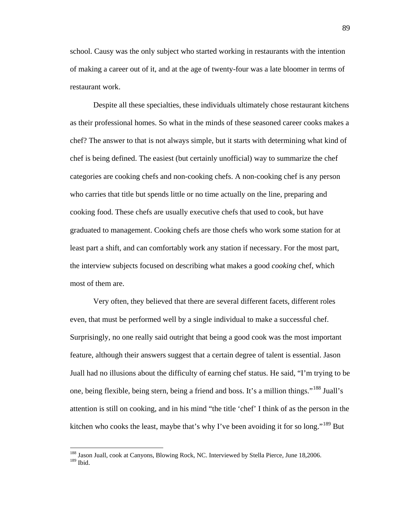school. Causy was the only subject who started working in restaurants with the intention of making a career out of it, and at the age of twenty-four was a late bloomer in terms of restaurant work.

Despite all these specialties, these individuals ultimately chose restaurant kitchens as their professional homes. So what in the minds of these seasoned career cooks makes a chef? The answer to that is not always simple, but it starts with determining what kind of chef is being defined. The easiest (but certainly unofficial) way to summarize the chef categories are cooking chefs and non-cooking chefs. A non-cooking chef is any person who carries that title but spends little or no time actually on the line, preparing and cooking food. These chefs are usually executive chefs that used to cook, but have graduated to management. Cooking chefs are those chefs who work some station for at least part a shift, and can comfortably work any station if necessary. For the most part, the interview subjects focused on describing what makes a good *cooking* chef, which most of them are.

Very often, they believed that there are several different facets, different roles even, that must be performed well by a single individual to make a successful chef. Surprisingly, no one really said outright that being a good cook was the most important feature, although their answers suggest that a certain degree of talent is essential. Jason Juall had no illusions about the difficulty of earning chef status. He said, "I'm trying to be one, being flexible, being stern, being a friend and boss. It's a million things."[188](#page-92-0) Juall's attention is still on cooking, and in his mind "the title 'chef' I think of as the person in the kitchen who cooks the least, maybe that's why I've been avoiding it for so long."<sup>[189](#page-92-1)</sup> But

<span id="page-92-1"></span><span id="page-92-0"></span><sup>&</sup>lt;sup>188</sup> Jason Juall, cook at Canyons, Blowing Rock, NC. Interviewed by Stella Pierce, June 18,2006.  $189$  Ibid.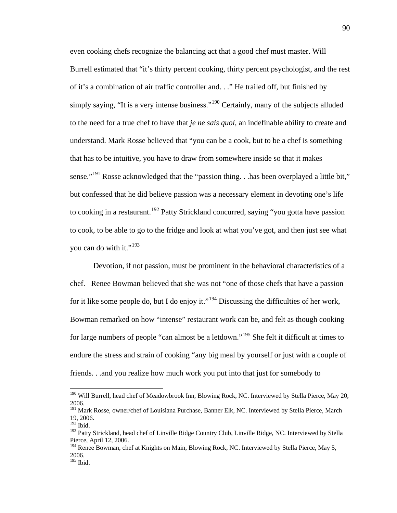even cooking chefs recognize the balancing act that a good chef must master. Will Burrell estimated that "it's thirty percent cooking, thirty percent psychologist, and the rest of it's a combination of air traffic controller and. . ." He trailed off, but finished by simply saying, "It is a very intense business."<sup>[190](#page-93-0)</sup> Certainly, many of the subjects alluded to the need for a true chef to have that *je ne sais quoi*, an indefinable ability to create and understand. Mark Rosse believed that "you can be a cook, but to be a chef is something that has to be intuitive, you have to draw from somewhere inside so that it makes sense."<sup>[191](#page-93-1)</sup> Rosse acknowledged that the "passion thing. . .has been overplayed a little bit," but confessed that he did believe passion was a necessary element in devoting one's life to cooking in a restaurant.<sup>[192](#page-93-2)</sup> Patty Strickland concurred, saying "you gotta have passion to cook, to be able to go to the fridge and look at what you've got, and then just see what you can do with it."<sup>[193](#page-93-3)</sup>

Devotion, if not passion, must be prominent in the behavioral characteristics of a chef. Renee Bowman believed that she was not "one of those chefs that have a passion for it like some people do, but I do enjoy it."<sup>[194](#page-93-4)</sup> Discussing the difficulties of her work, Bowman remarked on how "intense" restaurant work can be, and felt as though cooking for large numbers of people "can almost be a letdown."<sup>[195](#page-93-5)</sup> She felt it difficult at times to endure the stress and strain of cooking "any big meal by yourself or just with a couple of friends. . .and you realize how much work you put into that just for somebody to

<span id="page-93-0"></span><sup>&</sup>lt;sup>190</sup> Will Burrell, head chef of Meadowbrook Inn, Blowing Rock, NC. Interviewed by Stella Pierce, May 20, 2006.

<span id="page-93-1"></span><sup>&</sup>lt;sup>191</sup> Mark Rosse, owner/chef of Louisiana Purchase, Banner Elk, NC. Interviewed by Stella Pierce, March 19, 2006.

<span id="page-93-2"></span><sup>&</sup>lt;sup>192</sup> Ibid.

<span id="page-93-3"></span><sup>&</sup>lt;sup>193</sup> Patty Strickland, head chef of Linville Ridge Country Club, Linville Ridge, NC. Interviewed by Stella Pierce, April 12, 2006.

<span id="page-93-5"></span><span id="page-93-4"></span><sup>&</sup>lt;sup>194</sup> Renee Bowman, chef at Knights on Main, Blowing Rock, NC. Interviewed by Stella Pierce, May 5, 2006.  $195$  Ibid.

<sup>90</sup>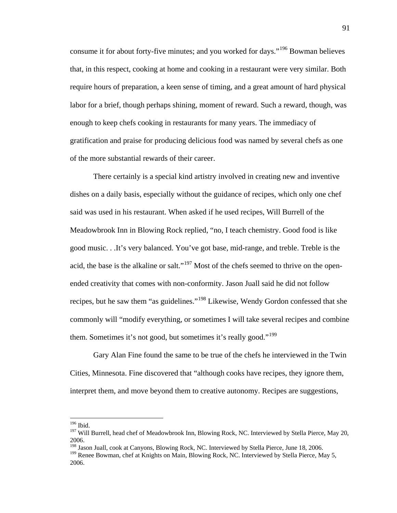consume it for about forty-five minutes; and you worked for days."<sup>[196](#page-94-0)</sup> Bowman believes that, in this respect, cooking at home and cooking in a restaurant were very similar. Both require hours of preparation, a keen sense of timing, and a great amount of hard physical labor for a brief, though perhaps shining, moment of reward. Such a reward, though, was enough to keep chefs cooking in restaurants for many years. The immediacy of gratification and praise for producing delicious food was named by several chefs as one of the more substantial rewards of their career.

There certainly is a special kind artistry involved in creating new and inventive dishes on a daily basis, especially without the guidance of recipes, which only one chef said was used in his restaurant. When asked if he used recipes, Will Burrell of the Meadowbrook Inn in Blowing Rock replied, "no, I teach chemistry. Good food is like good music. . .It's very balanced. You've got base, mid-range, and treble. Treble is the acid, the base is the alkaline or salt."<sup>[197](#page-94-1)</sup> Most of the chefs seemed to thrive on the openended creativity that comes with non-conformity. Jason Juall said he did not follow recipes, but he saw them "as guidelines."[198](#page-94-2) Likewise, Wendy Gordon confessed that she commonly will "modify everything, or sometimes I will take several recipes and combine them. Sometimes it's not good, but sometimes it's really good."<sup>[199](#page-94-3)</sup>

Gary Alan Fine found the same to be true of the chefs he interviewed in the Twin Cities, Minnesota. Fine discovered that "although cooks have recipes, they ignore them, interpret them, and move beyond them to creative autonomy. Recipes are suggestions,

<span id="page-94-0"></span> <sup>196</sup> Ibid.

<span id="page-94-1"></span><sup>&</sup>lt;sup>197</sup> Will Burrell, head chef of Meadowbrook Inn, Blowing Rock, NC. Interviewed by Stella Pierce, May 20, 2006.

<span id="page-94-2"></span><sup>&</sup>lt;sup>198</sup> Jason Juall, cook at Canyons, Blowing Rock, NC. Interviewed by Stella Pierce, June 18, 2006.

<span id="page-94-3"></span><sup>&</sup>lt;sup>199</sup> Renee Bowman, chef at Knights on Main, Blowing Rock, NC. Interviewed by Stella Pierce, May 5, 2006.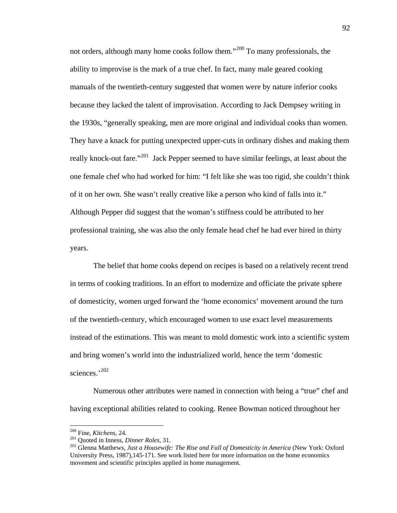not orders, although many home cooks follow them."<sup>[200](#page-95-0)</sup> To many professionals, the ability to improvise is the mark of a true chef. In fact, many male geared cooking manuals of the twentieth-century suggested that women were by nature inferior cooks because they lacked the talent of improvisation. According to Jack Dempsey writing in the 1930s, "generally speaking, men are more original and individual cooks than women. They have a knack for putting unexpected upper-cuts in ordinary dishes and making them really knock-out fare."<sup>[201](#page-95-1)</sup> Jack Pepper seemed to have similar feelings, at least about the one female chef who had worked for him: "I felt like she was too rigid, she couldn't think of it on her own. She wasn't really creative like a person who kind of falls into it." Although Pepper did suggest that the woman's stiffness could be attributed to her professional training, she was also the only female head chef he had ever hired in thirty years.

The belief that home cooks depend on recipes is based on a relatively recent trend in terms of cooking traditions. In an effort to modernize and officiate the private sphere of domesticity, women urged forward the 'home economics' movement around the turn of the twentieth-century, which encouraged women to use exact level measurements instead of the estimations. This was meant to mold domestic work into a scientific system and bring women's world into the industrialized world, hence the term 'domestic sciences.' [202](#page-95-2)

Numerous other attributes were named in connection with being a "true" chef and having exceptional abilities related to cooking. Renee Bowman noticed throughout her

<span id="page-95-2"></span><span id="page-95-1"></span>

<span id="page-95-0"></span><sup>200</sup> Fine, *Kitchens,* 24. <sup>201</sup> Quoted in Inness, *Dinner Roles,* 31. <sup>202</sup> Glenna Matthews, *Just a Housewife: The Rise and Fall of Domesticity in America* (New York: Oxford University Press, 1987),145-171. See work listed here for more information on the home economics movement and scientific principles applied in home management.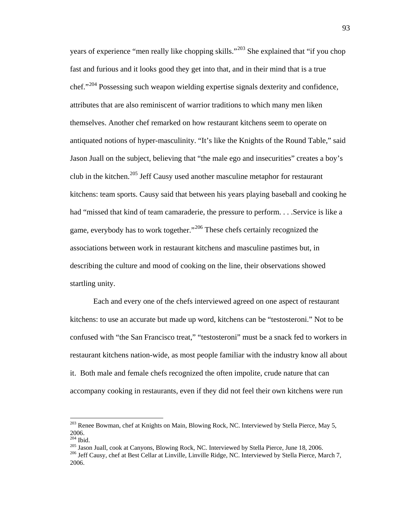years of experience "men really like chopping skills."[203](#page-96-0) She explained that "if you chop fast and furious and it looks good they get into that, and in their mind that is a true chef."[204](#page-96-1) Possessing such weapon wielding expertise signals dexterity and confidence, attributes that are also reminiscent of warrior traditions to which many men liken themselves. Another chef remarked on how restaurant kitchens seem to operate on antiquated notions of hyper-masculinity. "It's like the Knights of the Round Table," said Jason Juall on the subject, believing that "the male ego and insecurities" creates a boy's club in the kitchen.<sup>[205](#page-96-2)</sup> Jeff Causy used another masculine metaphor for restaurant kitchens: team sports. Causy said that between his years playing baseball and cooking he had "missed that kind of team camaraderie, the pressure to perform... Service is like a game, everybody has to work together."<sup>[206](#page-96-3)</sup> These chefs certainly recognized the associations between work in restaurant kitchens and masculine pastimes but, in describing the culture and mood of cooking on the line, their observations showed startling unity.

Each and every one of the chefs interviewed agreed on one aspect of restaurant kitchens: to use an accurate but made up word, kitchens can be "testosteroni." Not to be confused with "the San Francisco treat," "testosteroni" must be a snack fed to workers in restaurant kitchens nation-wide, as most people familiar with the industry know all about it. Both male and female chefs recognized the often impolite, crude nature that can accompany cooking in restaurants, even if they did not feel their own kitchens were run

<span id="page-96-0"></span><sup>&</sup>lt;sup>203</sup> Renee Bowman, chef at Knights on Main, Blowing Rock, NC. Interviewed by Stella Pierce, May 5, 2006.<br><sup>204</sup> Ibid.

<span id="page-96-2"></span><span id="page-96-1"></span>

<span id="page-96-3"></span><sup>&</sup>lt;sup>205</sup> Jason Juall, cook at Canyons, Blowing Rock, NC. Interviewed by Stella Pierce, June 18, 2006.<br><sup>206</sup> Jeff Causy, chef at Best Cellar at Linville, Linville Ridge, NC. Interviewed by Stella Pierce, March 7, 2006.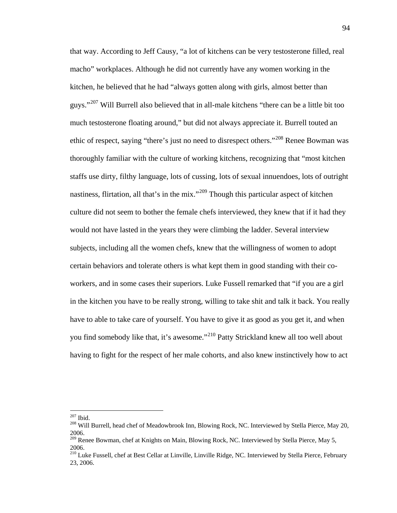that way. According to Jeff Causy, "a lot of kitchens can be very testosterone filled, real macho" workplaces. Although he did not currently have any women working in the kitchen, he believed that he had "always gotten along with girls, almost better than guys."<sup>[207](#page-97-0)</sup> Will Burrell also believed that in all-male kitchens "there can be a little bit too much testosterone floating around," but did not always appreciate it. Burrell touted an ethic of respect, saying "there's just no need to disrespect others."[208](#page-97-1) Renee Bowman was thoroughly familiar with the culture of working kitchens, recognizing that "most kitchen staffs use dirty, filthy language, lots of cussing, lots of sexual innuendoes, lots of outright nastiness, flirtation, all that's in the mix."<sup>[209](#page-97-2)</sup> Though this particular aspect of kitchen culture did not seem to bother the female chefs interviewed, they knew that if it had they would not have lasted in the years they were climbing the ladder. Several interview subjects, including all the women chefs, knew that the willingness of women to adopt certain behaviors and tolerate others is what kept them in good standing with their coworkers, and in some cases their superiors. Luke Fussell remarked that "if you are a girl in the kitchen you have to be really strong, willing to take shit and talk it back. You really have to able to take care of yourself. You have to give it as good as you get it, and when you find somebody like that, it's awesome."<sup>[210](#page-97-3)</sup> Patty Strickland knew all too well about having to fight for the respect of her male cohorts, and also knew instinctively how to act

<span id="page-97-0"></span> <sup>207</sup> Ibid.

<span id="page-97-1"></span><sup>&</sup>lt;sup>208</sup> Will Burrell, head chef of Meadowbrook Inn, Blowing Rock, NC. Interviewed by Stella Pierce, May 20, 2006.

<span id="page-97-2"></span><sup>&</sup>lt;sup>209</sup> Renee Bowman, chef at Knights on Main, Blowing Rock, NC. Interviewed by Stella Pierce, May 5, 2006.

<span id="page-97-3"></span><sup>&</sup>lt;sup>210</sup> Luke Fussell, chef at Best Cellar at Linville, Linville Ridge, NC. Interviewed by Stella Pierce, February 23, 2006.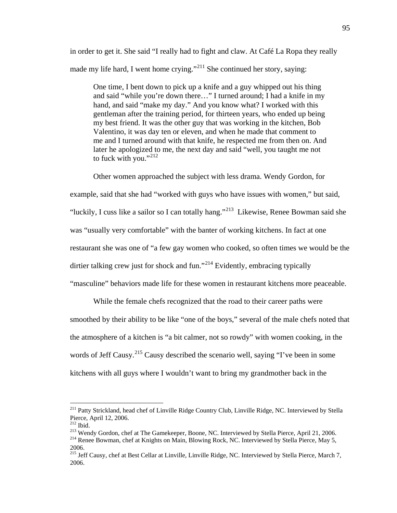in order to get it. She said "I really had to fight and claw. At Café La Ropa they really made my life hard, I went home crying."<sup>[211](#page-98-0)</sup> She continued her story, saying:

One time, I bent down to pick up a knife and a guy whipped out his thing and said "while you're down there…" I turned around; I had a knife in my hand, and said "make my day." And you know what? I worked with this gentleman after the training period, for thirteen years, who ended up being my best friend. It was the other guy that was working in the kitchen, Bob Valentino, it was day ten or eleven, and when he made that comment to me and I turned around with that knife, he respected me from then on. And later he apologized to me, the next day and said "well, you taught me not to fuck with you."<sup>[212](#page-98-1)</sup>

Other women approached the subject with less drama. Wendy Gordon, for

example, said that she had "worked with guys who have issues with women," but said,

"luckily, I cuss like a sailor so I can totally hang."<sup>[213](#page-98-2)</sup> Likewise, Renee Bowman said she

was "usually very comfortable" with the banter of working kitchens. In fact at one

restaurant she was one of "a few gay women who cooked, so often times we would be the

dirtier talking crew just for shock and fun."<sup>[214](#page-98-3)</sup> Evidently, embracing typically

"masculine" behaviors made life for these women in restaurant kitchens more peaceable.

While the female chefs recognized that the road to their career paths were smoothed by their ability to be like "one of the boys," several of the male chefs noted that the atmosphere of a kitchen is "a bit calmer, not so rowdy" with women cooking, in the words of Jeff Causy.<sup>[215](#page-98-4)</sup> Causy described the scenario well, saying "I've been in some kitchens with all guys where I wouldn't want to bring my grandmother back in the

<span id="page-98-0"></span><sup>&</sup>lt;sup>211</sup> Patty Strickland, head chef of Linville Ridge Country Club, Linville Ridge, NC. Interviewed by Stella Pierce, April 12, 2006.<br><sup>212</sup> Ibid.

<span id="page-98-3"></span><span id="page-98-2"></span><span id="page-98-1"></span><sup>&</sup>lt;sup>213</sup> Wendy Gordon, chef at The Gamekeeper, Boone, NC. Interviewed by Stella Pierce, April 21, 2006.<br><sup>214</sup> Renee Bowman, chef at Knights on Main, Blowing Rock, NC. Interviewed by Stella Pierce, May 5, 2006.

<span id="page-98-4"></span><sup>&</sup>lt;sup>215</sup> Jeff Causy, chef at Best Cellar at Linville, Linville Ridge, NC. Interviewed by Stella Pierce, March 7, 2006.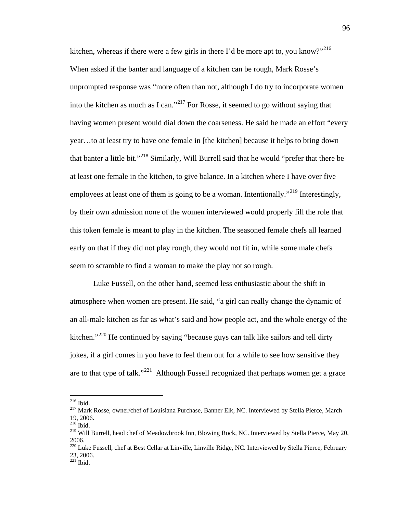kitchen, whereas if there were a few girls in there I'd be more apt to, you know?"<sup>[216](#page-99-0)</sup> When asked if the banter and language of a kitchen can be rough, Mark Rosse's unprompted response was "more often than not, although I do try to incorporate women into the kitchen as much as I can."<sup>[217](#page-99-1)</sup> For Rosse, it seemed to go without saying that having women present would dial down the coarseness. He said he made an effort "every year…to at least try to have one female in [the kitchen] because it helps to bring down that banter a little bit."[218](#page-99-2) Similarly, Will Burrell said that he would "prefer that there be at least one female in the kitchen, to give balance. In a kitchen where I have over five employees at least one of them is going to be a woman. Intentionally."<sup>[219](#page-99-3)</sup> Interestingly, by their own admission none of the women interviewed would properly fill the role that this token female is meant to play in the kitchen. The seasoned female chefs all learned early on that if they did not play rough, they would not fit in, while some male chefs seem to scramble to find a woman to make the play not so rough.

Luke Fussell, on the other hand, seemed less enthusiastic about the shift in atmosphere when women are present. He said, "a girl can really change the dynamic of an all-male kitchen as far as what's said and how people act, and the whole energy of the kitchen."<sup>[220](#page-99-4)</sup> He continued by saying "because guys can talk like sailors and tell dirty jokes, if a girl comes in you have to feel them out for a while to see how sensitive they are to that type of talk."<sup>[221](#page-99-5)</sup> Although Fussell recognized that perhaps women get a grace

<span id="page-99-0"></span> <sup>216</sup> Ibid.

<span id="page-99-1"></span><sup>&</sup>lt;sup>217</sup> Mark Rosse, owner/chef of Louisiana Purchase, Banner Elk, NC. Interviewed by Stella Pierce, March 19, 2006.

 $218$  Ibid.

<span id="page-99-3"></span><span id="page-99-2"></span><sup>&</sup>lt;sup>219</sup> Will Burrell, head chef of Meadowbrook Inn, Blowing Rock, NC. Interviewed by Stella Pierce, May 20, 2006.

<span id="page-99-4"></span><sup>&</sup>lt;sup>220</sup> Luke Fussell, chef at Best Cellar at Linville, Linville Ridge, NC. Interviewed by Stella Pierce, February 23, 2006.

<span id="page-99-5"></span> $221$  Ibid.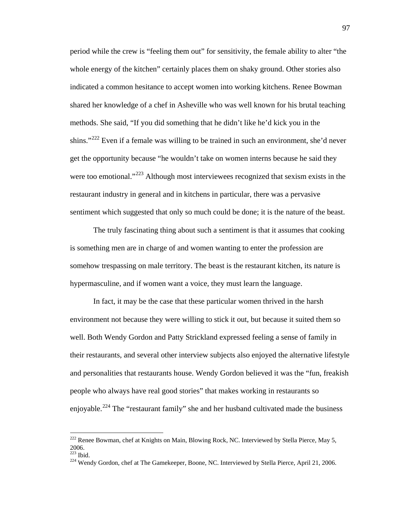period while the crew is "feeling them out" for sensitivity, the female ability to alter "the whole energy of the kitchen" certainly places them on shaky ground. Other stories also indicated a common hesitance to accept women into working kitchens. Renee Bowman shared her knowledge of a chef in Asheville who was well known for his brutal teaching methods. She said, "If you did something that he didn't like he'd kick you in the shins."<sup>[222](#page-100-0)</sup> Even if a female was willing to be trained in such an environment, she'd never get the opportunity because "he wouldn't take on women interns because he said they were too emotional."<sup>[223](#page-100-1)</sup> Although most interviewees recognized that sexism exists in the restaurant industry in general and in kitchens in particular, there was a pervasive sentiment which suggested that only so much could be done; it is the nature of the beast.

The truly fascinating thing about such a sentiment is that it assumes that cooking is something men are in charge of and women wanting to enter the profession are somehow trespassing on male territory. The beast is the restaurant kitchen, its nature is hypermasculine, and if women want a voice, they must learn the language.

In fact, it may be the case that these particular women thrived in the harsh environment not because they were willing to stick it out, but because it suited them so well. Both Wendy Gordon and Patty Strickland expressed feeling a sense of family in their restaurants, and several other interview subjects also enjoyed the alternative lifestyle and personalities that restaurants house. Wendy Gordon believed it was the "fun, freakish people who always have real good stories" that makes working in restaurants so enjoyable.<sup>[224](#page-100-2)</sup> The "restaurant family" she and her husband cultivated made the business

<span id="page-100-0"></span><sup>&</sup>lt;sup>222</sup> Renee Bowman, chef at Knights on Main, Blowing Rock, NC. Interviewed by Stella Pierce, May 5,  $2006.$ <sup>223</sup> Ibid.

<span id="page-100-2"></span><span id="page-100-1"></span>

<sup>&</sup>lt;sup>224</sup> Wendy Gordon, chef at The Gamekeeper, Boone, NC. Interviewed by Stella Pierce, April 21, 2006.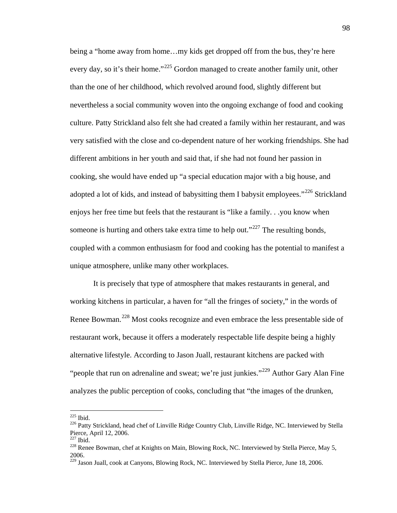being a "home away from home…my kids get dropped off from the bus, they're here every day, so it's their home."<sup>[225](#page-101-0)</sup> Gordon managed to create another family unit, other than the one of her childhood, which revolved around food, slightly different but nevertheless a social community woven into the ongoing exchange of food and cooking culture. Patty Strickland also felt she had created a family within her restaurant, and was very satisfied with the close and co-dependent nature of her working friendships. She had different ambitions in her youth and said that, if she had not found her passion in cooking, she would have ended up "a special education major with a big house, and adopted a lot of kids, and instead of babysitting them I babysit employees."<sup>[226](#page-101-1)</sup> Strickland enjoys her free time but feels that the restaurant is "like a family. . .you know when someone is hurting and others take extra time to help out."<sup>[227](#page-101-2)</sup> The resulting bonds, coupled with a common enthusiasm for food and cooking has the potential to manifest a unique atmosphere, unlike many other workplaces.

It is precisely that type of atmosphere that makes restaurants in general, and working kitchens in particular, a haven for "all the fringes of society," in the words of Renee Bowman.<sup>[228](#page-101-3)</sup> Most cooks recognize and even embrace the less presentable side of restaurant work, because it offers a moderately respectable life despite being a highly alternative lifestyle. According to Jason Juall, restaurant kitchens are packed with "people that run on adrenaline and sweat; we're just junkies."<sup>[229](#page-101-4)</sup> Author Gary Alan Fine analyzes the public perception of cooks, concluding that "the images of the drunken,

<span id="page-101-0"></span> <sup>225</sup> Ibid.

<span id="page-101-1"></span><sup>&</sup>lt;sup>226</sup> Patty Strickland, head chef of Linville Ridge Country Club, Linville Ridge, NC. Interviewed by Stella Pierce, April 12, 2006.<br><sup>227</sup> Ibid.

<span id="page-101-3"></span><span id="page-101-2"></span><sup>&</sup>lt;sup>228</sup> Renee Bowman, chef at Knights on Main, Blowing Rock, NC. Interviewed by Stella Pierce, May 5, 2006.

<span id="page-101-4"></span><sup>229</sup> Jason Juall, cook at Canyons, Blowing Rock, NC. Interviewed by Stella Pierce, June 18, 2006.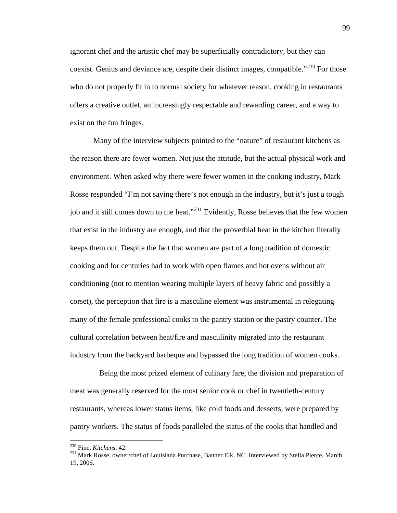ignorant chef and the artistic chef may be superficially contradictory, but they can coexist. Genius and deviance are, despite their distinct images, compatible."<sup>[230](#page-102-0)</sup> For those who do not properly fit in to normal society for whatever reason, cooking in restaurants offers a creative outlet, an increasingly respectable and rewarding career, and a way to exist on the fun fringes.

Many of the interview subjects pointed to the "nature" of restaurant kitchens as the reason there are fewer women. Not just the attitude, but the actual physical work and environment. When asked why there were fewer women in the cooking industry, Mark Rosse responded "I'm not saying there's not enough in the industry, but it's just a tough job and it still comes down to the heat."<sup>[231](#page-102-1)</sup> Evidently, Rosse believes that the few women that exist in the industry are enough, and that the proverbial heat in the kitchen literally keeps them out. Despite the fact that women are part of a long tradition of domestic cooking and for centuries had to work with open flames and hot ovens without air conditioning (not to mention wearing multiple layers of heavy fabric and possibly a corset), the perception that fire is a masculine element was instrumental in relegating many of the female professional cooks to the pantry station or the pastry counter. The cultural correlation between heat/fire and masculinity migrated into the restaurant industry from the backyard barbeque and bypassed the long tradition of women cooks.

 Being the most prized element of culinary fare, the division and preparation of meat was generally reserved for the most senior cook or chef in twentieth-century restaurants, whereas lower status items, like cold foods and desserts, were prepared by pantry workers. The status of foods paralleled the status of the cooks that handled and

<span id="page-102-1"></span><span id="page-102-0"></span><sup>&</sup>lt;sup>230</sup> Fine, *Kitchens*, 42.<br><sup>231</sup> Mark Rosse, owner/chef of Louisiana Purchase, Banner Elk, NC. Interviewed by Stella Pierce, March 19, 2006.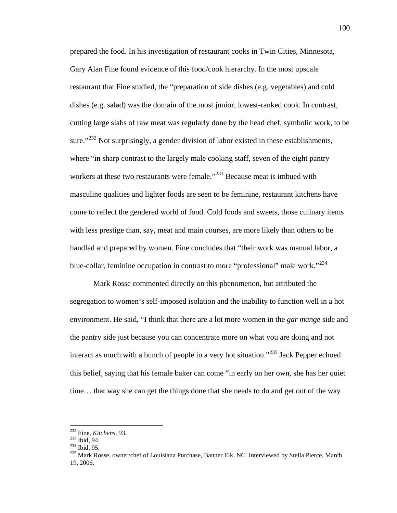prepared the food. In his investigation of restaurant cooks in Twin Cities, Minnesota, Gary Alan Fine found evidence of this food/cook hierarchy. In the most upscale restaurant that Fine studied, the "preparation of side dishes (e.g. vegetables) and cold dishes (e.g. salad) was the domain of the most junior, lowest-ranked cook. In contrast, cutting large slabs of raw meat was regularly done by the head chef, symbolic work, to be sure."<sup>[232](#page-103-0)</sup> Not surprisingly, a gender division of labor existed in these establishments, where "in sharp contrast to the largely male cooking staff, seven of the eight pantry workers at these two restaurants were female."<sup>[233](#page-103-1)</sup> Because meat is imbued with masculine qualities and lighter foods are seen to be feminine, restaurant kitchens have come to reflect the gendered world of food. Cold foods and sweets, those culinary items with less prestige than, say, meat and main courses, are more likely than others to be handled and prepared by women. Fine concludes that "their work was manual labor, a blue-collar, feminine occupation in contrast to more "professional" male work."<sup>[234](#page-103-2)</sup>

Mark Rosse commented directly on this phenomenon, but attributed the segregation to women's self-imposed isolation and the inability to function well in a hot environment. He said, "I think that there are a lot more women in the *gar mange* side and the pantry side just because you can concentrate more on what you are doing and not interact as much with a bunch of people in a very hot situation."<sup>[235](#page-103-3)</sup> Jack Pepper echoed this belief, saying that his female baker can come "in early on her own, she has her quiet time… that way she can get the things done that she needs to do and get out of the way

<span id="page-103-1"></span><span id="page-103-0"></span> <sup>232</sup> Fine, *Kitchens,* 93.

<span id="page-103-3"></span><span id="page-103-2"></span>

<sup>234</sup> Ibid, 95.<br><sup>234</sup> Ibid, 95.<br><sup>235</sup> Mark Rosse, owner/chef of Louisiana Purchase, Banner Elk, NC. Interviewed by Stella Pierce, March 19, 2006.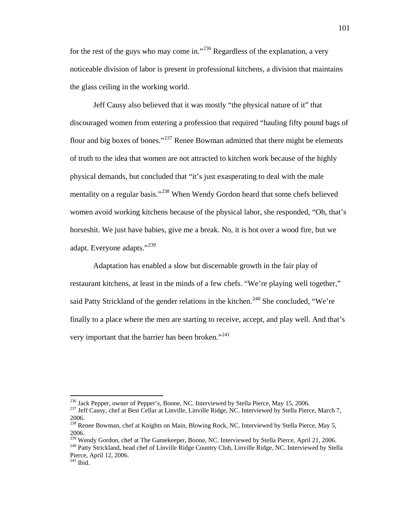for the rest of the guys who may come in."<sup>[236](#page-104-0)</sup> Regardless of the explanation, a very noticeable division of labor is present in professional kitchens, a division that maintains the glass ceiling in the working world.

Jeff Causy also believed that it was mostly "the physical nature of it" that discouraged women from entering a profession that required "hauling fifty pound bags of flour and big boxes of bones."<sup>[237](#page-104-1)</sup> Renee Bowman admitted that there might be elements of truth to the idea that women are not attracted to kitchen work because of the highly physical demands, but concluded that "it's just exasperating to deal with the male mentality on a regular basis."<sup>[238](#page-104-2)</sup> When Wendy Gordon heard that some chefs believed women avoid working kitchens because of the physical labor, she responded, "Oh, that's horseshit. We just have babies, give me a break. No, it is hot over a wood fire, but we adapt. Everyone adapts."<sup>[239](#page-104-3)</sup>

Adaptation has enabled a slow but discernable growth in the fair play of restaurant kitchens, at least in the minds of a few chefs. "We're playing well together," said Patty Strickland of the gender relations in the kitchen.<sup>[240](#page-104-4)</sup> She concluded, "We're finally to a place where the men are starting to receive, accept, and play well. And that's very important that the barrier has been broken."<sup>[241](#page-104-5)</sup>

<span id="page-104-1"></span><span id="page-104-0"></span><sup>&</sup>lt;sup>236</sup> Jack Pepper, owner of Pepper's, Boone, NC. Interviewed by Stella Pierce, May 15, 2006.<br><sup>237</sup> Jeff Causy, chef at Best Cellar at Linville, Linville Ridge, NC. Interviewed by Stella Pierce, March 7, 2006.

<span id="page-104-2"></span><sup>&</sup>lt;sup>238</sup> Renee Bowman, chef at Knights on Main, Blowing Rock, NC. Interviewed by Stella Pierce, May 5, 2006.<br><sup>239</sup> Wendy Gordon, chef at The Gamekeeper, Boone, NC. Interviewed by Stella Pierce, April 21, 2006.

<span id="page-104-3"></span>

<span id="page-104-4"></span><sup>&</sup>lt;sup>240</sup> Patty Strickland, head chef of Linville Ridge Country Club, Linville Ridge, NC. Interviewed by Stella Pierce, April 12, 2006.

<span id="page-104-5"></span> $241$  Ibid.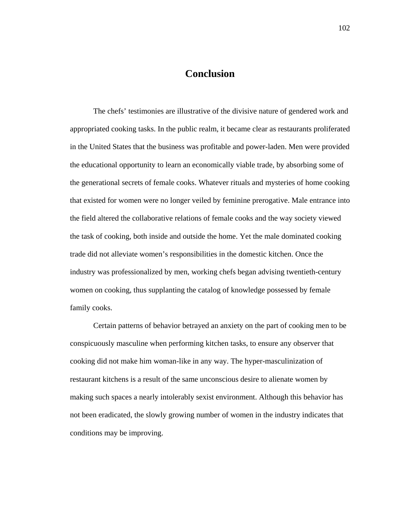## **Conclusion**

The chefs' testimonies are illustrative of the divisive nature of gendered work and appropriated cooking tasks. In the public realm, it became clear as restaurants proliferated in the United States that the business was profitable and power-laden. Men were provided the educational opportunity to learn an economically viable trade, by absorbing some of the generational secrets of female cooks. Whatever rituals and mysteries of home cooking that existed for women were no longer veiled by feminine prerogative. Male entrance into the field altered the collaborative relations of female cooks and the way society viewed the task of cooking, both inside and outside the home. Yet the male dominated cooking trade did not alleviate women's responsibilities in the domestic kitchen. Once the industry was professionalized by men, working chefs began advising twentieth-century women on cooking, thus supplanting the catalog of knowledge possessed by female family cooks.

Certain patterns of behavior betrayed an anxiety on the part of cooking men to be conspicuously masculine when performing kitchen tasks, to ensure any observer that cooking did not make him woman-like in any way. The hyper-masculinization of restaurant kitchens is a result of the same unconscious desire to alienate women by making such spaces a nearly intolerably sexist environment. Although this behavior has not been eradicated, the slowly growing number of women in the industry indicates that conditions may be improving.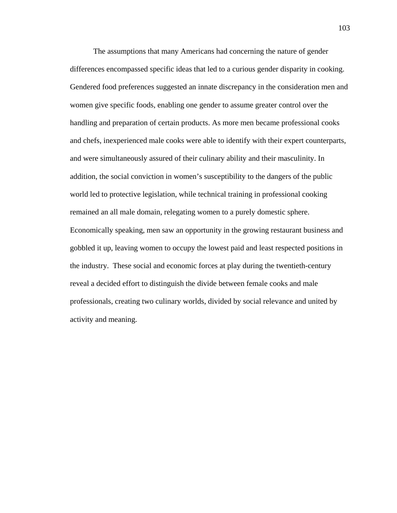The assumptions that many Americans had concerning the nature of gender differences encompassed specific ideas that led to a curious gender disparity in cooking. Gendered food preferences suggested an innate discrepancy in the consideration men and women give specific foods, enabling one gender to assume greater control over the handling and preparation of certain products. As more men became professional cooks and chefs, inexperienced male cooks were able to identify with their expert counterparts, and were simultaneously assured of their culinary ability and their masculinity. In addition, the social conviction in women's susceptibility to the dangers of the public world led to protective legislation, while technical training in professional cooking remained an all male domain, relegating women to a purely domestic sphere. Economically speaking, men saw an opportunity in the growing restaurant business and gobbled it up, leaving women to occupy the lowest paid and least respected positions in the industry. These social and economic forces at play during the twentieth-century reveal a decided effort to distinguish the divide between female cooks and male professionals, creating two culinary worlds, divided by social relevance and united by activity and meaning.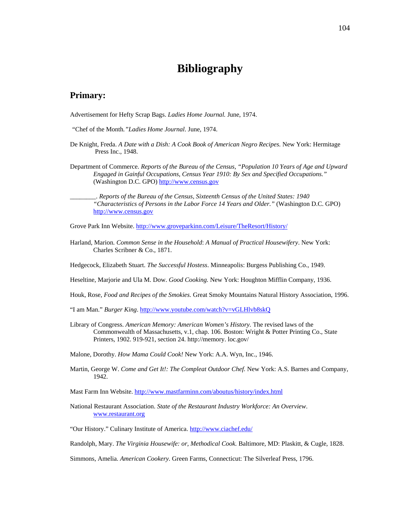## **Bibliography**

### **Primary:**

Advertisement for Hefty Scrap Bags. *Ladies Home Journal.* June, 1974.

- *"*Chef of the Month*."Ladies Home Journal*. June, 1974.
- De Knight, Freda. *A Date with a Dish: A Cook Book of American Negro Recipes.* New York: Hermitage Press Inc., 1948.
- Department of Commerce. *Reports of the Bureau of the Census, "Population 10 Years of Age and Upward Engaged in Gainful Occupations, Census Year 1910: By Sex and Specified Occupations."* (Washington D.C. GPO) [http://www.census.gov](http://www.census.gov/)

\_\_\_\_\_\_\_\_. *Reports of the Bureau of the Census, Sixteenth Census of the United States: 1940 "Characteristics of Persons in the Labor Force 14 Years and Older."* (Washington D.C. GPO) [http://www.census.gov](http://www.census.gov/)

Grove Park Inn Website.<http://www.groveparkinn.com/Leisure/TheResort/History/>

- Harland, Marion. *Common Sense in the Household*: *A Manual of Practical Housewifery*. New York: Charles Scribner & Co., 1871.
- Hedgecock, Elizabeth Stuart. *The Successful Hostess*. Minneapolis: Burgess Publishing Co., 1949.

Heseltine, Marjorie and Ula M. Dow. *Good Cooking.* New York: Houghton Mifflin Company, 1936.

- Houk, Rose, *Food and Recipes of the Smokies.* Great Smoky Mountains Natural History Association, 1996.
- "I am Man." *Burger King*.<http://www.youtube.com/watch?v=vGLHlvb8skQ>
- Library of Congress. *American Memory: American Women's History.* The revised laws of the Commonwealth of Massachusetts, v.1, chap. 106. Boston: Wright & Potter Printing Co., State Printers, 1902. 919-921, section 24. http://memory. loc.gov/

Malone, Dorothy. *How Mama Could Cook!* New York: A.A. Wyn, Inc., 1946.

Martin, George W. *Come and Get It!: The Compleat Outdoor Chef.* New York: A.S. Barnes and Company, 1942.

Mast Farm Inn Website[. http://www.mastfarminn.com/aboutus/history/index.html](http://www.mastfarminn.com/aboutus/history/index.html)

National Restaurant Association. *State of the Restaurant Industry Workforce: An Overview*. [www.restaurant.org](http://www.restaurant.org/)

"Our History." Culinary Institute of America.<http://www.ciachef.edu/>

Randolph, Mary. *The Virginia Housewife: or, Methodical Cook.* Baltimore, MD: Plaskitt, & Cugle, 1828.

Simmons, Amelia. *American Cookery.* Green Farms, Connecticut: The Silverleaf Press, 1796.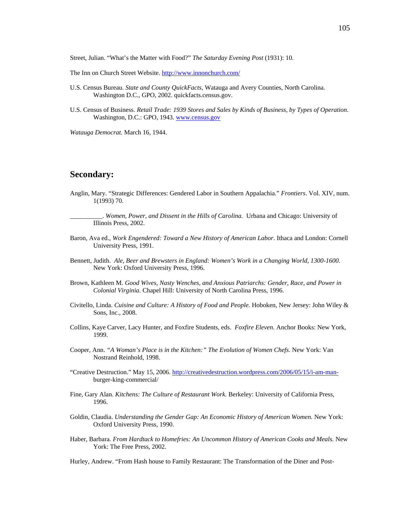Street, Julian. "What's the Matter with Food?" *The Saturday Evening Post* (1931): 10.

The Inn on Church Street Website.<http://www.innonchurch.com/>

- U.S. Census Bureau. *State and County QuickFacts,* Watauga and Avery Counties, North Carolina. Washington D.C., GPO, 2002. quickfacts.census.gov.
- U.S. Census of Business. *Retail Trade: 1939 Stores and Sales by Kinds of Business, by Types of Operation.* Washington, D.C.: GPO, 1943[. www.census.gov](http://www.census.gov/)

*Watauga Democrat.* March 16, 1944.

## **Secondary:**

Anglin, Mary. "Strategic Differences: Gendered Labor in Southern Appalachia." *Frontiers*. Vol. XIV, num. 1(1993) 70.

\_\_\_\_\_\_\_\_\_\_. *Women, Power, and Dissent in the Hills of Carolina.* Urbana and Chicago: University of Illinois Press, 2002.

- Baron, Ava ed., *Work Engendered: Toward a New History of American Labor.* Ithaca and London: Cornell University Press, 1991.
- Bennett, Judith. *Ale, Beer and Brewsters in England: Women's Work in a Changing World, 1300-1600.* New York: Oxford University Press, 1996.
- Brown, Kathleen M. *Good Wives, Nasty Wenches, and Anxious Patriarchs: Gender, Race, and Power in Colonial Virginia.* Chapel Hill: University of North Carolina Press, 1996.
- Civitello, Linda. *Cuisine and Culture: A History of Food and People.* Hoboken, New Jersey: John Wiley & Sons, Inc., 2008.
- Collins, Kaye Carver, Lacy Hunter, and Foxfire Students, eds. *Foxfire Eleven.* Anchor Books: New York, 1999.
- Cooper, Ann. *"A Woman's Place is in the Kitchen:" The Evolution of Women Chefs.* New York: Van Nostrand Reinhold, 1998.
- "Creative Destruction." May 15, 2006[. http://creativedestruction.wordpress.com/2006/05/15/i-am-man](http://creativedestruction.wordpress.com/2006/05/15/i-am-man-)burger-king-commercial/
- Fine, Gary Alan. *Kitchens: The Culture of Restaurant Work.* Berkeley: University of California Press, 1996.
- Goldin, Claudia. *Understanding the Gender Gap: An Economic History of American Women.* New York: Oxford University Press, 1990.
- Haber, Barbara. *From Hardtack to Homefries: An Uncommon History of American Cooks and Meals.* New York: The Free Press, 2002.

Hurley, Andrew. "From Hash house to Family Restaurant: The Transformation of the Diner and Post-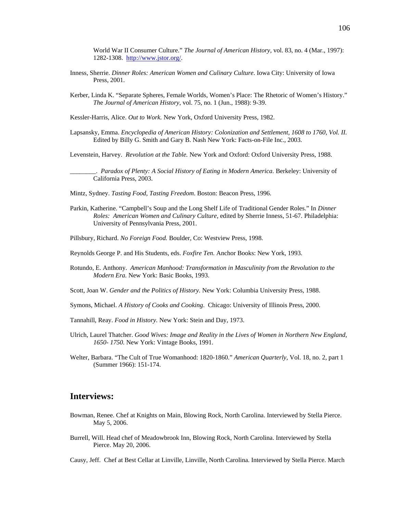World War II Consumer Culture." *The Journal of American History,* vol. 83, no. 4 (Mar., 1997): 1282-1308. [http://www.jstor.org/.](http://www.jstor.org/) 

- Inness, Sherrie. *Dinner Roles: American Women and Culinary Culture.* Iowa City: University of Iowa Press, 2001.
- Kerber, Linda K. "Separate Spheres, Female Worlds, Women's Place: The Rhetoric of Women's History." *Th*e *Journal of American History*, vol. 75, no. 1 (Jun., 1988): 9-39.
- Kessler-Harris, Alice. *Out to Work.* New York, Oxford University Press, 1982.
- Lapsansky, Emma. *Encyclopedia of American History: Colonization and Settlement, 1608 to 1760, Vol. II.* Edited by Billy G. Smith and Gary B. Nash New York: Facts-on-File Inc., 2003.

Levenstein, Harvey. *Revolution at the Table.* New York and Oxford: Oxford University Press, 1988.

\_\_\_\_\_\_\_\_. *Paradox of Plenty: A Social History of Eating in Modern America.* Berkeley: University of California Press, 2003.

- Mintz, Sydney. *Tasting Food, Tasting Freedom*. Boston: Beacon Press, 1996.
- Parkin, Katherine. "Campbell's Soup and the Long Shelf Life of Traditional Gender Roles." In *Dinner Roles: American Women and Culinary Culture,* edited by Sherrie Inness, 51-67. Philadelphia: University of Pennsylvania Press, 2001.
- Pillsbury, Richard. *No Foreign Food.* Boulder, Co: Westview Press, 1998.
- Reynolds George P. and His Students, eds. *Foxfire Ten.* Anchor Books: New York, 1993.
- Rotundo, E. Anthony. *American Manhood: Transformation in Masculinity from the Revolution to the Modern Era.* New York: Basic Books, 1993.
- Scott, Joan W. *Gender and the Politics of History.* New York: Columbia University Press, 1988.
- Symons, Michael. *A History of Cooks and Cooking*. Chicago: University of Illinois Press, 2000.
- Tannahill, Reay. *Food in History.* New York: Stein and Day, 1973.
- Ulrich, Laurel Thatcher. *Good Wives: Image and Reality in the Lives of Women in Northern New England, 1650- 1750.* New York: Vintage Books, 1991.
- Welter, Barbara. "The Cult of True Womanhood: 1820-1860." *American Quarterly,* Vol. 18, no. 2, part 1 (Summer 1966): 151-174.

## **Interviews:**

- Bowman, Renee. Chef at Knights on Main, Blowing Rock, North Carolina. Interviewed by Stella Pierce. May 5, 2006.
- Burrell, Will. Head chef of Meadowbrook Inn, Blowing Rock, North Carolina. Interviewed by Stella Pierce. May 20, 2006.

Causy, Jeff. Chef at Best Cellar at Linville, Linville, North Carolina. Interviewed by Stella Pierce. March